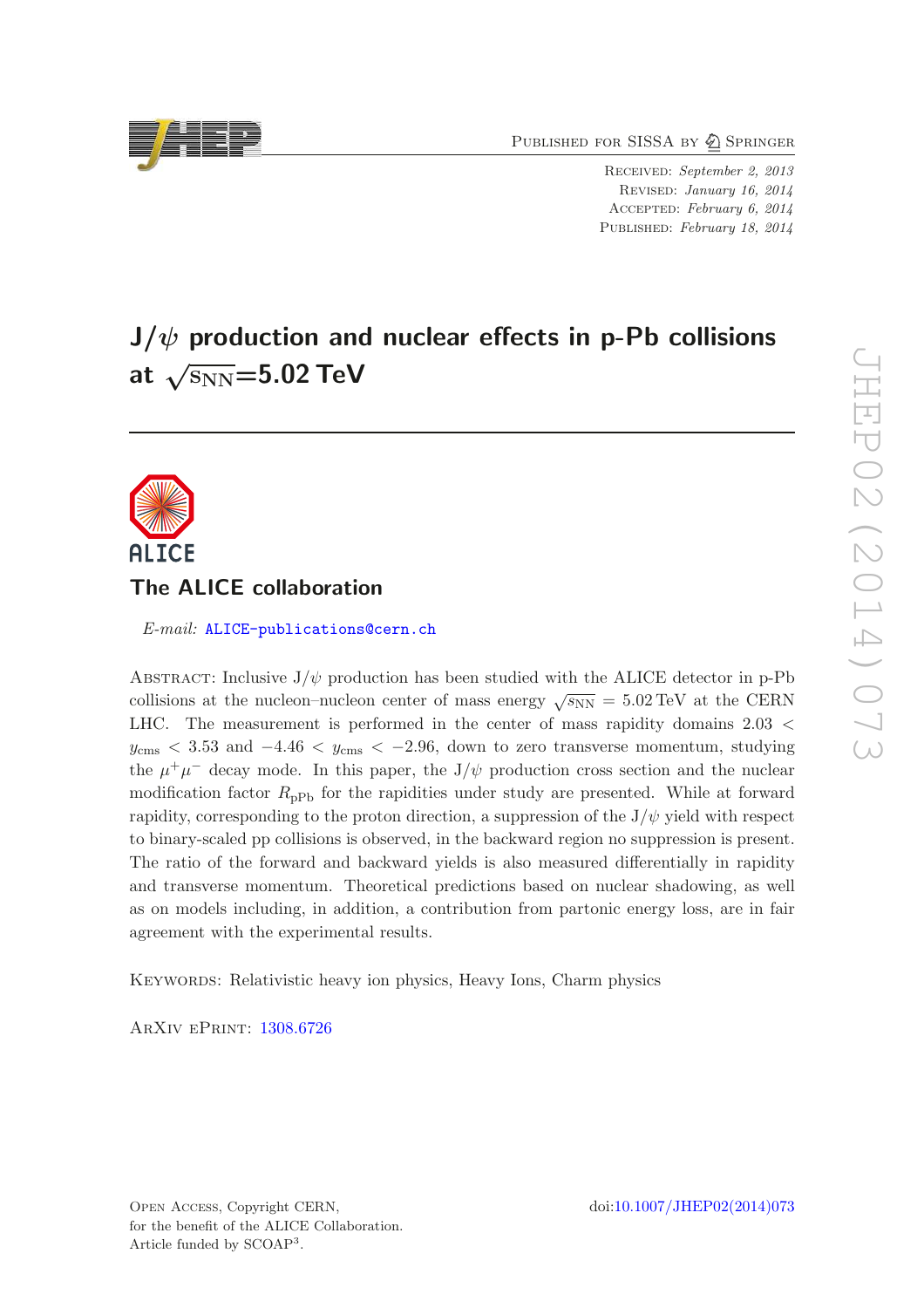PUBLISHED FOR SISSA BY 2 SPRINGER

Received: *September 2, 2013* Revised: *January 16, 2014* Accepted: *February 6, 2014* Published: *February 18, 2014*

# $J/\psi$  production and nuclear effects in p-Pb collisions at  $\sqrt{s_{NN}}$ =5.02 TeV



# The ALICE collaboration

E-mail: [ALICE-publications@cern.ch](mailto:ALICE-publications@cern.ch)

ABSTRACT: Inclusive  $J/\psi$  production has been studied with the ALICE detector in p-Pb collisions at the nucleon–nucleon center of mass energy  $\sqrt{s_{NN}} = 5.02 \,\text{TeV}$  at the CERN LHC. The measurement is performed in the center of mass rapidity domains 2.03 <  $y_{\rm cms}$  < 3.53 and  $-4.46 < y_{\rm cms} < -2.96$ , down to zero transverse momentum, studying the  $\mu^+\mu^-$  decay mode. In this paper, the J/ $\psi$  production cross section and the nuclear modification factor  $R_{\text{pPb}}$  for the rapidities under study are presented. While at forward rapidity, corresponding to the proton direction, a suppression of the  $J/\psi$  yield with respect to binary-scaled pp collisions is observed, in the backward region no suppression is present. The ratio of the forward and backward yields is also measured differentially in rapidity and transverse momentum. Theoretical predictions based on nuclear shadowing, as well as on models including, in addition, a contribution from partonic energy loss, are in fair agreement with the experimental results.

Keywords: Relativistic heavy ion physics, Heavy Ions, Charm physics

ArXiv ePrint: [1308.6726](http://arxiv.org/abs/1308.6726)

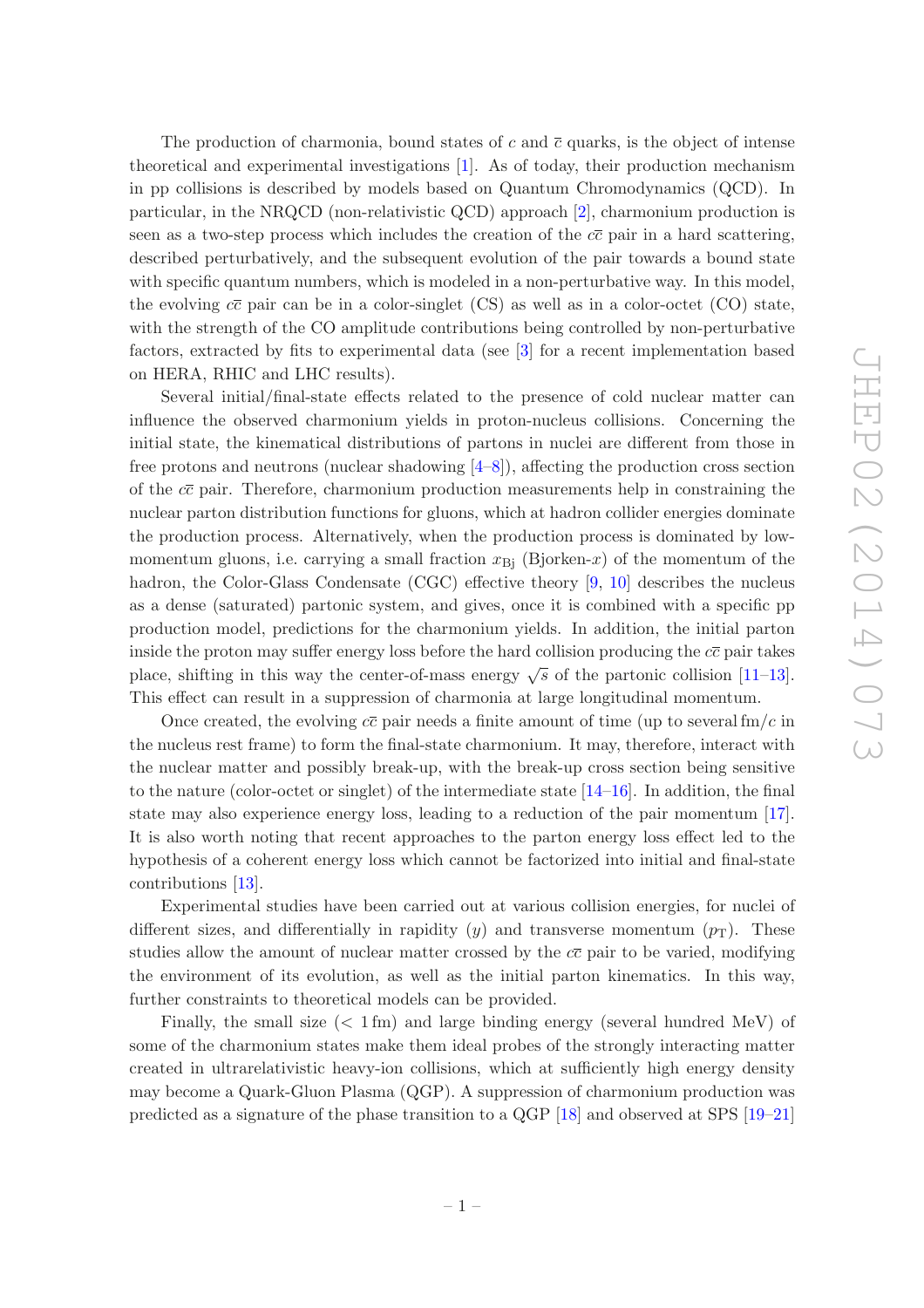The production of charmonia, bound states of c and  $\bar{c}$  quarks, is the object of intense theoretical and experimental investigations [\[1](#page-14-0)]. As of today, their production mechanism in pp collisions is described by models based on Quantum Chromodynamics (QCD). In particular, in the NRQCD (non-relativistic QCD) approach [\[2\]](#page-14-1), charmonium production is seen as a two-step process which includes the creation of the  $c\bar{c}$  pair in a hard scattering, described perturbatively, and the subsequent evolution of the pair towards a bound state with specific quantum numbers, which is modeled in a non-perturbative way. In this model, the evolving  $c\bar{c}$  pair can be in a color-singlet (CS) as well as in a color-octet (CO) state, with the strength of the CO amplitude contributions being controlled by non-perturbative factors, extracted by fits to experimental data (see [\[3](#page-14-2)] for a recent implementation based on HERA, RHIC and LHC results).

Several initial/final-state effects related to the presence of cold nuclear matter can influence the observed charmonium yields in proton-nucleus collisions. Concerning the initial state, the kinematical distributions of partons in nuclei are different from those in free protons and neutrons (nuclear shadowing  $[4-8]$ ), affecting the production cross section of the  $c\bar{c}$  pair. Therefore, charmonium production measurements help in constraining the nuclear parton distribution functions for gluons, which at hadron collider energies dominate the production process. Alternatively, when the production process is dominated by lowmomentum gluons, i.e. carrying a small fraction  $x_{\text{Bj}}$  (Bjorken-x) of the momentum of the hadron, the Color-Glass Condensate (CGC) effective theory [\[9](#page-15-2), [10](#page-15-3)] describes the nucleus as a dense (saturated) partonic system, and gives, once it is combined with a specific pp production model, predictions for the charmonium yields. In addition, the initial parton inside the proton may suffer energy loss before the hard collision producing the  $c\bar{c}$  pair takes place, shifting in this way the center-of-mass energy  $\sqrt{s}$  of the partonic collision [\[11](#page-15-4)[–13\]](#page-15-5). This effect can result in a suppression of charmonia at large longitudinal momentum.

Once created, the evolving  $c\bar{c}$  pair needs a finite amount of time (up to several fm/c in the nucleus rest frame) to form the final-state charmonium. It may, therefore, interact with the nuclear matter and possibly break-up, with the break-up cross section being sensitive to the nature (color-octet or singlet) of the intermediate state  $[14–16]$  $[14–16]$  $[14–16]$ . In addition, the final state may also experience energy loss, leading to a reduction of the pair momentum [\[17\]](#page-15-8). It is also worth noting that recent approaches to the parton energy loss effect led to the hypothesis of a coherent energy loss which cannot be factorized into initial and final-state contributions [\[13\]](#page-15-5).

Experimental studies have been carried out at various collision energies, for nuclei of different sizes, and differentially in rapidity  $(y)$  and transverse momentum  $(p_T)$ . These studies allow the amount of nuclear matter crossed by the  $c\bar{c}$  pair to be varied, modifying the environment of its evolution, as well as the initial parton kinematics. In this way, further constraints to theoretical models can be provided.

Finally, the small size  $(< 1 \text{ fm})$  and large binding energy (several hundred MeV) of some of the charmonium states make them ideal probes of the strongly interacting matter created in ultrarelativistic heavy-ion collisions, which at sufficiently high energy density may become a Quark-Gluon Plasma (QGP). A suppression of charmonium production was predicted as a signature of the phase transition to a QGP [\[18\]](#page-15-9) and observed at SPS [\[19](#page-15-10)[–21\]](#page-15-11)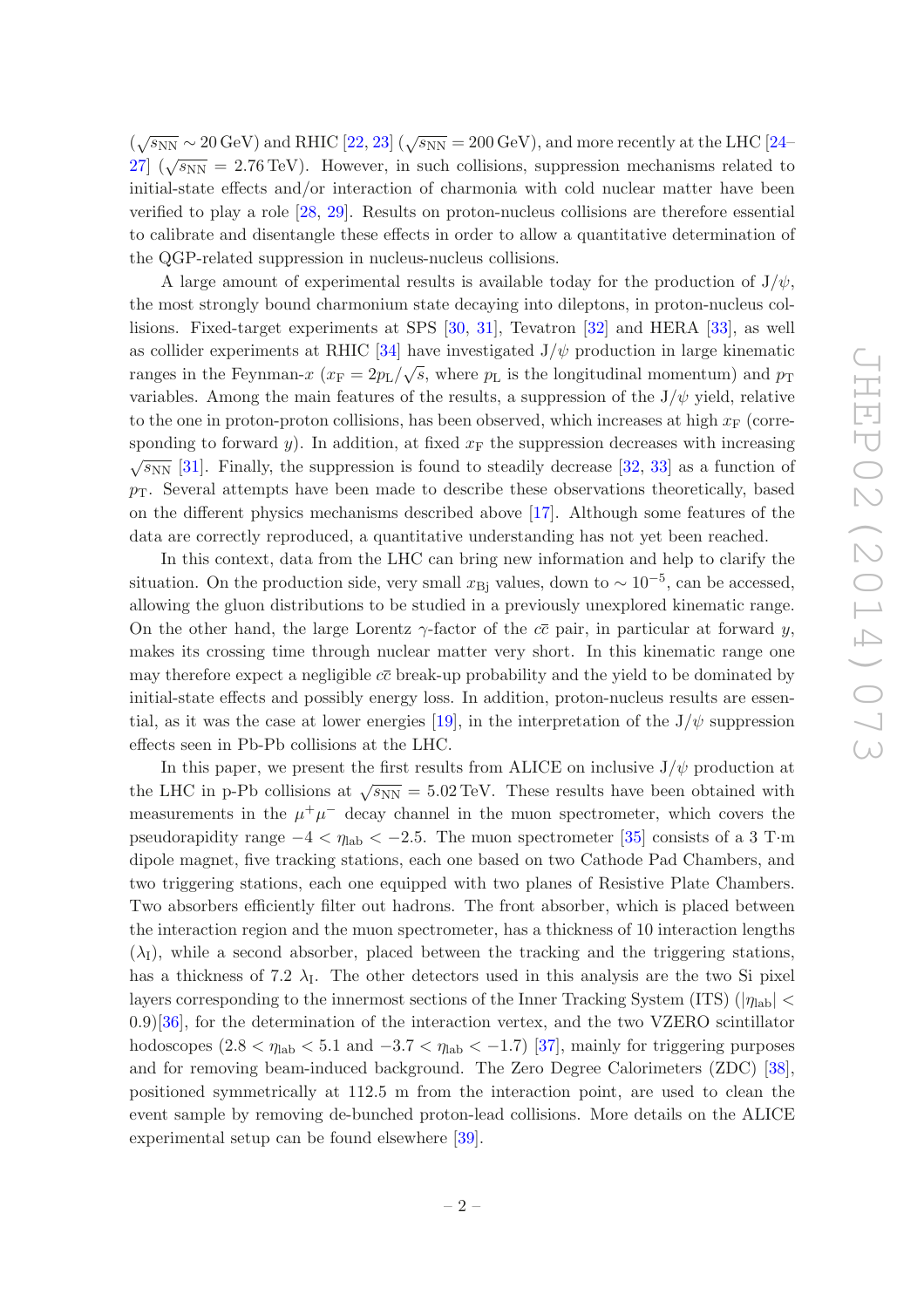$(\sqrt{s_{NN}} \sim 20\,\rm GeV)$  and RHIC [\[22](#page-15-12), [23\]](#page-16-0)  $(\sqrt{s_{NN}} = 200\,\rm GeV)$ , and more recently at the LHC [\[24](#page-16-1)–  $27\frac{\text{C}}{\text{C}}\left(\sqrt{s_{NN}}\right) = 2.76 \text{ TeV}$  $27\frac{\text{C}}{\text{C}}\left(\sqrt{s_{NN}}\right) = 2.76 \text{ TeV}$ . However, in such collisions, suppression mechanisms related to initial-state effects and/or interaction of charmonia with cold nuclear matter have been verified to play a role [\[28,](#page-16-3) [29\]](#page-16-4). Results on proton-nucleus collisions are therefore essential to calibrate and disentangle these effects in order to allow a quantitative determination of the QGP-related suppression in nucleus-nucleus collisions.

A large amount of experimental results is available today for the production of  $J/\psi$ , the most strongly bound charmonium state decaying into dileptons, in proton-nucleus collisions. Fixed-target experiments at SPS [\[30,](#page-16-5) [31\]](#page-16-6), Tevatron [\[32](#page-16-7)] and HERA [\[33\]](#page-16-8), as well as collider experiments at RHIC [\[34](#page-16-9)] have investigated  $J/\psi$  production in large kinematic ranges in the Feynman-x  $(x_F = 2p_L/\sqrt{s}$ , where  $p_L$  is the longitudinal momentum) and  $p_T$ variables. Among the main features of the results, a suppression of the  $J/\psi$  yield, relative to the one in proton-proton collisions, has been observed, which increases at high  $x_F$  (corresponding to forward y). In addition, at fixed  $x_F$  the suppression decreases with increasing  $\sqrt{s_{NN}}$  [\[31\]](#page-16-6). Finally, the suppression is found to steadily decrease [\[32](#page-16-7), [33\]](#page-16-8) as a function of  $p<sub>T</sub>$ . Several attempts have been made to describe these observations theoretically, based on the different physics mechanisms described above [\[17](#page-15-8)]. Although some features of the data are correctly reproduced, a quantitative understanding has not yet been reached.

In this context, data from the LHC can bring new information and help to clarify the situation. On the production side, very small  $x_{\text{Bj}}$  values, down to ~ 10<sup>-5</sup>, can be accessed, allowing the gluon distributions to be studied in a previously unexplored kinematic range. On the other hand, the large Lorentz  $\gamma$ -factor of the  $c\bar{c}$  pair, in particular at forward y, makes its crossing time through nuclear matter very short. In this kinematic range one may therefore expect a negligible  $c\bar{c}$  break-up probability and the yield to be dominated by initial-state effects and possibly energy loss. In addition, proton-nucleus results are essen-tial, as it was the case at lower energies [\[19\]](#page-15-10), in the interpretation of the  $J/\psi$  suppression effects seen in Pb-Pb collisions at the LHC.

In this paper, we present the first results from ALICE on inclusive  $J/\psi$  production at the LHC in p-Pb collisions at  $\sqrt{s_{NN}} = 5.02 \,\text{TeV}$ . These results have been obtained with measurements in the  $\mu^+\mu^-$  decay channel in the muon spectrometer, which covers the pseudorapidity range  $-4 < \eta_{\text{lab}} < -2.5$ . The muon spectrometer [\[35](#page-16-10)] consists of a 3 T·m dipole magnet, five tracking stations, each one based on two Cathode Pad Chambers, and two triggering stations, each one equipped with two planes of Resistive Plate Chambers. Two absorbers efficiently filter out hadrons. The front absorber, which is placed between the interaction region and the muon spectrometer, has a thickness of 10 interaction lengths  $(\lambda_I)$ , while a second absorber, placed between the tracking and the triggering stations, has a thickness of 7.2  $\lambda$ <sub>I</sub>. The other detectors used in this analysis are the two Si pixel layers corresponding to the innermost sections of the Inner Tracking System (ITS) ( $|\eta_{\rm lab}|$  < 0.9)[\[36](#page-16-11)], for the determination of the interaction vertex, and the two VZERO scintillator hodoscopes (2.8 <  $\eta_{\text{lab}}$  < 5.1 and  $-3.7 < \eta_{\text{lab}} < -1.7$ ) [\[37\]](#page-16-12), mainly for triggering purposes and for removing beam-induced background. The Zero Degree Calorimeters (ZDC) [\[38\]](#page-16-13), positioned symmetrically at 112.5 m from the interaction point, are used to clean the event sample by removing de-bunched proton-lead collisions. More details on the ALICE experimental setup can be found elsewhere [\[39\]](#page-16-14).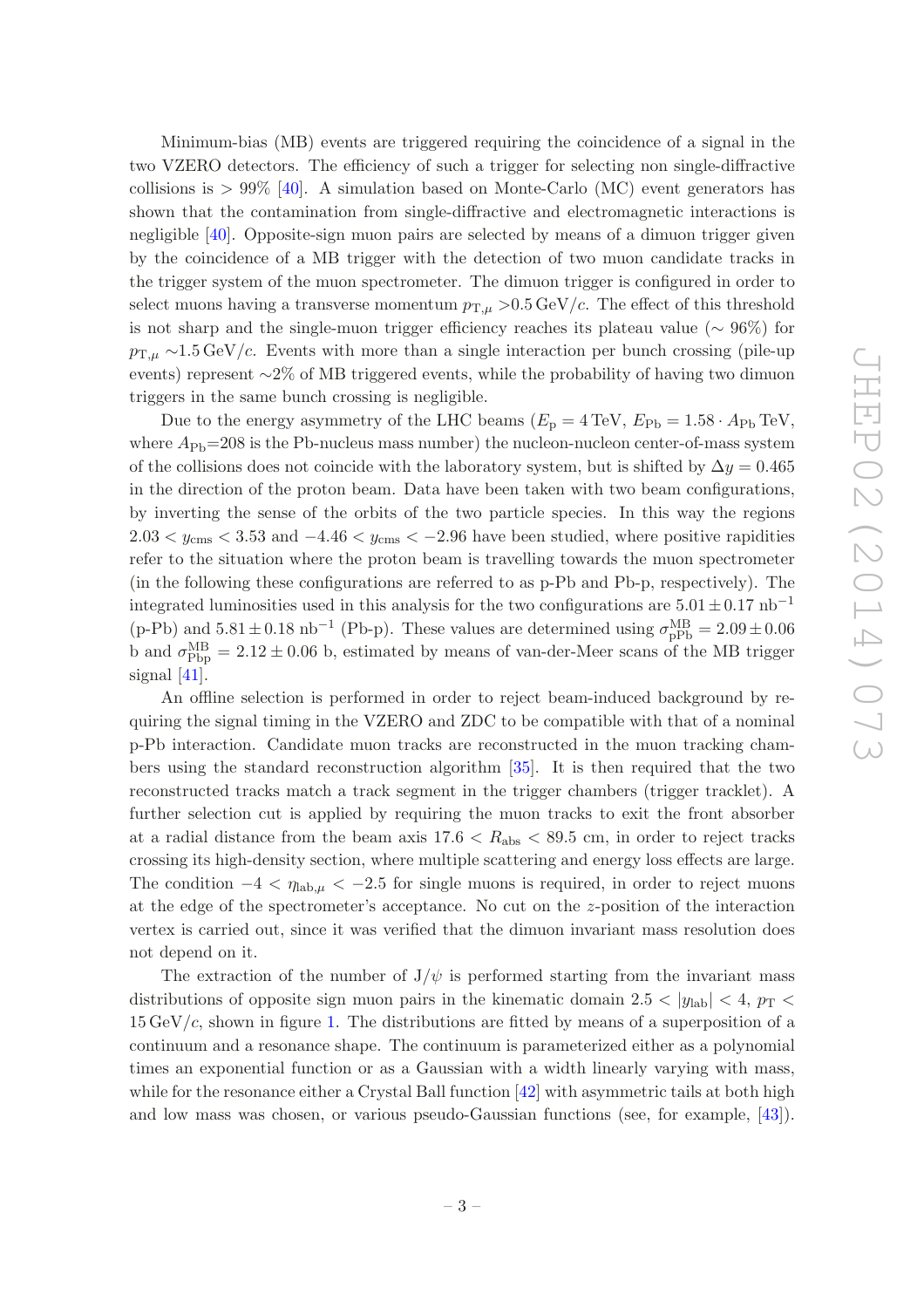Minimum-bias (MB) events are triggered requiring the coincidence of a signal in the two VZERO detectors. The efficiency of such a trigger for selecting non single-diffractive collisions is  $> 99\%$  [\[40\]](#page-17-0). A simulation based on Monte-Carlo (MC) event generators has shown that the contamination from single-diffractive and electromagnetic interactions is negligible [\[40\]](#page-17-0). Opposite-sign muon pairs are selected by means of a dimuon trigger given by the coincidence of a MB trigger with the detection of two muon candidate tracks in the trigger system of the muon spectrometer. The dimuon trigger is configured in order to select muons having a transverse momentum  $p_{T,\mu} > 0.5 \,\text{GeV}/c$ . The effect of this threshold is not sharp and the single-muon trigger efficiency reaches its plateau value (∼ 96%) for  $p_{\text{T},\mu} \sim 1.5 \,\text{GeV}/c$ . Events with more than a single interaction per bunch crossing (pile-up events) represent ∼2% of MB triggered events, while the probability of having two dimuon triggers in the same bunch crossing is negligible.

Due to the energy asymmetry of the LHC beams  $(E_{\rm p} = 4 \,\text{TeV}, E_{\rm Pb} = 1.58 \cdot A_{\rm Pb} \,\text{TeV},$ where  $A_{\text{Pb}}$ =208 is the Pb-nucleus mass number) the nucleon-nucleon center-of-mass system of the collisions does not coincide with the laboratory system, but is shifted by  $\Delta y = 0.465$ in the direction of the proton beam. Data have been taken with two beam configurations, by inverting the sense of the orbits of the two particle species. In this way the regions  $2.03 < y_{\rm cms} < 3.53$  and  $-4.46 < y_{\rm cms} < -2.96$  have been studied, where positive rapidities refer to the situation where the proton beam is travelling towards the muon spectrometer (in the following these configurations are referred to as p-Pb and Pb-p, respectively). The integrated luminosities used in this analysis for the two configurations are  $5.01 \pm 0.17$  nb<sup>-1</sup> (p-Pb) and  $5.81 \pm 0.18$  nb<sup>-1</sup> (Pb-p). These values are determined using  $\sigma_{\text{pPb}}^{\text{MB}} = 2.09 \pm 0.06$ b and  $\sigma_{\text{Pbp}}^{\text{MB}} = 2.12 \pm 0.06$  b, estimated by means of van-der-Meer scans of the MB trigger signal [\[41](#page-17-1)].

An offline selection is performed in order to reject beam-induced background by requiring the signal timing in the VZERO and ZDC to be compatible with that of a nominal p-Pb interaction. Candidate muon tracks are reconstructed in the muon tracking chambers using the standard reconstruction algorithm [\[35](#page-16-10)]. It is then required that the two reconstructed tracks match a track segment in the trigger chambers (trigger tracklet). A further selection cut is applied by requiring the muon tracks to exit the front absorber at a radial distance from the beam axis  $17.6 < R<sub>abs</sub> < 89.5$  cm, in order to reject tracks crossing its high-density section, where multiple scattering and energy loss effects are large. The condition  $-4 < \eta_{\text{lab},\mu} < -2.5$  for single muons is required, in order to reject muons at the edge of the spectrometer's acceptance. No cut on the z-position of the interaction vertex is carried out, since it was verified that the dimuon invariant mass resolution does not depend on it.

The extraction of the number of  $J/\psi$  is performed starting from the invariant mass distributions of opposite sign muon pairs in the kinematic domain 2.5  $\langle y_{\text{lab}} | \langle 4, p_{\text{T}} \rangle$  $15 \,\mathrm{GeV}/c$ , shown in figure [1.](#page-4-0) The distributions are fitted by means of a superposition of a continuum and a resonance shape. The continuum is parameterized either as a polynomial times an exponential function or as a Gaussian with a width linearly varying with mass, while for the resonance either a Crystal Ball function [\[42](#page-17-2)] with asymmetric tails at both high and low mass was chosen, or various pseudo-Gaussian functions (see, for example, [\[43\]](#page-17-3)).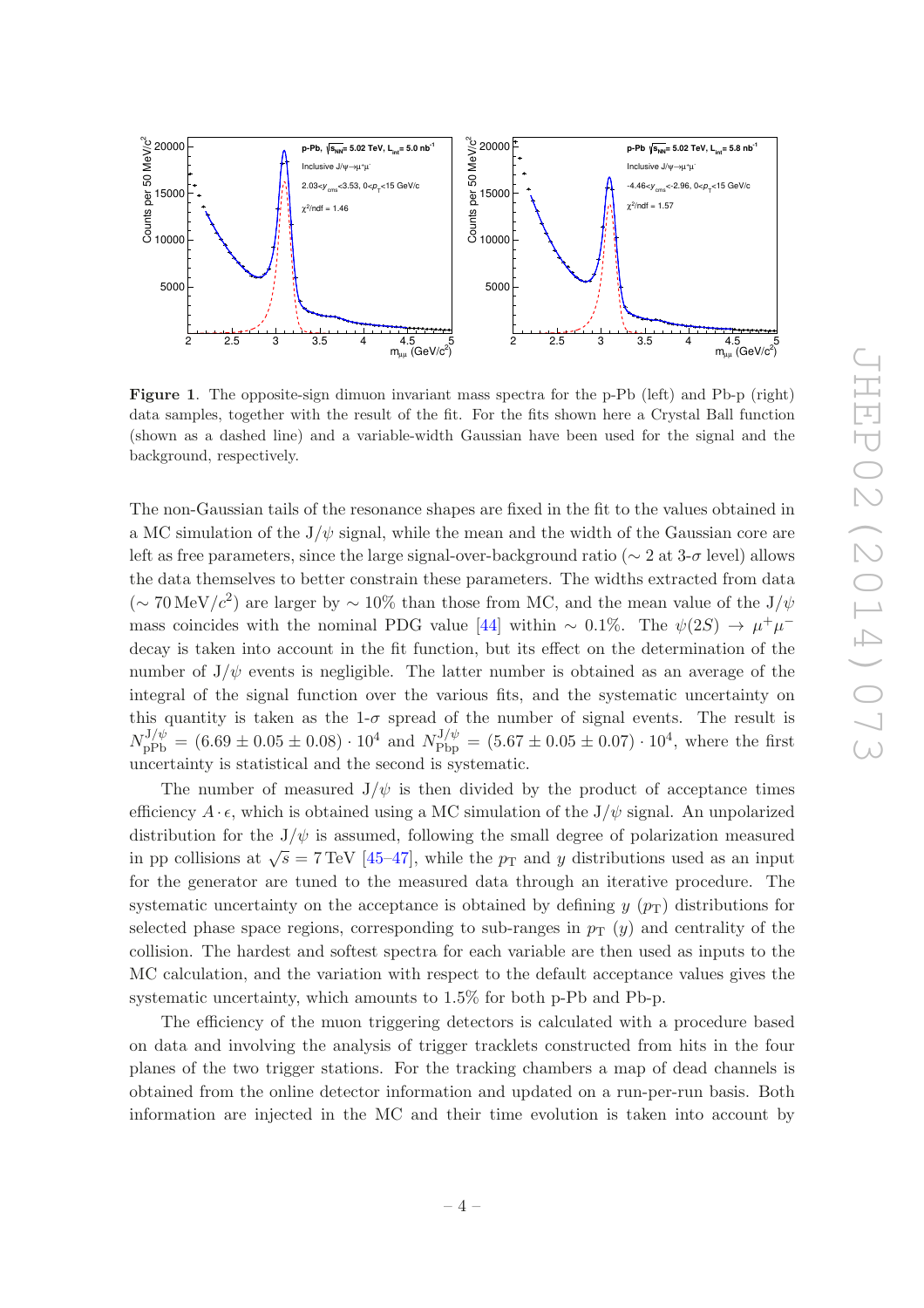

<span id="page-4-0"></span>Figure 1. The opposite-sign dimuon invariant mass spectra for the p-Pb (left) and Pb-p (right) data samples, together with the result of the fit. For the fits shown here a Crystal Ball function (shown as a dashed line) and a variable-width Gaussian have been used for the signal and the background, respectively.

The non-Gaussian tails of the resonance shapes are fixed in the fit to the values obtained in a MC simulation of the  $J/\psi$  signal, while the mean and the width of the Gaussian core are left as free parameters, since the large signal-over-background ratio ( $\sim 2$  at 3- $\sigma$  level) allows the data themselves to better constrain these parameters. The widths extracted from data (~ 70 MeV/ $c<sup>2</sup>$ ) are larger by ~ 10% than those from MC, and the mean value of the J/ $\psi$ mass coincides with the nominal PDG value [\[44](#page-17-4)] within ~ 0.1%. The  $\psi(2S) \to \mu^+ \mu^$ decay is taken into account in the fit function, but its effect on the determination of the number of  $J/\psi$  events is negligible. The latter number is obtained as an average of the integral of the signal function over the various fits, and the systematic uncertainty on this quantity is taken as the  $1-\sigma$  spread of the number of signal events. The result is  $N_{\text{pPb}}^{J/\psi} = (6.69 \pm 0.05 \pm 0.08) \cdot 10^4$  and  $N_{\text{Pbp}}^{J/\psi} = (5.67 \pm 0.05 \pm 0.07) \cdot 10^4$ , where the first uncertainty is statistical and the second is systematic.

The number of measured  $J/\psi$  is then divided by the product of acceptance times efficiency  $A \cdot \epsilon$ , which is obtained using a MC simulation of the J/ $\psi$  signal. An unpolarized distribution for the  $J/\psi$  is assumed, following the small degree of polarization measured in pp collisions at  $\sqrt{s} = 7 \,\text{TeV}$  [\[45](#page-17-5)[–47](#page-17-6)], while the  $p_T$  and y distributions used as an input for the generator are tuned to the measured data through an iterative procedure. The systematic uncertainty on the acceptance is obtained by defining  $y(p_T)$  distributions for selected phase space regions, corresponding to sub-ranges in  $p_T(y)$  and centrality of the collision. The hardest and softest spectra for each variable are then used as inputs to the MC calculation, and the variation with respect to the default acceptance values gives the systematic uncertainty, which amounts to 1.5% for both p-Pb and Pb-p.

The efficiency of the muon triggering detectors is calculated with a procedure based on data and involving the analysis of trigger tracklets constructed from hits in the four planes of the two trigger stations. For the tracking chambers a map of dead channels is obtained from the online detector information and updated on a run-per-run basis. Both information are injected in the MC and their time evolution is taken into account by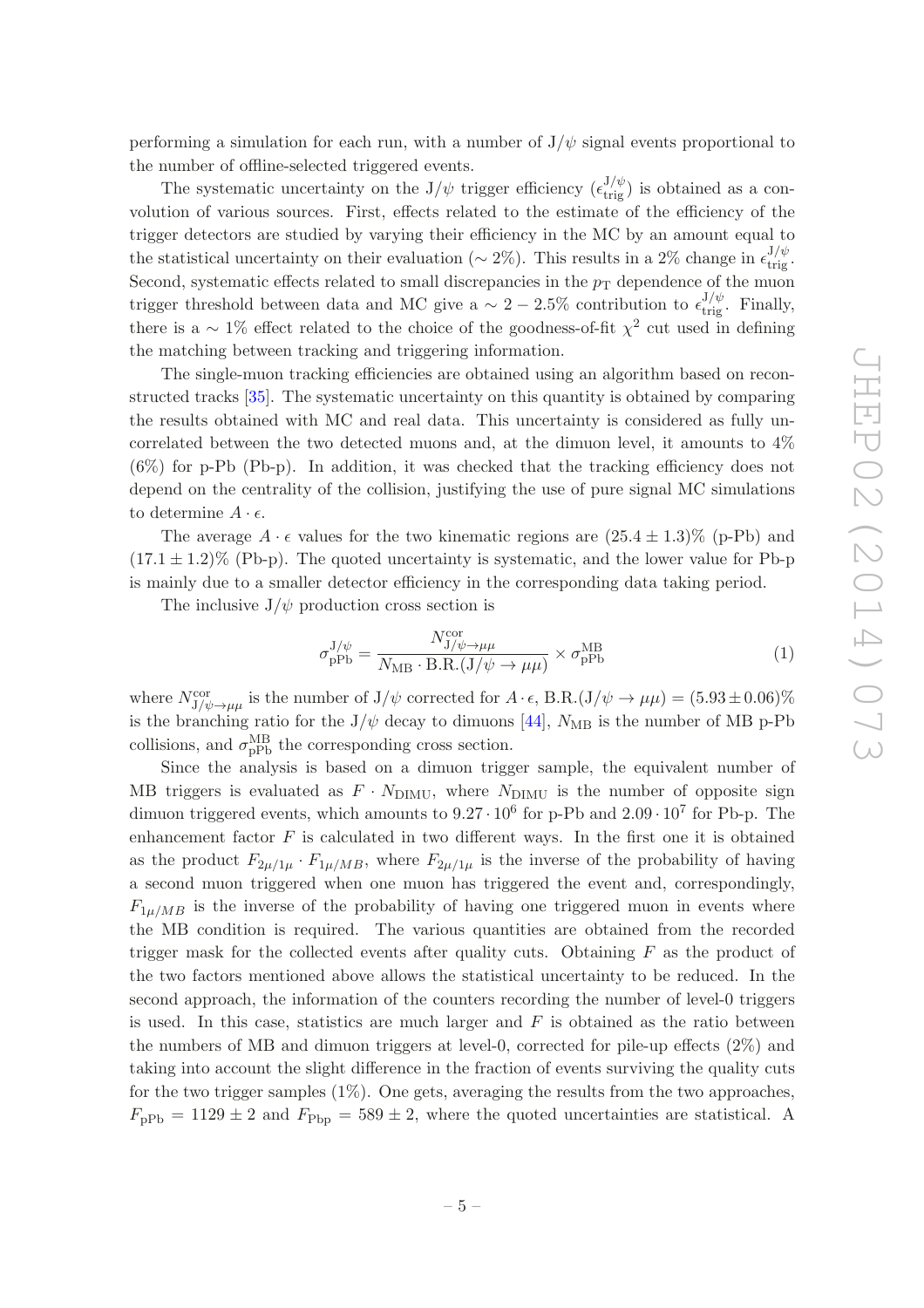performing a simulation for each run, with a number of  $J/\psi$  signal events proportional to the number of offline-selected triggered events.

The systematic uncertainty on the  $J/\psi$  trigger efficiency  $(\epsilon_{\text{trig}}^{J/\psi})$  is obtained as a convolution of various sources. First, effects related to the estimate of the efficiency of the trigger detectors are studied by varying their efficiency in the MC by an amount equal to the statistical uncertainty on their evaluation ( $\sim 2\%$ ). This results in a 2% change in  $\epsilon_{\text{trig}}^{J/\psi}$ . Second, systematic effects related to small discrepancies in the  $p_T$  dependence of the muon trigger threshold between data and MC give a  $\sim 2-2.5\%$  contribution to  $\epsilon_{\text{trig}}^{J/\psi}$ . Finally, there is a ~ 1% effect related to the choice of the goodness-of-fit  $\chi^2$  cut used in defining the matching between tracking and triggering information.

The single-muon tracking efficiencies are obtained using an algorithm based on reconstructed tracks [\[35\]](#page-16-10). The systematic uncertainty on this quantity is obtained by comparing the results obtained with MC and real data. This uncertainty is considered as fully uncorrelated between the two detected muons and, at the dimuon level, it amounts to 4% (6%) for p-Pb (Pb-p). In addition, it was checked that the tracking efficiency does not depend on the centrality of the collision, justifying the use of pure signal MC simulations to determine  $A \cdot \epsilon$ .

The average  $A \cdot \epsilon$  values for the two kinematic regions are  $(25.4 \pm 1.3)\%$  (p-Pb) and  $(17.1 \pm 1.2)\%$  (Pb-p). The quoted uncertainty is systematic, and the lower value for Pb-p is mainly due to a smaller detector efficiency in the corresponding data taking period.

The inclusive  $J/\psi$  production cross section is

$$
\sigma_{\text{pPb}}^{\text{J}/\psi} = \frac{N_{\text{J}/\psi \to \mu\mu}^{\text{cor}}}{N_{\text{MB}} \cdot \text{B.R.}(\text{J}/\psi \to \mu\mu)} \times \sigma_{\text{pPb}}^{\text{MB}} \tag{1}
$$

where  $N_{J/\psi \to \mu\mu}^{cor}$  is the number of  $J/\psi$  corrected for  $A \cdot \epsilon$ , B.R. $(J/\psi \to \mu\mu) = (5.93 \pm 0.06)\%$ is the branching ratio for the J/ $\psi$  decay to dimuons [\[44\]](#page-17-4),  $N_{\text{MB}}$  is the number of MB p-Pb collisions, and  $\sigma_{\text{pPb}}^{\text{MB}}$  the corresponding cross section.

Since the analysis is based on a dimuon trigger sample, the equivalent number of MB triggers is evaluated as  $F \cdot N_{\text{DIMU}}$ , where  $N_{\text{DIMU}}$  is the number of opposite sign dimuon triggered events, which amounts to  $9.27 \cdot 10^6$  for p-Pb and  $2.09 \cdot 10^7$  for Pb-p. The enhancement factor  $F$  is calculated in two different ways. In the first one it is obtained as the product  $F_{2\mu/1\mu} \cdot F_{1\mu/MB}$ , where  $F_{2\mu/1\mu}$  is the inverse of the probability of having a second muon triggered when one muon has triggered the event and, correspondingly,  $F_{1\mu/MB}$  is the inverse of the probability of having one triggered muon in events where the MB condition is required. The various quantities are obtained from the recorded trigger mask for the collected events after quality cuts. Obtaining  $F$  as the product of the two factors mentioned above allows the statistical uncertainty to be reduced. In the second approach, the information of the counters recording the number of level-0 triggers is used. In this case, statistics are much larger and  $F$  is obtained as the ratio between the numbers of MB and dimuon triggers at level-0, corrected for pile-up effects  $(2\%)$  and taking into account the slight difference in the fraction of events surviving the quality cuts for the two trigger samples  $(1\%)$ . One gets, averaging the results from the two approaches,  $F_{\text{pPb}} = 1129 \pm 2$  and  $F_{\text{Pbp}} = 589 \pm 2$ , where the quoted uncertainties are statistical. A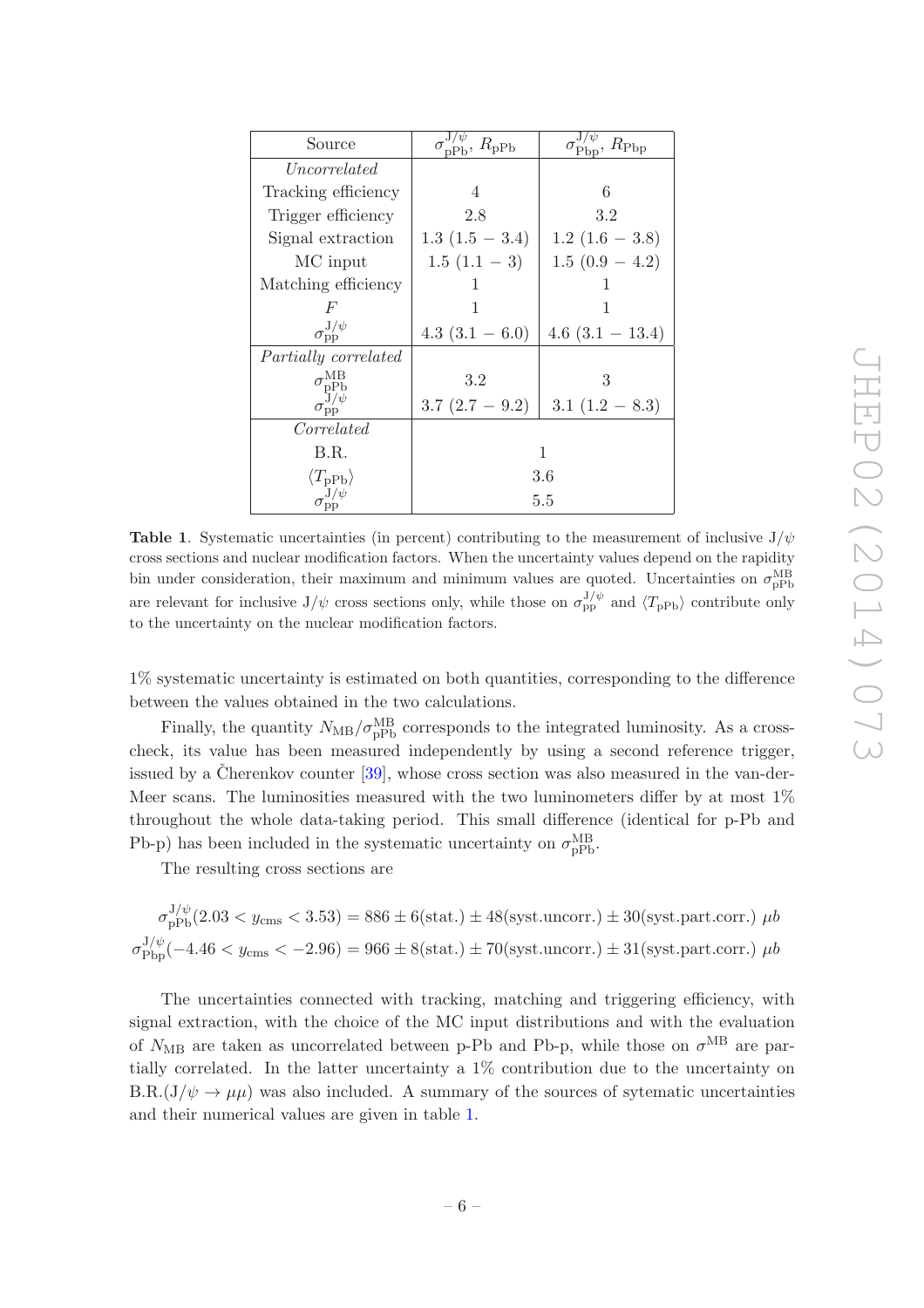| Source                             | $E_{\text{pPb}}^{\prime\,\prime},\,R_{\text{pPb}}$ | $R_{\rm Pbp}$       |
|------------------------------------|----------------------------------------------------|---------------------|
| <i>Uncorrelated</i>                |                                                    |                     |
| Tracking efficiency                | 4                                                  | 6                   |
| Trigger efficiency                 | 2.8                                                | 3.2                 |
| Signal extraction                  | $1.3(1.5 - 3.4)$                                   | $1.2$ $(1.6 - 3.8)$ |
| MC input                           | $1.5(1.1-3)$                                       | $1.5(0.9-4.2)$      |
| Matching efficiency                |                                                    |                     |
|                                    |                                                    |                     |
| $\sigma_{\rm nn}^{\rm J/\psi}$     | $4.3(3.1-6.0)$                                     | 4.6 $(3.1 - 13.4)$  |
| Partially correlated               |                                                    |                     |
|                                    | 3.2                                                | 3                   |
|                                    | 3.7 $(2.7 - 9.2)$                                  | 3.1 $(1.2 - 8.3)$   |
| Correlated                         |                                                    |                     |
| B.R.                               | 1                                                  |                     |
| $\langle T_{\mathrm{pPb}} \rangle$ | 3.6                                                |                     |
|                                    | 5.5                                                |                     |

<span id="page-6-0"></span>**Table 1.** Systematic uncertainties (in percent) contributing to the measurement of inclusive  $J/\psi$ cross sections and nuclear modification factors. When the uncertainty values depend on the rapidity bin under consideration, their maximum and minimum values are quoted. Uncertainties on  $\sigma_{\rm pPb}^{\rm MB}$ are relevant for inclusive  $J/\psi$  cross sections only, while those on  $\sigma_{\rm pp}^{J/\psi}$  and  $\langle T_{\rm pPb} \rangle$  contribute only to the uncertainty on the nuclear modification factors.

1% systematic uncertainty is estimated on both quantities, corresponding to the difference between the values obtained in the two calculations.

Finally, the quantity  $N_{\text{MB}}/\sigma_{\text{pPb}}^{\text{MB}}$  corresponds to the integrated luminosity. As a crosscheck, its value has been measured independently by using a second reference trigger, issued by a Cherenkov counter  $[39]$  $[39]$  $[39]$ , whose cross section was also measured in the van-der-Meer scans. The luminosities measured with the two luminometers differ by at most 1% throughout the whole data-taking period. This small difference (identical for p-Pb and Pb-p) has been included in the systematic uncertainty on  $\sigma_{\text{pPb}}^{\text{MB}}$ .

The resulting cross sections are

$$
\sigma_{\text{pPb}}^{J/\psi}(2.03 < y_{\text{cms}} < 3.53) = 886 \pm 6(\text{stat.}) \pm 48(\text{syst.uncorr.}) \pm 30(\text{syst.part.corr.}) \,\,\mu b
$$
\n
$$
\sigma_{\text{Pbp}}^{J/\psi}(-4.46 < y_{\text{cms}} < -2.96) = 966 \pm 8(\text{stat.}) \pm 70(\text{syst.uncorr.}) \pm 31(\text{syst.part.corr.}) \,\,\mu b
$$

The uncertainties connected with tracking, matching and triggering efficiency, with signal extraction, with the choice of the MC input distributions and with the evaluation of  $N_{\text{MB}}$  are taken as uncorrelated between p-Pb and Pb-p, while those on  $\sigma^{\text{MB}}$  are partially correlated. In the latter uncertainty a 1% contribution due to the uncertainty on  $B.R.(J/\psi \rightarrow \mu\mu)$  was also included. A summary of the sources of sytematic uncertainties and their numerical values are given in table [1.](#page-6-0)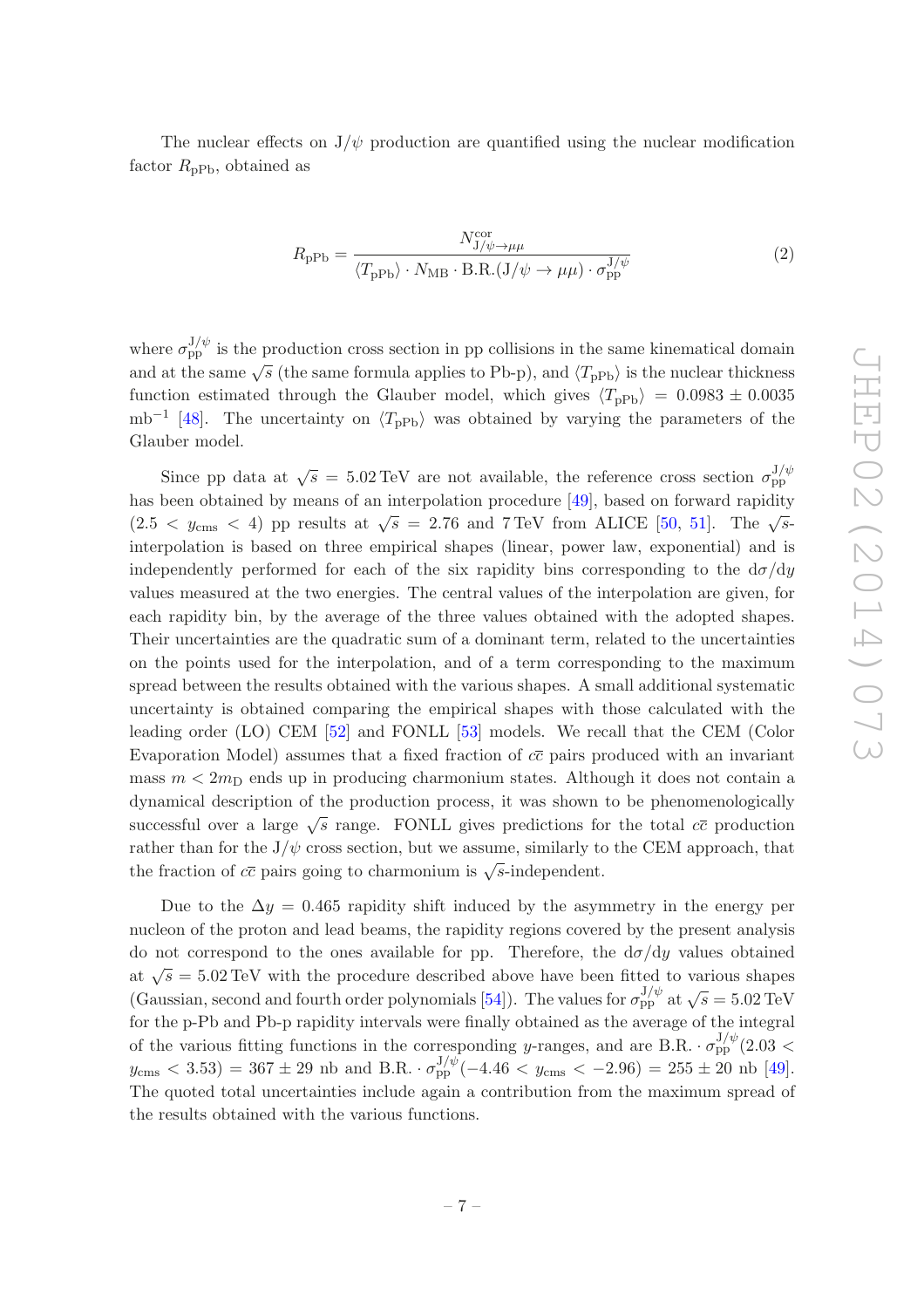The nuclear effects on  $J/\psi$  production are quantified using the nuclear modification factor  $R_{\text{pPb}}$ , obtained as

$$
R_{\rm pPb} = \frac{N_{\rm J/\psi \to \mu\mu}^{\rm cor}}{\langle T_{\rm pPb} \rangle \cdot N_{\rm MB} \cdot B.R.(J/\psi \to \mu\mu) \cdot \sigma_{\rm pp}^{\rm J/\psi}}
$$
(2)

where  $\sigma_{\rm pp}^{{\rm J}/\psi}$  is the production cross section in pp collisions in the same kinematical domain and at the same  $\sqrt{s}$  (the same formula applies to Pb-p), and  $\langle T_{\rm pPb} \rangle$  is the nuclear thickness function estimated through the Glauber model, which gives  $\langle T_{\text{pPb}} \rangle = 0.0983 \pm 0.0035$ mb<sup>-1</sup> [\[48\]](#page-17-7). The uncertainty on  $\langle T_{\rm pPb} \rangle$  was obtained by varying the parameters of the Glauber model.

Since pp data at  $\sqrt{s} = 5.02 \text{ TeV}$  are not available, the reference cross section  $\sigma_{\text{pp}}^{\text{J}/\psi}$ has been obtained by means of an interpolation procedure [\[49](#page-17-8)], based on forward rapidity  $(2.5 < y_{\rm cms} < 4)$  pp results at  $\sqrt{s} = 2.76$  and 7 TeV from ALICE [\[50](#page-17-9), [51](#page-17-10)]. The  $\sqrt{s}$ interpolation is based on three empirical shapes (linear, power law, exponential) and is independently performed for each of the six rapidity bins corresponding to the  $d\sigma/dy$ values measured at the two energies. The central values of the interpolation are given, for each rapidity bin, by the average of the three values obtained with the adopted shapes. Their uncertainties are the quadratic sum of a dominant term, related to the uncertainties on the points used for the interpolation, and of a term corresponding to the maximum spread between the results obtained with the various shapes. A small additional systematic uncertainty is obtained comparing the empirical shapes with those calculated with the leading order (LO) CEM [\[52\]](#page-17-11) and FONLL [\[53\]](#page-17-12) models. We recall that the CEM (Color Evaporation Model) assumes that a fixed fraction of  $c\bar{c}$  pairs produced with an invariant mass  $m < 2m<sub>D</sub>$  ends up in producing charmonium states. Although it does not contain a dynamical description of the production process, it was shown to be phenomenologically successful over a large  $\sqrt{s}$  range. FONLL gives predictions for the total  $c\bar{c}$  production rather than for the  $J/\psi$  cross section, but we assume, similarly to the CEM approach, that the fraction of  $c\bar{c}$  pairs going to charmonium is  $\sqrt{s}$ -independent.

Due to the  $\Delta y = 0.465$  rapidity shift induced by the asymmetry in the energy per nucleon of the proton and lead beams, the rapidity regions covered by the present analysis do not correspond to the ones available for pp. Therefore, the  $d\sigma/dy$  values obtained at  $\sqrt{s} = 5.02 \text{ TeV}$  with the procedure described above have been fitted to various shapes (Gaussian, second and fourth order polynomials [\[54](#page-17-13)]). The values for  $\sigma_{\rm pp}^{\rm J/\psi}$  at  $\sqrt{s} = 5.02 \,\rm TeV$ for the p-Pb and Pb-p rapidity intervals were finally obtained as the average of the integral of the various fitting functions in the corresponding y-ranges, and are B.R.  $\cdot \sigma_{\rm pp}^{\rm J/\psi}$  (2.03 <  $y_{\text{cms}} < 3.53$ ) = 367 ± 29 nb and B.R. ·  $\sigma_{\text{pp}}^{J/\psi}$ (-4.46 <  $y_{\text{cms}} < -2.96$ ) = 255 ± 20 nb [\[49\]](#page-17-8). The quoted total uncertainties include again a contribution from the maximum spread of the results obtained with the various functions.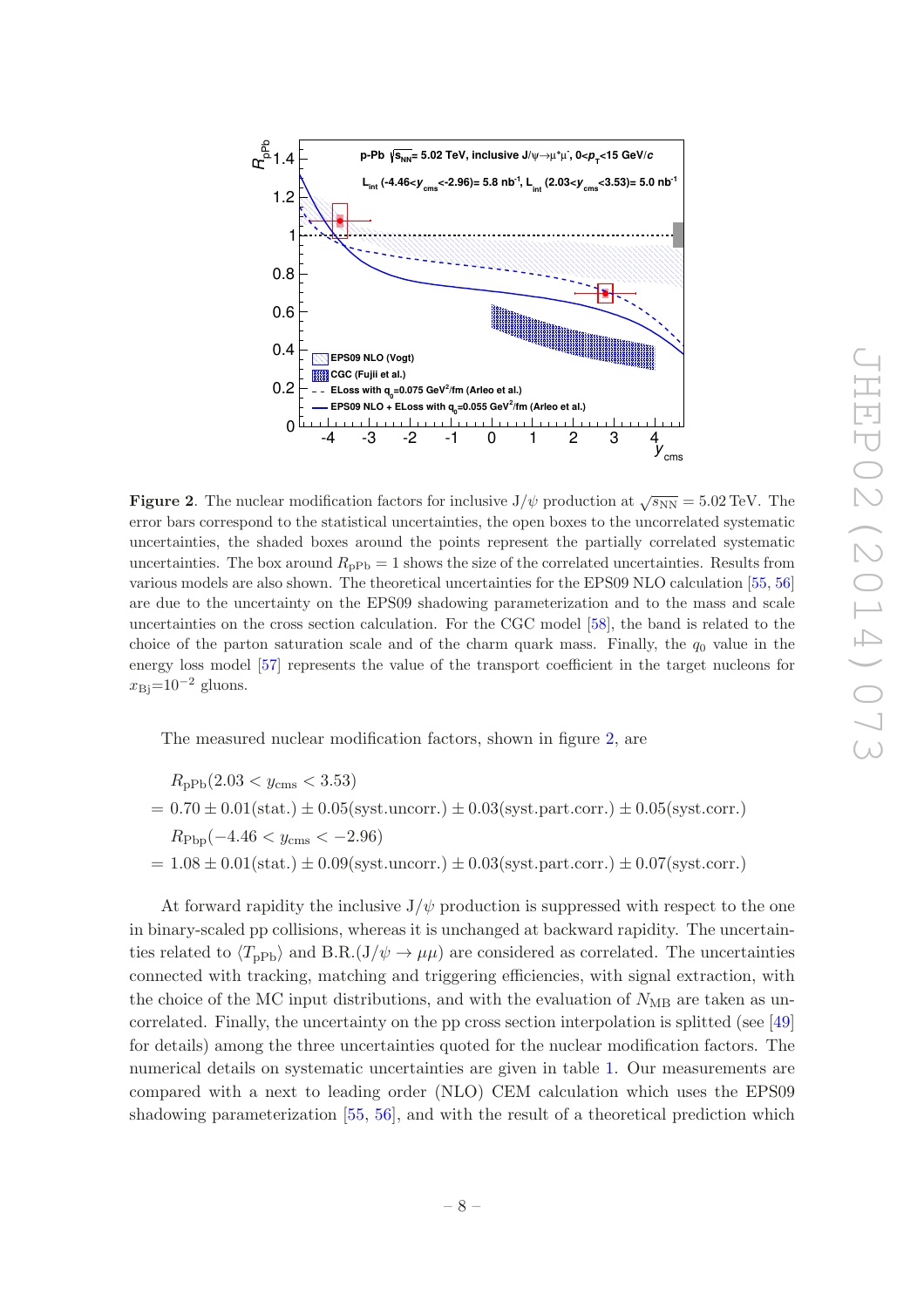

<span id="page-8-0"></span>**Figure 2.** The nuclear modification factors for inclusive  $J/\psi$  production at  $\sqrt{s_{NN}} = 5.02 \text{ TeV}$ . The error bars correspond to the statistical uncertainties, the open boxes to the uncorrelated systematic uncertainties, the shaded boxes around the points represent the partially correlated systematic uncertainties. The box around  $R_{\text{pPb}} = 1$  shows the size of the correlated uncertainties. Results from various models are also shown. The theoretical uncertainties for the EPS09 NLO calculation [\[55,](#page-17-14) [56](#page-17-15)] are due to the uncertainty on the EPS09 shadowing parameterization and to the mass and scale uncertainties on the cross section calculation. For the CGC model [\[58\]](#page-17-16), the band is related to the choice of the parton saturation scale and of the charm quark mass. Finally, the  $q_0$  value in the energy loss model [\[57](#page-17-17)] represents the value of the transport coefficient in the target nucleons for  $x_{\text{Bj}}$ =10<sup>-2</sup> gluons.

The measured nuclear modification factors, shown in figure [2,](#page-8-0) are

 $R_{\rm pPb}(2.03 < y_{\rm cms} < 3.53)$  $= 0.70 \pm 0.01({\rm stat.}) \pm 0.05({\rm syst.}$ uncorr.)  $\pm 0.03({\rm syst.}$ part.corr.)  $\pm 0.05({\rm syst.}$ corr.)  $R_{\text{Pbo}}(-4.46 < y_{\text{cms}} < -2.96)$  $= 1.08 \pm 0.01({\rm stat.}) \pm 0.09({\rm syst.}$  uncorr.)  $\pm 0.03({\rm syst.}$  part.corr.)  $\pm 0.07({\rm syst.}$  corr.)

At forward rapidity the inclusive  $J/\psi$  production is suppressed with respect to the one in binary-scaled pp collisions, whereas it is unchanged at backward rapidity. The uncertainties related to  $\langle T_{\text{pPb}} \rangle$  and B.R. $(J/\psi \to \mu\mu)$  are considered as correlated. The uncertainties connected with tracking, matching and triggering efficiencies, with signal extraction, with the choice of the MC input distributions, and with the evaluation of  $N_{\text{MB}}$  are taken as uncorrelated. Finally, the uncertainty on the pp cross section interpolation is splitted (see [\[49\]](#page-17-8) for details) among the three uncertainties quoted for the nuclear modification factors. The numerical details on systematic uncertainties are given in table [1.](#page-6-0) Our measurements are compared with a next to leading order (NLO) CEM calculation which uses the EPS09 shadowing parameterization [\[55,](#page-17-14) [56](#page-17-15)], and with the result of a theoretical prediction which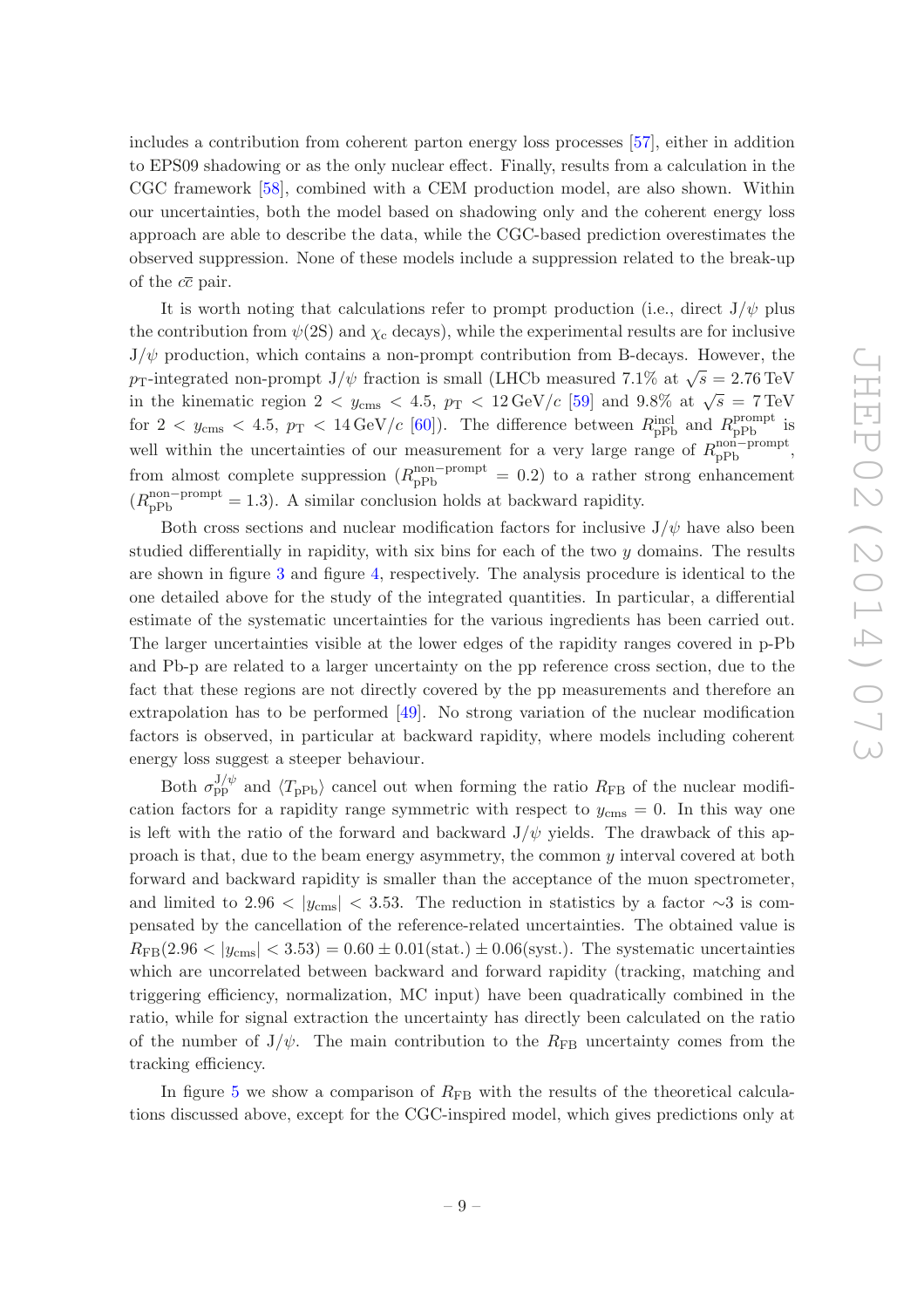includes a contribution from coherent parton energy loss processes [\[57\]](#page-17-17), either in addition to EPS09 shadowing or as the only nuclear effect. Finally, results from a calculation in the CGC framework [\[58](#page-17-16)], combined with a CEM production model, are also shown. Within our uncertainties, both the model based on shadowing only and the coherent energy loss approach are able to describe the data, while the CGC-based prediction overestimates the observed suppression. None of these models include a suppression related to the break-up of the  $c\bar{c}$  pair.

It is worth noting that calculations refer to prompt production (i.e., direct  $J/\psi$  plus the contribution from  $\psi(2S)$  and  $\chi_c$  decays), while the experimental results are for inclusive  $J/\psi$  production, which contains a non-prompt contribution from B-decays. However, the p<sub>T</sub>-integrated non-prompt J/ $\psi$  fraction is small (LHCb measured 7.1% at  $\sqrt{s} = 2.76 \text{ TeV}$ in the kinematic region 2 <  $y_{\text{cms}}$  < 4.5,  $p_{\text{T}}$  < 12 GeV/c [\[59\]](#page-18-0) and 9.8% at  $\sqrt{s}$  = 7 TeV for  $2 < y_{\text{cms}} < 4.5$ ,  $p_T < 14 \,\text{GeV}/c$  [\[60\]](#page-18-1)). The difference between  $R_{\text{pPb}}^{\text{incl}}$  and  $R_{\text{pPb}}^{\text{prompt}}$  is well within the uncertainties of our measurement for a very large range of  $R_{\text{pPb}}^{\text{non-prompt}}$ , from almost complete suppression  $(R_{\text{pPb}}^{\text{non-prompt}} = 0.2)$  to a rather strong enhancement  $(R_{\text{pPb}}^{\text{non-prompt}} = 1.3)$ . A similar conclusion holds at backward rapidity.

Both cross sections and nuclear modification factors for inclusive  $J/\psi$  have also been studied differentially in rapidity, with six bins for each of the two y domains. The results are shown in figure [3](#page-10-0) and figure [4,](#page-10-1) respectively. The analysis procedure is identical to the one detailed above for the study of the integrated quantities. In particular, a differential estimate of the systematic uncertainties for the various ingredients has been carried out. The larger uncertainties visible at the lower edges of the rapidity ranges covered in p-Pb and Pb-p are related to a larger uncertainty on the pp reference cross section, due to the fact that these regions are not directly covered by the pp measurements and therefore an extrapolation has to be performed [\[49\]](#page-17-8). No strong variation of the nuclear modification factors is observed, in particular at backward rapidity, where models including coherent energy loss suggest a steeper behaviour.

Both  $\sigma_{\rm pp}^{\rm J/\psi}$  and  $\langle T_{\rm pPb} \rangle$  cancel out when forming the ratio  $R_{\rm FB}$  of the nuclear modification factors for a rapidity range symmetric with respect to  $y_{\rm cms}=0$ . In this way one is left with the ratio of the forward and backward  $J/\psi$  yields. The drawback of this approach is that, due to the beam energy asymmetry, the common y interval covered at both forward and backward rapidity is smaller than the acceptance of the muon spectrometer, and limited to 2.96 <  $|y_{\rm cms}|$  < 3.53. The reduction in statistics by a factor  $\sim$ 3 is compensated by the cancellation of the reference-related uncertainties. The obtained value is  $R_{\text{FB}}(2.96 < |y_{\text{cms}}| < 3.53) = 0.60 \pm 0.01(\text{stat.}) \pm 0.06(\text{syst.})$ . The systematic uncertainties which are uncorrelated between backward and forward rapidity (tracking, matching and triggering efficiency, normalization, MC input) have been quadratically combined in the ratio, while for signal extraction the uncertainty has directly been calculated on the ratio of the number of  $J/\psi$ . The main contribution to the  $R_{\text{FB}}$  uncertainty comes from the tracking efficiency.

In figure [5](#page-11-0) we show a comparison of  $R_{\text{FB}}$  with the results of the theoretical calculations discussed above, except for the CGC-inspired model, which gives predictions only at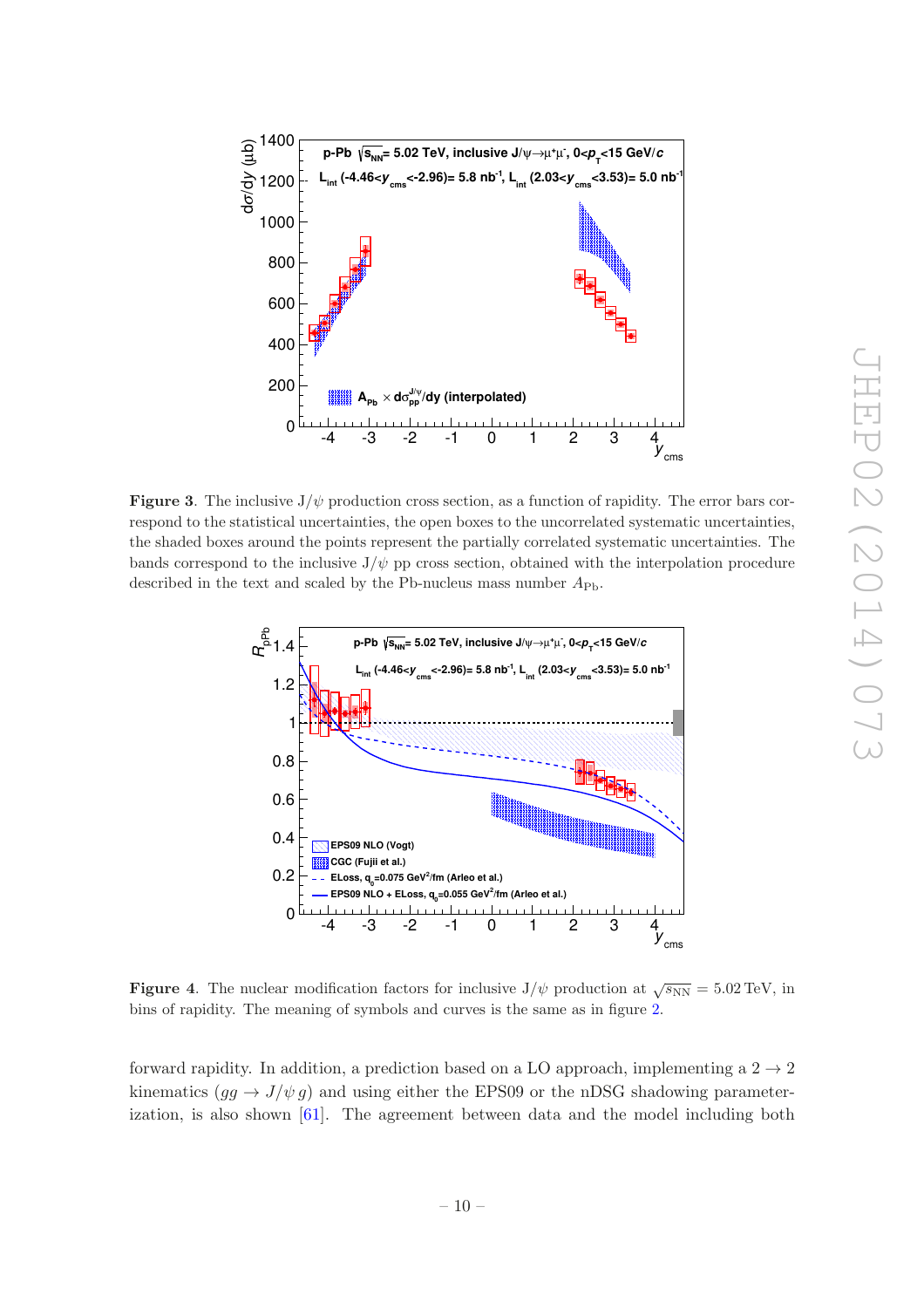

<span id="page-10-0"></span>**Figure 3.** The inclusive  $J/\psi$  production cross section, as a function of rapidity. The error bars correspond to the statistical uncertainties, the open boxes to the uncorrelated systematic uncertainties, the shaded boxes around the points represent the partially correlated systematic uncertainties. The bands correspond to the inclusive  $J/\psi$  pp cross section, obtained with the interpolation procedure described in the text and scaled by the Pb-nucleus mass number  $A_{\text{Pb}}$ .



<span id="page-10-1"></span>**Figure 4.** The nuclear modification factors for inclusive  $J/\psi$  production at  $\sqrt{s_{NN}} = 5.02 \,\text{TeV}$ , in bins of rapidity. The meaning of symbols and curves is the same as in figure [2.](#page-8-0)

forward rapidity. In addition, a prediction based on a LO approach, implementing a  $2 \rightarrow 2$ kinematics  $(gg \to J/\psi g)$  and using either the EPS09 or the nDSG shadowing parameterization, is also shown [\[61](#page-18-2)]. The agreement between data and the model including both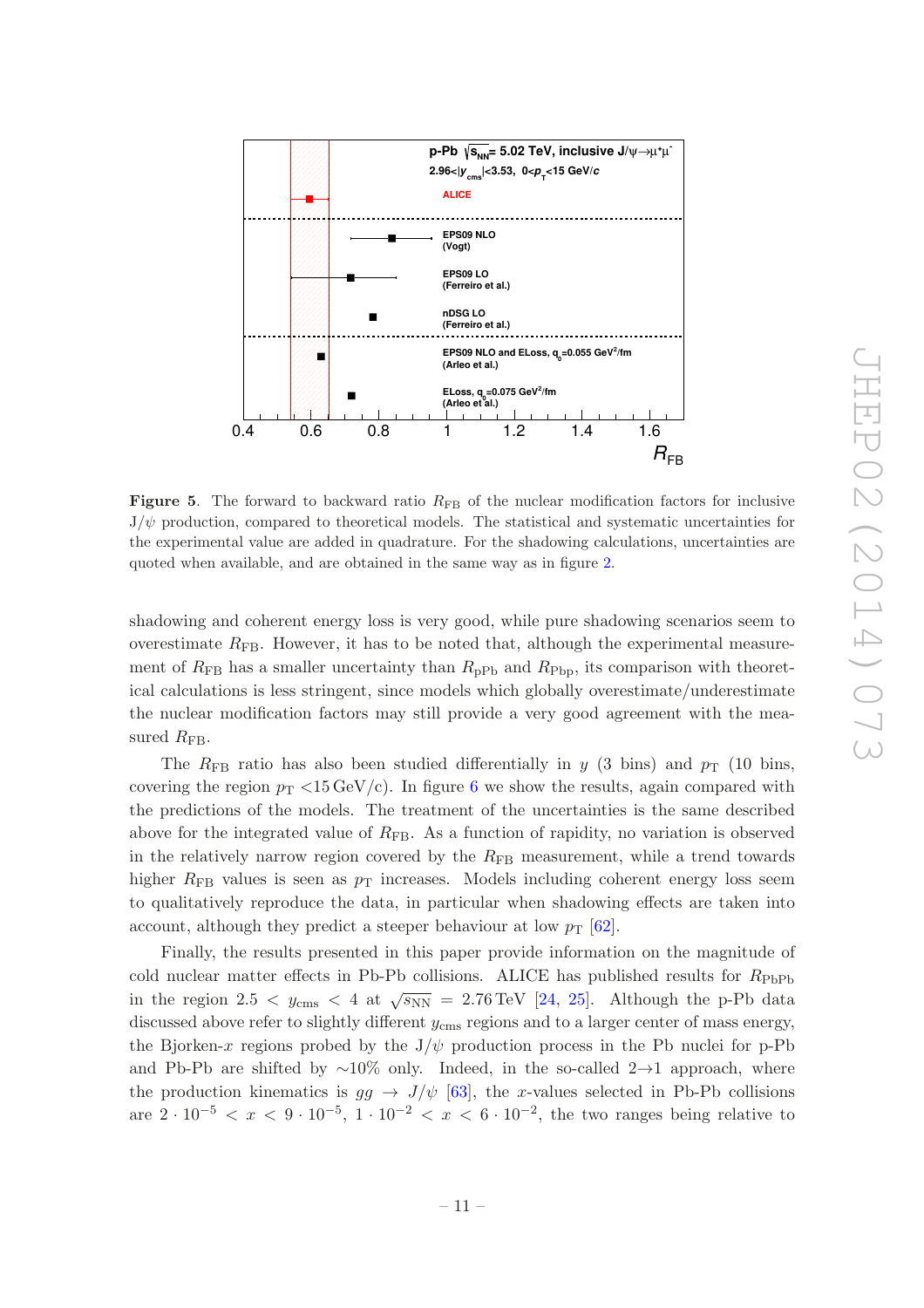

<span id="page-11-0"></span>**Figure 5.** The forward to backward ratio  $R_{FB}$  of the nuclear modification factors for inclusive  $J/\psi$  production, compared to theoretical models. The statistical and systematic uncertainties for the experimental value are added in quadrature. For the shadowing calculations, uncertainties are quoted when available, and are obtained in the same way as in figure [2.](#page-8-0)

shadowing and coherent energy loss is very good, while pure shadowing scenarios seem to overestimate  $R_{\text{FB}}$ . However, it has to be noted that, although the experimental measurement of  $R_{\text{FB}}$  has a smaller uncertainty than  $R_{\text{pPb}}$  and  $R_{\text{Pbp}}$ , its comparison with theoretical calculations is less stringent, since models which globally overestimate/underestimate the nuclear modification factors may still provide a very good agreement with the measured  $R_{\text{FB}}$ .

The R<sub>FB</sub> ratio has also been studied differentially in y (3 bins) and  $p_T$  (10 bins, covering the region  $p_T < 15 \,\text{GeV/c}$ . In figure [6](#page-12-0) we show the results, again compared with the predictions of the models. The treatment of the uncertainties is the same described above for the integrated value of  $R_{FB}$ . As a function of rapidity, no variation is observed in the relatively narrow region covered by the  $R_{FB}$  measurement, while a trend towards higher  $R_{FB}$  values is seen as  $p_T$  increases. Models including coherent energy loss seem to qualitatively reproduce the data, in particular when shadowing effects are taken into account, although they predict a steeper behaviour at low  $p_T$  [\[62](#page-18-3)].

Finally, the results presented in this paper provide information on the magnitude of cold nuclear matter effects in Pb-Pb collisions. ALICE has published results for  $R_{\text{PbPb}}$ in the region 2.5 <  $y_{\rm cms}$  < 4 at  $\sqrt{s_{\rm NN}}$  = 2.76 TeV [\[24,](#page-16-1) [25\]](#page-16-15). Although the p-Pb data discussed above refer to slightly different  $y_{\text{cms}}$  regions and to a larger center of mass energy, the Bjorken-x regions probed by the  $J/\psi$  production process in the Pb nuclei for p-Pb and Pb-Pb are shifted by  $\sim 10\%$  only. Indeed, in the so-called 2→1 approach, where the production kinematics is  $gg \to J/\psi$  [\[63](#page-18-4)], the x-values selected in Pb-Pb collisions are  $2 \cdot 10^{-5} < x < 9 \cdot 10^{-5}$ ,  $1 \cdot 10^{-2} < x < 6 \cdot 10^{-2}$ , the two ranges being relative to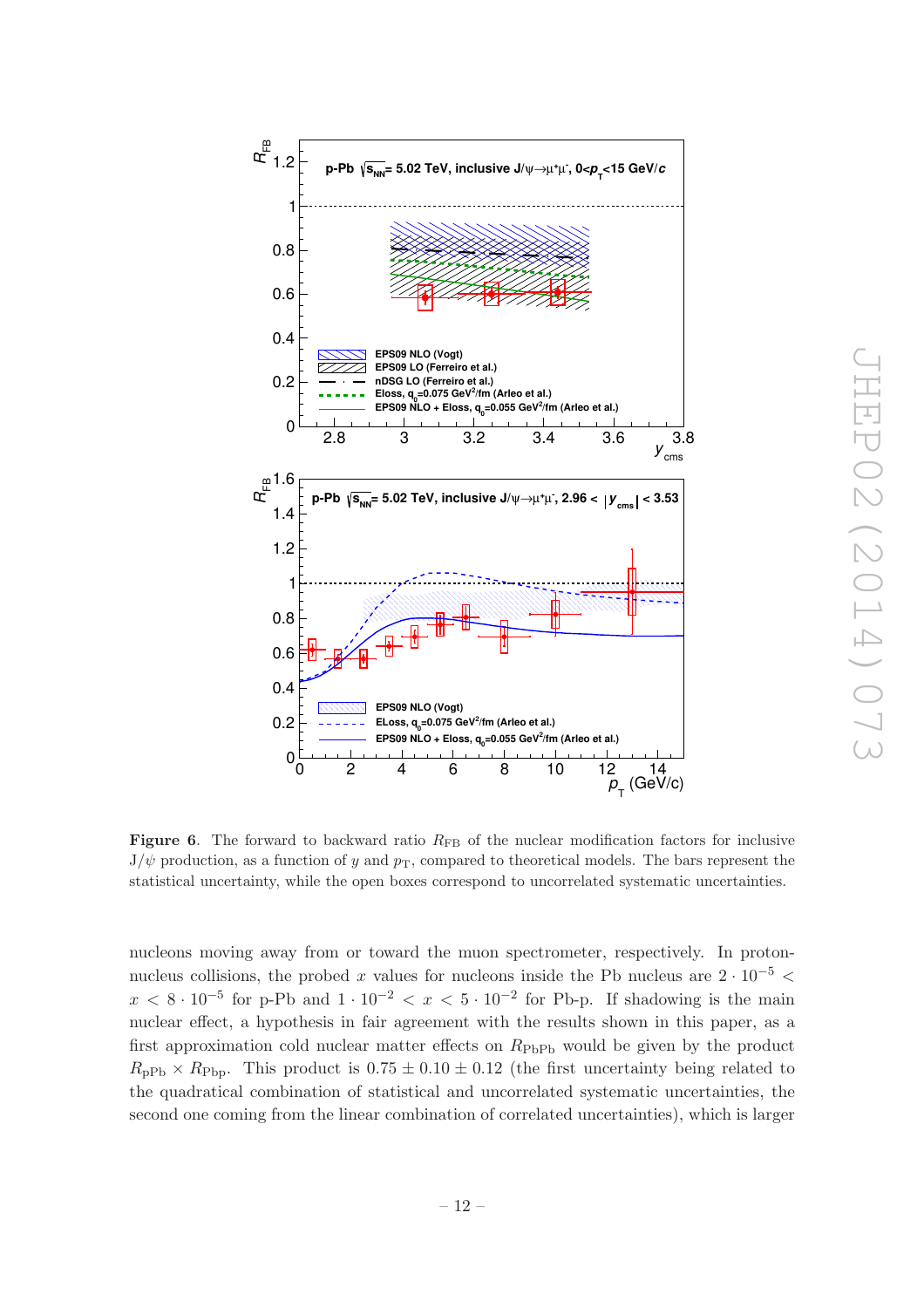

<span id="page-12-0"></span>**Figure 6.** The forward to backward ratio  $R_{FB}$  of the nuclear modification factors for inclusive  $J/\psi$  production, as a function of y and  $p_T$ , compared to theoretical models. The bars represent the statistical uncertainty, while the open boxes correspond to uncorrelated systematic uncertainties.

nucleons moving away from or toward the muon spectrometer, respectively. In protonnucleus collisions, the probed x values for nucleons inside the Pb nucleus are  $2 \cdot 10^{-5}$  <  $x < 8 \cdot 10^{-5}$  for p-Pb and  $1 \cdot 10^{-2} < x < 5 \cdot 10^{-2}$  for Pb-p. If shadowing is the main nuclear effect, a hypothesis in fair agreement with the results shown in this paper, as a first approximation cold nuclear matter effects on  $R_{\text{PbPb}}$  would be given by the product  $R_{\text{pPb}} \times R_{\text{Pbp}}$ . This product is  $0.75 \pm 0.10 \pm 0.12$  (the first uncertainty being related to the quadratical combination of statistical and uncorrelated systematic uncertainties, the second one coming from the linear combination of correlated uncertainties), which is larger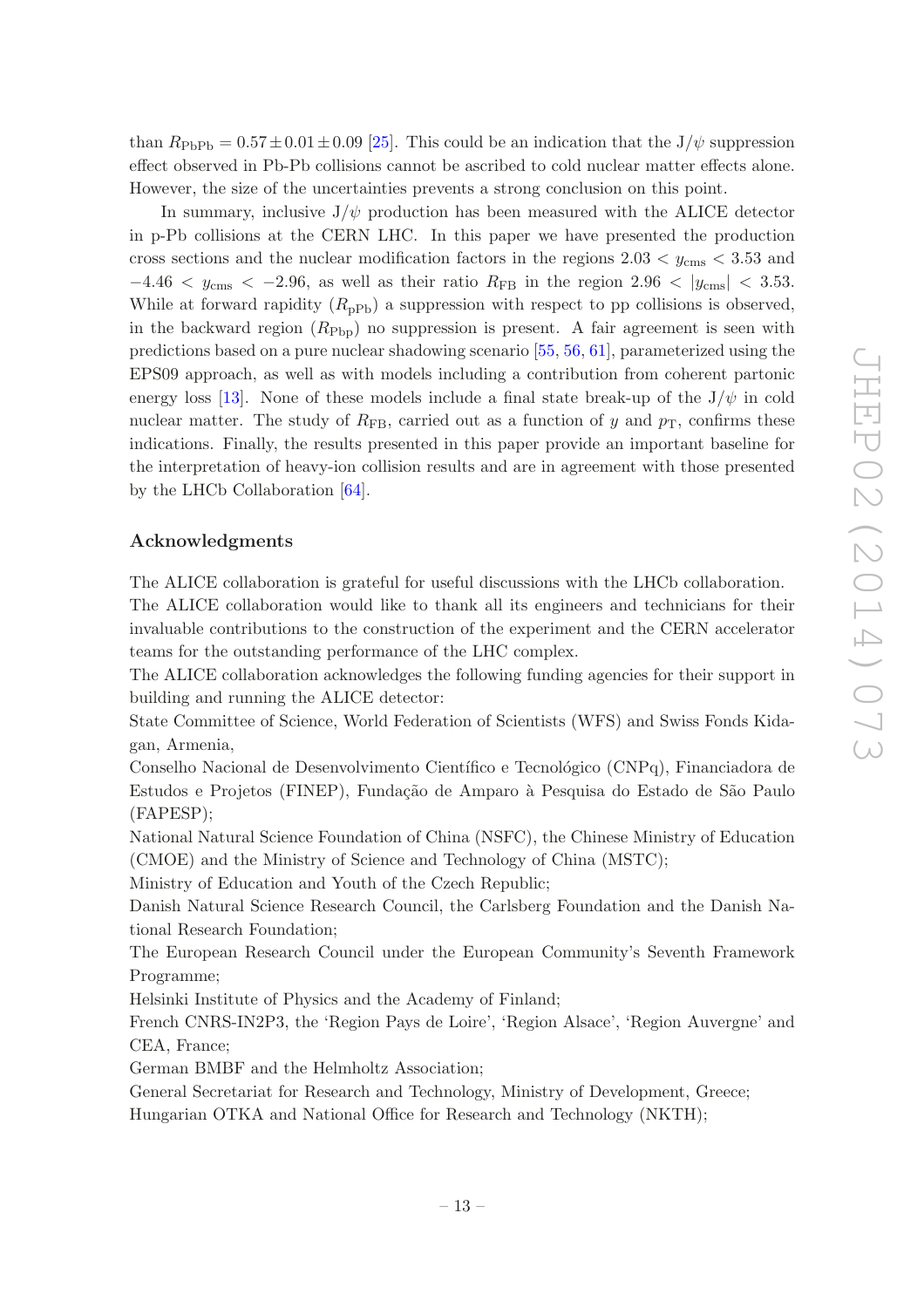than  $R_{\text{PbPb}} = 0.57 \pm 0.01 \pm 0.09$  [\[25\]](#page-16-15). This could be an indication that the J/ $\psi$  suppression effect observed in Pb-Pb collisions cannot be ascribed to cold nuclear matter effects alone. However, the size of the uncertainties prevents a strong conclusion on this point.

In summary, inclusive  $J/\psi$  production has been measured with the ALICE detector in p-Pb collisions at the CERN LHC. In this paper we have presented the production cross sections and the nuclear modification factors in the regions  $2.03 < y_{\rm cms} < 3.53$  and  $-4.46 < y_{\rm cms} < -2.96$ , as well as their ratio  $R_{\rm FB}$  in the region  $2.96 < |y_{\rm cms}| < 3.53$ . While at forward rapidity  $(R_{\text{pPb}})$  a suppression with respect to pp collisions is observed, in the backward region  $(R_{\text{Pbp}})$  no suppression is present. A fair agreement is seen with predictions based on a pure nuclear shadowing scenario [\[55](#page-17-14), [56,](#page-17-15) [61](#page-18-2)], parameterized using the EPS09 approach, as well as with models including a contribution from coherent partonic energy loss [\[13](#page-15-5)]. None of these models include a final state break-up of the  $J/\psi$  in cold nuclear matter. The study of  $R_{\text{FB}}$ , carried out as a function of y and  $p_{\text{T}}$ , confirms these indications. Finally, the results presented in this paper provide an important baseline for the interpretation of heavy-ion collision results and are in agreement with those presented by the LHCb Collaboration [\[64\]](#page-18-5).

#### Acknowledgments

The ALICE collaboration is grateful for useful discussions with the LHCb collaboration.

The ALICE collaboration would like to thank all its engineers and technicians for their invaluable contributions to the construction of the experiment and the CERN accelerator teams for the outstanding performance of the LHC complex.

The ALICE collaboration acknowledges the following funding agencies for their support in building and running the ALICE detector:

State Committee of Science, World Federation of Scientists (WFS) and Swiss Fonds Kidagan, Armenia,

Conselho Nacional de Desenvolvimento Científico e Tecnológico (CNPq), Financiadora de Estudos e Projetos (FINEP), Fundação de Amparo à Pesquisa do Estado de São Paulo (FAPESP);

National Natural Science Foundation of China (NSFC), the Chinese Ministry of Education (CMOE) and the Ministry of Science and Technology of China (MSTC);

Ministry of Education and Youth of the Czech Republic;

Danish Natural Science Research Council, the Carlsberg Foundation and the Danish National Research Foundation;

The European Research Council under the European Community's Seventh Framework Programme;

Helsinki Institute of Physics and the Academy of Finland;

French CNRS-IN2P3, the 'Region Pays de Loire', 'Region Alsace', 'Region Auvergne' and CEA, France;

German BMBF and the Helmholtz Association;

General Secretariat for Research and Technology, Ministry of Development, Greece;

Hungarian OTKA and National Office for Research and Technology (NKTH);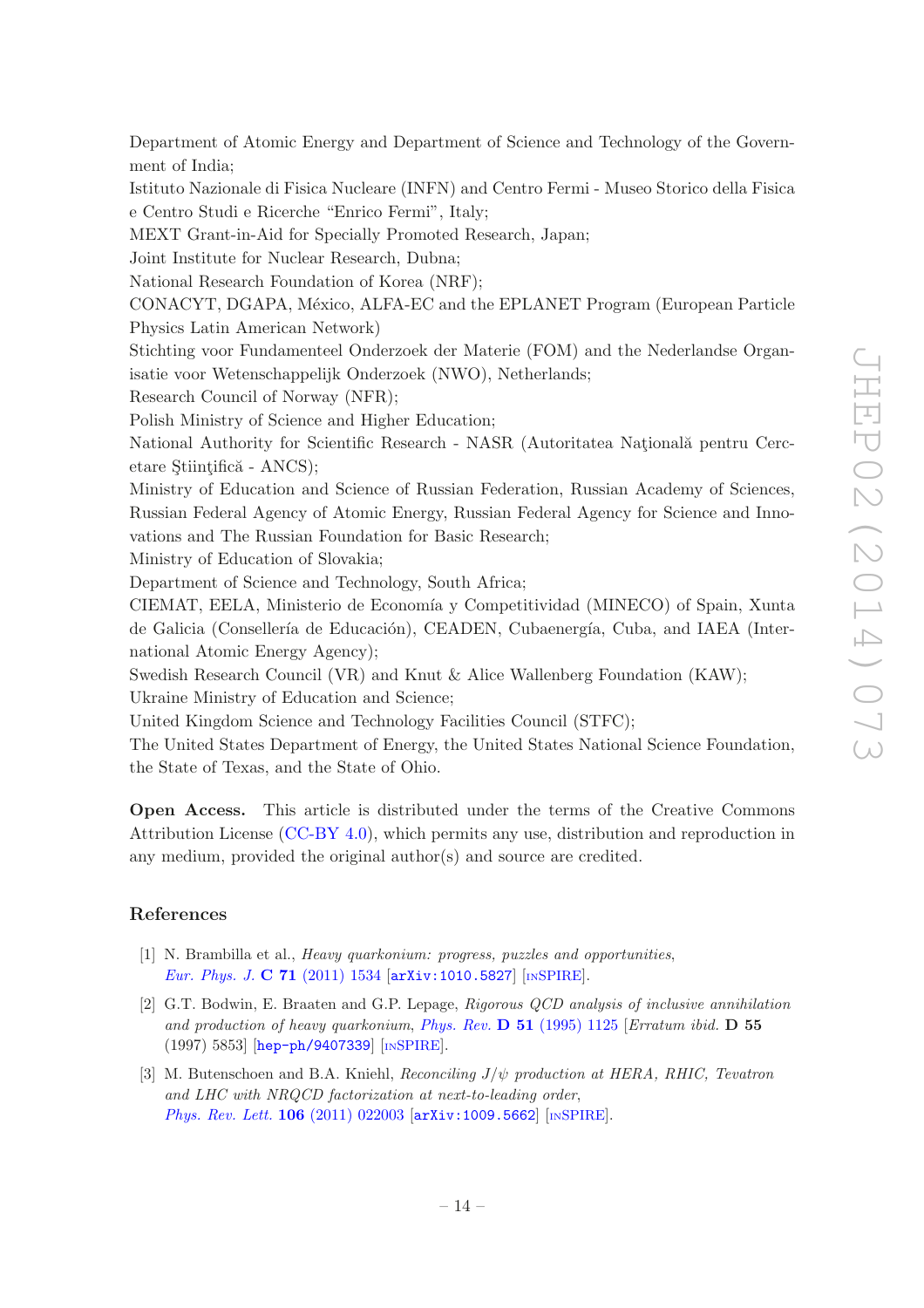Department of Atomic Energy and Department of Science and Technology of the Government of India;

Istituto Nazionale di Fisica Nucleare (INFN) and Centro Fermi - Museo Storico della Fisica e Centro Studi e Ricerche "Enrico Fermi", Italy;

MEXT Grant-in-Aid for Specially Promoted Research, Japan;

Joint Institute for Nuclear Research, Dubna;

National Research Foundation of Korea (NRF);

CONACYT, DGAPA, México, ALFA-EC and the EPLANET Program (European Particle Physics Latin American Network)

Stichting voor Fundamenteel Onderzoek der Materie (FOM) and the Nederlandse Organisatie voor Wetenschappelijk Onderzoek (NWO), Netherlands;

Research Council of Norway (NFR);

Polish Ministry of Science and Higher Education;

National Authority for Scientific Research - NASR (Autoritatea Natională pentru Cercetare Stiințifică - ANCS);

Ministry of Education and Science of Russian Federation, Russian Academy of Sciences, Russian Federal Agency of Atomic Energy, Russian Federal Agency for Science and Innovations and The Russian Foundation for Basic Research;

Ministry of Education of Slovakia;

Department of Science and Technology, South Africa;

CIEMAT, EELA, Ministerio de Economía y Competitividad (MINECO) of Spain, Xunta de Galicia (Consellería de Educación), CEADEN, Cubaenergía, Cuba, and IAEA (International Atomic Energy Agency);

Swedish Research Council (VR) and Knut & Alice Wallenberg Foundation (KAW); Ukraine Ministry of Education and Science;

United Kingdom Science and Technology Facilities Council (STFC);

The United States Department of Energy, the United States National Science Foundation, the State of Texas, and the State of Ohio.

Open Access. This article is distributed under the terms of the Creative Commons Attribution License [\(CC-BY 4.0\)](http://creativecommons.org/licenses/by/4.0/), which permits any use, distribution and reproduction in any medium, provided the original author(s) and source are credited.

## References

- <span id="page-14-0"></span>[1] N. Brambilla et al., Heavy quarkonium: progress, puzzles and opportunities, [Eur. Phys. J.](http://dx.doi.org/10.1140/epjc/s10052-010-1534-9) C 71 (2011) 1534 [[arXiv:1010.5827](http://arxiv.org/abs/1010.5827)] [IN[SPIRE](http://inspirehep.net/search?p=find+J+Eur.Phys.J.,C71,1534)].
- <span id="page-14-1"></span>[2] G.T. Bodwin, E. Braaten and G.P. Lepage, Rigorous QCD analysis of inclusive annihilation and production of heavy quarkonium, Phys. Rev.  $\bf{D} 51$  [\(1995\) 1125](http://dx.doi.org/10.1103/PhysRevD.55.5853) [Erratum ibid.  $\bf{D} 55$ (1997) 5853] [[hep-ph/9407339](http://arxiv.org/abs/hep-ph/9407339)] [IN[SPIRE](http://inspirehep.net/search?p=find+J+Phys.Rev.,D51,1125)].
- <span id="page-14-2"></span>[3] M. Butenschoen and B.A. Kniehl, Reconciling  $J/\psi$  production at HERA, RHIC, Tevatron and LHC with NRQCD factorization at next-to-leading order, [Phys. Rev. Lett.](http://dx.doi.org/10.1103/PhysRevLett.106.022003) 106 (2011) 022003 [[arXiv:1009.5662](http://arxiv.org/abs/1009.5662)] [IN[SPIRE](http://inspirehep.net/search?p=find+J+Phys.Rev.Lett.,106,022003)].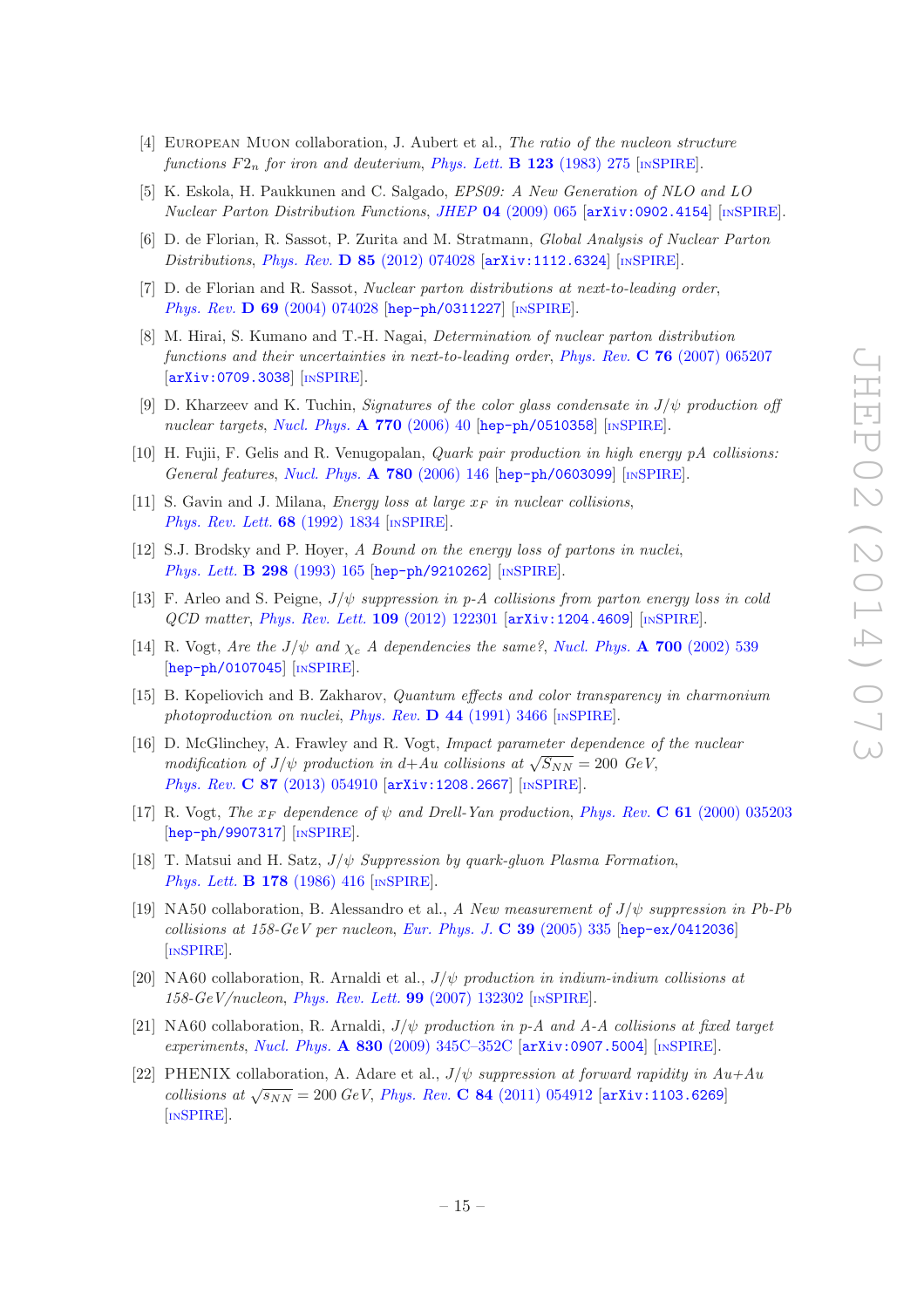- <span id="page-15-0"></span>[4] European Muon collaboration, J. Aubert et al., The ratio of the nucleon structure functions  $F2_n$  for iron and deuterium, *[Phys. Lett.](http://dx.doi.org/10.1016/0370-2693(83)90437-9)* **B 123** (1983) 275 [IN[SPIRE](http://inspirehep.net/search?p=find+J+Phys.Lett.,B123,275)].
- [5] K. Eskola, H. Paukkunen and C. Salgado, EPS09: A New Generation of NLO and LO Nuclear Parton Distribution Functions, JHEP 04 [\(2009\) 065](http://dx.doi.org/10.1088/1126-6708/2009/04/065) [[arXiv:0902.4154](http://arxiv.org/abs/0902.4154)] [IN[SPIRE](http://inspirehep.net/search?p=find+J+JHEP,0904,065)].
- [6] D. de Florian, R. Sassot, P. Zurita and M. Stratmann, Global Analysis of Nuclear Parton Distributions, Phys. Rev. D 85 [\(2012\) 074028](http://dx.doi.org/10.1103/PhysRevD.85.074028) [[arXiv:1112.6324](http://arxiv.org/abs/1112.6324)] [IN[SPIRE](http://inspirehep.net/search?p=find+J+Phys.Rev.,D85,074028)].
- [7] D. de Florian and R. Sassot, Nuclear parton distributions at next-to-leading order, *Phys. Rev.* **D** 69 [\(2004\) 074028](http://dx.doi.org/10.1103/PhysRevD.69.074028) [[hep-ph/0311227](http://arxiv.org/abs/hep-ph/0311227)] [IN[SPIRE](http://inspirehep.net/search?p=find+J+Phys.Rev.,D69,074028)].
- <span id="page-15-1"></span>[8] M. Hirai, S. Kumano and T.-H. Nagai, Determination of nuclear parton distribution functions and their uncertainties in next-to-leading order, Phys. Rev. C 76 [\(2007\) 065207](http://dx.doi.org/10.1103/PhysRevC.76.065207) [[arXiv:0709.3038](http://arxiv.org/abs/0709.3038)] [IN[SPIRE](http://inspirehep.net/search?p=find+J+Phys.Rev.,C76,065207)].
- <span id="page-15-2"></span>[9] D. Kharzeev and K. Tuchin, Signatures of the color glass condensate in  $J/\psi$  production off nuclear targets, [Nucl. Phys.](http://dx.doi.org/10.1016/j.nuclphysa.2006.01.017)  $\bf{A}$  770 (2006) 40 [[hep-ph/0510358](http://arxiv.org/abs/hep-ph/0510358)] [IN[SPIRE](http://inspirehep.net/search?p=find+J+Nucl.Phys.,A770,40)].
- <span id="page-15-3"></span>[10] H. Fujii, F. Gelis and R. Venugopalan, Quark pair production in high energy pA collisions: General features, [Nucl. Phys.](http://dx.doi.org/10.1016/j.nuclphysa.2006.09.012) **A 780** (2006) 146 [[hep-ph/0603099](http://arxiv.org/abs/hep-ph/0603099)] [IN[SPIRE](http://inspirehep.net/search?p=find+J+Nucl.Phys.,A780,146)].
- <span id="page-15-4"></span>[11] S. Gavin and J. Milana, *Energy loss at large*  $x_F$  in nuclear collisions, [Phys. Rev. Lett.](http://dx.doi.org/10.1103/PhysRevLett.68.1834) 68 (1992) 1834 [IN[SPIRE](http://inspirehep.net/search?p=find+J+Phys.Rev.Lett.,68,1834)].
- [12] S.J. Brodsky and P. Hoyer, A Bound on the energy loss of partons in nuclei, [Phys. Lett.](http://dx.doi.org/10.1016/0370-2693(93)91724-2) **B 298** (1993) 165 [[hep-ph/9210262](http://arxiv.org/abs/hep-ph/9210262)] [IN[SPIRE](http://inspirehep.net/search?p=find+J+Phys.Lett.,B298,165)].
- <span id="page-15-5"></span>[13] F. Arleo and S. Peigne,  $J/\psi$  suppression in p-A collisions from parton energy loss in cold QCD matter, [Phys. Rev. Lett.](http://dx.doi.org/10.1103/PhysRevLett.109.122301) 109 (2012) 122301 [[arXiv:1204.4609](http://arxiv.org/abs/1204.4609)] [IN[SPIRE](http://inspirehep.net/search?p=find+J+Phys.Rev.Lett.,109,122301)].
- <span id="page-15-6"></span>[14] R. Vogt, Are the  $J/\psi$  and  $\chi_c$  A dependencies the same?, [Nucl. Phys.](http://dx.doi.org/10.1016/S0375-9474(01)01313-6) A 700 (2002) 539 [[hep-ph/0107045](http://arxiv.org/abs/hep-ph/0107045)] [IN[SPIRE](http://inspirehep.net/search?p=find+J+Nucl.Phys.,A700,539)].
- [15] B. Kopeliovich and B. Zakharov, Quantum effects and color transparency in charmonium photoproduction on nuclei, Phys. Rev.  $\bf{D}$  44 [\(1991\) 3466](http://dx.doi.org/10.1103/PhysRevD.44.3466) [IN[SPIRE](http://inspirehep.net/search?p=find+J+Phys.Rev.,D44,3466)].
- <span id="page-15-7"></span>[16] D. McGlinchey, A. Frawley and R. Vogt, Impact parameter dependence of the nuclear modification of  $J/\psi$  production in d+Au collisions at  $\sqrt{S_{NN}} = 200$  GeV, Phys. Rev. C 87 [\(2013\) 054910](http://dx.doi.org/10.1103/PhysRevC.87.054910) [[arXiv:1208.2667](http://arxiv.org/abs/1208.2667)] [IN[SPIRE](http://inspirehep.net/search?p=find+J+Phys.Rev.,C87,054910)].
- <span id="page-15-8"></span>[17] R. Vogt, The  $x_F$  dependence of  $\psi$  and Drell-Yan production, Phys. Rev. C 61 [\(2000\) 035203](http://dx.doi.org/10.1103/PhysRevC.61.035203) [[hep-ph/9907317](http://arxiv.org/abs/hep-ph/9907317)] [IN[SPIRE](http://inspirehep.net/search?p=find+J+Phys.Rev.,C61,035203)].
- <span id="page-15-9"></span>[18] T. Matsui and H. Satz,  $J/\psi$  Suppression by quark-gluon Plasma Formation, [Phys. Lett.](http://dx.doi.org/10.1016/0370-2693(86)91404-8) **B 178** (1986) 416 [IN[SPIRE](http://inspirehep.net/search?p=find+J+Phys.Lett.,B178,416)].
- <span id="page-15-10"></span>[19] NA50 collaboration, B. Alessandro et al., A New measurement of  $J/\psi$  suppression in Pb-Pb collisions at  $158$ -GeV per nucleon, [Eur. Phys. J.](http://dx.doi.org/10.1140/epjc/s2004-02107-9) C 39 (2005) 335 [[hep-ex/0412036](http://arxiv.org/abs/hep-ex/0412036)] [IN[SPIRE](http://inspirehep.net/search?p=find+J+Eur.Phys.J.,C39,335)].
- [20] NA60 collaboration, R. Arnaldi et al.,  $J/\psi$  production in indium-indium collisions at 158-GeV/nucleon, [Phys. Rev. Lett.](http://dx.doi.org/10.1103/PhysRevLett.99.132302) 99 (2007) 132302 [IN[SPIRE](http://inspirehep.net/search?p=find+J+Phys.Rev.Lett.,99,132302)].
- <span id="page-15-11"></span>[21] NA60 collaboration, R. Arnaldi,  $J/\psi$  production in p-A and A-A collisions at fixed target experiments, Nucl. Phys.  $\mathbf{A}$  830 (2009) 345C-352C [[arXiv:0907.5004](http://arxiv.org/abs/0907.5004)] [IN[SPIRE](http://inspirehep.net/search?p=find+EPRINT+arXiv:0907.5004)].
- <span id="page-15-12"></span>[22] PHENIX collaboration, A. Adare et al.,  $J/\psi$  suppression at forward rapidity in  $Au+Au$ collisions at  $\sqrt{s_{NN}} = 200 \text{ GeV},$  Phys. Rev. C 84 [\(2011\) 054912](http://dx.doi.org/10.1103/PhysRevC.84.054912) [[arXiv:1103.6269](http://arxiv.org/abs/1103.6269)] [IN[SPIRE](http://inspirehep.net/search?p=find+J+Phys.Rev.,C84,054912)].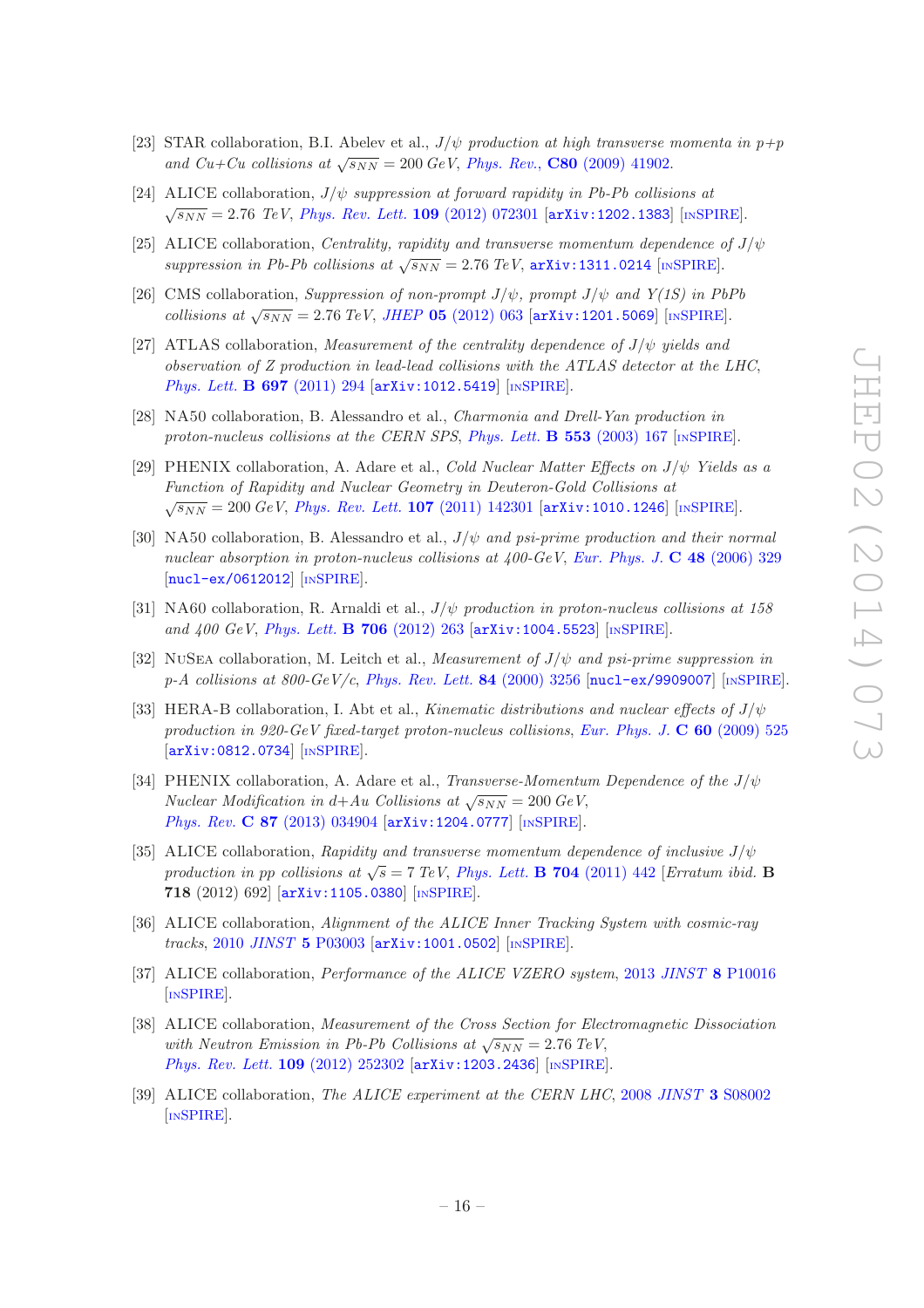- <span id="page-16-0"></span>[23] STAR collaboration, B.I. Abelev et al.,  $J/\psi$  production at high transverse momenta in  $p+p$ and  $Cu+Cu$  collisions at  $\sqrt{s_{NN}} = 200 \ GeV$ , *Phys. Rev.*, **C80** [\(2009\) 41902.](http://dx.doi.org/10.1103/PhysRevC.80.041902)
- <span id="page-16-1"></span>[24] ALICE collaboration,  $J/\psi$  suppression at forward rapidity in Pb-Pb collisions at  $\sqrt{s_{NN}} = 2.76 \text{ TeV},$  [Phys. Rev. Lett.](http://dx.doi.org/10.1103/PhysRevLett.109.072301) 109 (2012) 072301 [[arXiv:1202.1383](http://arxiv.org/abs/1202.1383)] [IN[SPIRE](http://inspirehep.net/search?p=find+J+Phys.Rev.Lett.,109,072301)].
- <span id="page-16-15"></span>[25] ALICE collaboration, Centrality, rapidity and transverse momentum dependence of  $J/\psi$ suppression in Pb-Pb collisions at  $\sqrt{s_{NN}} = 2.76 \text{ TeV}$ , [arXiv:1311.0214](http://arxiv.org/abs/1311.0214) [IN[SPIRE](http://inspirehep.net/search?p=find+EPRINT+arXiv:1311.0214)].
- [26] CMS collaboration, Suppression of non-prompt  $J/\psi$ , prompt  $J/\psi$  and  $Y(1S)$  in PbPb collisions at  $\sqrt{s_{NN}} = 2.76 \text{ TeV}$ , JHEP 05 [\(2012\) 063](http://dx.doi.org/10.1007/JHEP05(2012)063) [[arXiv:1201.5069](http://arxiv.org/abs/1201.5069)] [IN[SPIRE](http://inspirehep.net/search?p=find+J+JHEP,1205,063)].
- <span id="page-16-2"></span>[27] ATLAS collaboration, Measurement of the centrality dependence of  $J/\psi$  yields and observation of Z production in lead-lead collisions with the ATLAS detector at the LHC, [Phys. Lett.](http://dx.doi.org/10.1016/j.physletb.2011.02.006) **B 697** (2011) 294 [[arXiv:1012.5419](http://arxiv.org/abs/1012.5419)] [IN[SPIRE](http://inspirehep.net/search?p=find+J+Phys.Lett.,B697,294)].
- <span id="page-16-3"></span>[28] NA50 collaboration, B. Alessandro et al., Charmonia and Drell-Yan production in proton-nucleus collisions at the CERN SPS, [Phys. Lett.](http://dx.doi.org/10.1016/S0370-2693(02)03265-3) **B 553** (2003) 167 [IN[SPIRE](http://inspirehep.net/search?p=find+J+Phys.Lett.,B553,167)].
- <span id="page-16-4"></span>[29] PHENIX collaboration, A. Adare et al., Cold Nuclear Matter Effects on  $J/\psi$  Yields as a Function of Rapidity and Nuclear Geometry in Deuteron-Gold Collisions at  $\sqrt{s_{NN}} = 200 \text{ GeV},$  [Phys. Rev. Lett.](http://dx.doi.org/10.1103/PhysRevLett.107.142301) 107 (2011) 142301 [[arXiv:1010.1246](http://arxiv.org/abs/1010.1246)] [IN[SPIRE](http://inspirehep.net/search?p=find+J+Phys.Rev.Lett.,107,142301)].
- <span id="page-16-5"></span>[30] NA50 collaboration, B. Alessandro et al.,  $J/\psi$  and psi-prime production and their normal nuclear absorption in proton-nucleus collisions at  $400$ -GeV, [Eur. Phys. J.](http://dx.doi.org/10.1140/epjc/s10052-006-0079-4) C 48 (2006) 329 [[nucl-ex/0612012](http://arxiv.org/abs/nucl-ex/0612012)] [IN[SPIRE](http://inspirehep.net/search?p=find+J+Eur.Phys.J.,C48,329)].
- <span id="page-16-6"></span>[31] NA60 collaboration, R. Arnaldi et al.,  $J/\psi$  production in proton-nucleus collisions at 158 and  $400 \text{ GeV},$  [Phys. Lett.](http://dx.doi.org/10.1016/j.physletb.2011.11.042) **B 706** (2012) 263 [[arXiv:1004.5523](http://arxiv.org/abs/1004.5523)] [IN[SPIRE](http://inspirehep.net/search?p=find+J+Phys.Lett.,B706,263)].
- <span id="page-16-7"></span>[32] NUSEA collaboration, M. Leitch et al., *Measurement of*  $J/\psi$  *and psi-prime suppression in*  $p-A$  collisions at  $800$ -GeV/c, [Phys. Rev. Lett.](http://dx.doi.org/10.1103/PhysRevLett.84.3256) 84 (2000) 3256 [[nucl-ex/9909007](http://arxiv.org/abs/nucl-ex/9909007)] [IN[SPIRE](http://inspirehep.net/search?p=find+J+Phys.Rev.Lett.,84,3256)].
- <span id="page-16-8"></span>[33] HERA-B collaboration, I. Abt et al., *Kinematic distributions and nuclear effects of*  $J/\psi$ production in 920-GeV fixed-target proton-nucleus collisions, [Eur. Phys. J.](http://dx.doi.org/10.1140/epjc/s10052-009-0965-7)  $\bf{C}$  60 (2009) 525 [[arXiv:0812.0734](http://arxiv.org/abs/0812.0734)] [IN[SPIRE](http://inspirehep.net/search?p=find+J+Eur.Phys.J.,C60,525)].
- <span id="page-16-9"></span>[34] PHENIX collaboration, A. Adare et al., Transverse-Momentum Dependence of the  $J/\psi$ Nuclear Modification in d+Au Collisions at  $\sqrt{s_{NN}} = 200 \text{ GeV}$ , Phys. Rev. C 87 [\(2013\) 034904](http://dx.doi.org/10.1103/PhysRevC.87.034904) [[arXiv:1204.0777](http://arxiv.org/abs/1204.0777)] [IN[SPIRE](http://inspirehep.net/search?p=find+J+Phys.Rev.,C87,034904)].
- <span id="page-16-10"></span>[35] ALICE collaboration, Rapidity and transverse momentum dependence of inclusive  $J/\psi$ production in pp collisions at  $\sqrt{s} = 7 \text{ TeV}$ , *[Phys. Lett.](http://dx.doi.org/10.1016/j.physletb.2011.09.054)* **B** 704 (2011) 442 [*Erratum ibid.* **B** 718 (2012) 692] [[arXiv:1105.0380](http://arxiv.org/abs/1105.0380)] [IN[SPIRE](http://inspirehep.net/search?p=find+J+Phys.Lett.,B704,442)].
- <span id="page-16-11"></span>[36] ALICE collaboration, Alignment of the ALICE Inner Tracking System with cosmic-ray tracks, 2010 JINST 5 [P03003](http://dx.doi.org/10.1088/1748-0221/5/03/P03003) [[arXiv:1001.0502](http://arxiv.org/abs/1001.0502)] [IN[SPIRE](http://inspirehep.net/search?p=find+J+JINST,5,P03003)].
- <span id="page-16-12"></span>[37] ALICE collaboration, *Performance of the ALICE VZERO system*, 2013 JINST 8 [P10016](http://dx.doi.org/10.1088/1748-0221/8/10/P10016) [IN[SPIRE](http://inspirehep.net/search?p=find+J+JINST,8,P10016)].
- <span id="page-16-13"></span>[38] ALICE collaboration, Measurement of the Cross Section for Electromagnetic Dissociation with Neutron Emission in Pb-Pb Collisions at  $\sqrt{s_{NN}} = 2.76 \text{ TeV}$ , [Phys. Rev. Lett.](http://dx.doi.org/10.1103/PhysRevLett.109.252302) 109 (2012) 252302 [[arXiv:1203.2436](http://arxiv.org/abs/1203.2436)] [IN[SPIRE](http://inspirehep.net/search?p=find+J+Phys.Rev.Lett.,109,252302)].
- <span id="page-16-14"></span>[39] ALICE collaboration, The ALICE experiment at the CERN LHC, 2008 JINST 3 [S08002](http://dx.doi.org/10.1088/1748-0221/3/08/S08002) [IN[SPIRE](http://inspirehep.net/search?p=find+J+JINST,3,S08002)].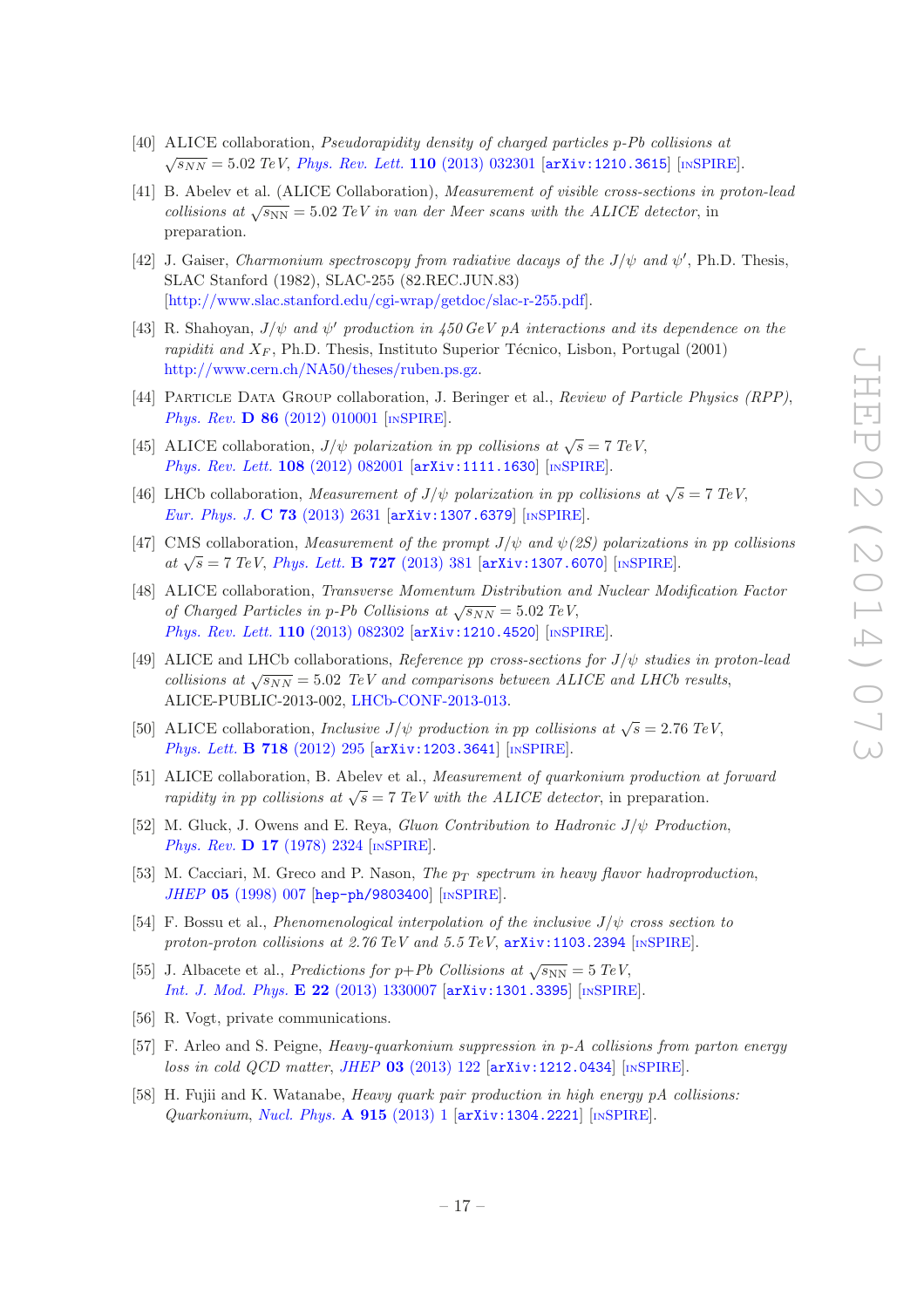- <span id="page-17-0"></span>[40] ALICE collaboration, Pseudorapidity density of charged particles p-Pb collisions at  $\sqrt{s_{NN}} = 5.02 \; TeV, \; Phys. \; Rev. \; Lett.$  110 (2013) 032301 [[arXiv:1210.3615](http://arxiv.org/abs/1210.3615)] [IN[SPIRE](http://inspirehep.net/search?p=find+J+Phys.Rev.Lett.,110,032301)].
- <span id="page-17-1"></span>[41] B. Abelev et al. (ALICE Collaboration), Measurement of visible cross-sections in proton-lead collisions at  $\sqrt{s_{NN}} = 5.02 \text{ TeV}$  in van der Meer scans with the ALICE detector, in preparation.
- <span id="page-17-2"></span>[42] J. Gaiser, Charmonium spectroscopy from radiative dacays of the  $J/\psi$  and  $\psi'$ , Ph.D. Thesis, SLAC Stanford (1982), SLAC-255 (82.REC.JUN.83) [\[http://www.slac.stanford.edu/cgi-wrap/getdoc/slac-r-255.pdf\]](http://www.slac.stanford.edu/cgi-wrap/getdoc/slac-r-255.pdf).
- <span id="page-17-3"></span>[43] R. Shahoyan,  $J/\psi$  and  $\psi'$  production in 450 GeV pA interactions and its dependence on the rapiditi and  $X_F$ , Ph.D. Thesis, Instituto Superior Técnico, Lisbon, Portugal (2001) [http://www.cern.ch/NA50/theses/ruben.ps.gz.](http://www.cern.ch/NA50/theses/ruben.ps.gz)
- <span id="page-17-4"></span>[44] Particle Data Group collaboration, J. Beringer et al., Review of Particle Physics (RPP), Phys. Rev. **D 86** [\(2012\) 010001](http://dx.doi.org/10.1103/PhysRevD.86.010001) [IN[SPIRE](http://inspirehep.net/search?p=find+J+Phys.Rev.,D86,010001)].
- <span id="page-17-5"></span>[45] ALICE collaboration,  $J/\psi$  polarization in pp collisions at  $\sqrt{s} = 7 \text{ TeV}$ , [Phys. Rev. Lett.](http://dx.doi.org/10.1103/PhysRevLett.108.082001) 108 (2012) 082001 [[arXiv:1111.1630](http://arxiv.org/abs/1111.1630)] [IN[SPIRE](http://inspirehep.net/search?p=find+J+Phys.Rev.Lett.,108,082001)].
- [46] LHCb collaboration, Measurement of  $J/\psi$  polarization in pp collisions at  $\sqrt{s} = 7 \text{ TeV}$ , [Eur. Phys. J.](http://dx.doi.org/10.1140/epjc/s10052-013-2631-3) C 73 (2013) 2631 [[arXiv:1307.6379](http://arxiv.org/abs/1307.6379)] [IN[SPIRE](http://inspirehep.net/search?p=find+EPRINT+arXiv:1307.6379)].
- <span id="page-17-6"></span>[47] CMS collaboration, Measurement of the prompt  $J/\psi$  and  $\psi(2S)$  polarizations in pp collisions at  $\sqrt{s}$  = 7 TeV, [Phys. Lett.](http://dx.doi.org/10.1016/j.physletb.2013.10.055) **B 727** (2013) 381 [[arXiv:1307.6070](http://arxiv.org/abs/1307.6070)] [IN[SPIRE](http://inspirehep.net/search?p=find+EPRINT+arXiv:1307.6070)].
- <span id="page-17-7"></span>[48] ALICE collaboration, Transverse Momentum Distribution and Nuclear Modification Factor of Charged Particles in p-Pb Collisions at  $\sqrt{s_{NN}} = 5.02 \text{ TeV}$ , [Phys. Rev. Lett.](http://dx.doi.org/10.1103/PhysRevLett.110.082302) 110 (2013) 082302 [[arXiv:1210.4520](http://arxiv.org/abs/1210.4520)] [IN[SPIRE](http://inspirehep.net/search?p=find+J+Phys.Rev.Lett.,110,082302)].
- <span id="page-17-8"></span>[49] ALICE and LHCb collaborations, Reference pp cross-sections for  $J/\psi$  studies in proton-lead collisions at  $\sqrt{s_{NN}} = 5.02$  TeV and comparisons between ALICE and LHCb results, ALICE-PUBLIC-2013-002, [LHCb-CONF-2013-013.](http://cds.cern.ch/record/1639617)
- <span id="page-17-9"></span>[50] ALICE collaboration, *Inclusive*  $J/\psi$  production in pp collisions at  $\sqrt{s} = 2.76 \text{ TeV}$ , [Phys. Lett.](http://dx.doi.org/10.1016/j.physletb.2012.10.078) **B 718** (2012) 295 [[arXiv:1203.3641](http://arxiv.org/abs/1203.3641)] [IN[SPIRE](http://inspirehep.net/search?p=find+J+Phys.Lett.,B718,295)].
- <span id="page-17-10"></span>[51] ALICE collaboration, B. Abelev et al., Measurement of quarkonium production at forward rapidity in pp collisions at  $\sqrt{s} = 7 \text{ TeV}$  with the ALICE detector, in preparation.
- <span id="page-17-11"></span>[52] M. Gluck, J. Owens and E. Reya, Gluon Contribution to Hadronic  $J/\psi$  Production, Phys. Rev. **D 17** [\(1978\) 2324](http://dx.doi.org/10.1103/PhysRevD.17.2324) [IN[SPIRE](http://inspirehep.net/search?p=find+J+Phys.Rev.,D17,2324)].
- <span id="page-17-12"></span>[53] M. Cacciari, M. Greco and P. Nason, The  $p_T$  spectrum in heavy flavor hadroproduction, JHEP 05 [\(1998\) 007](http://dx.doi.org/10.1088/1126-6708/1998/05/007) [[hep-ph/9803400](http://arxiv.org/abs/hep-ph/9803400)] [IN[SPIRE](http://inspirehep.net/search?p=find+J+JHEP,9805,007)].
- <span id="page-17-13"></span>[54] F. Bossu et al., *Phenomenological interpolation of the inclusive*  $J/\psi$  *cross section to* proton-proton collisions at  $2.76 \text{ TeV}$  and  $5.5 \text{ TeV}$ ,  $\frac{\text{arXiv:1103.2394}}{\text{insPIRE}}$  $\frac{\text{arXiv:1103.2394}}{\text{insPIRE}}$  $\frac{\text{arXiv:1103.2394}}{\text{insPIRE}}$ .
- <span id="page-17-14"></span>[55] J. Albacete et al., *Predictions for p+Pb Collisions at*  $\sqrt{s_{NN}} = 5 \text{ TeV}$ , [Int. J. Mod. Phys.](http://dx.doi.org/10.1142/S0218301313300075) E 22 (2013) 1330007 [[arXiv:1301.3395](http://arxiv.org/abs/1301.3395)] [IN[SPIRE](http://inspirehep.net/search?p=find+EPRINT+arXiv:1301.3395)].
- <span id="page-17-15"></span>[56] R. Vogt, private communications.
- <span id="page-17-17"></span>[57] F. Arleo and S. Peigne, Heavy-quarkonium suppression in p-A collisions from parton energy loss in cold QCD matter, JHEP 03 [\(2013\) 122](http://dx.doi.org/10.1007/JHEP03(2013)122) [[arXiv:1212.0434](http://arxiv.org/abs/1212.0434)] [IN[SPIRE](http://inspirehep.net/search?p=find+J+JHEP,1303,122)].
- <span id="page-17-16"></span>[58] H. Fujii and K. Watanabe, Heavy quark pair production in high energy pA collisions: Quarkonium, [Nucl. Phys.](http://dx.doi.org/10.1016/j.nuclphysa.2013.06.011)  $\bf{A}$  915 (2013) 1 [ $arX$ iv:1304.2221] [IN[SPIRE](http://inspirehep.net/search?p=find+J+Nucl.Phys.,A915,1)].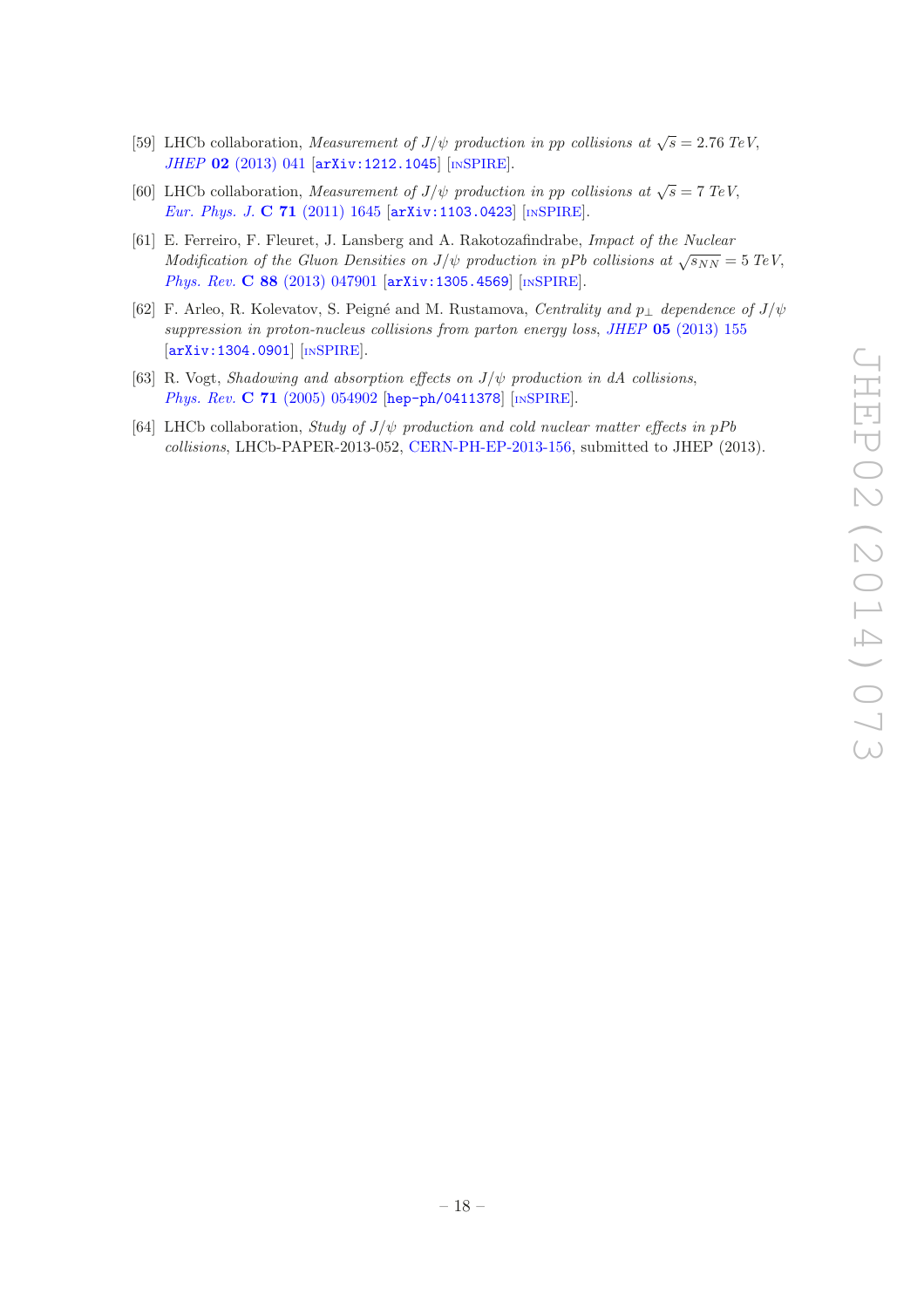- <span id="page-18-0"></span>[59] LHCb collaboration, Measurement of  $J/\psi$  production in pp collisions at  $\sqrt{s} = 2.76 \text{ TeV}$ , JHEP 02 [\(2013\) 041](http://dx.doi.org/10.1007/JHEP02(2013)041) [[arXiv:1212.1045](http://arxiv.org/abs/1212.1045)] [IN[SPIRE](http://inspirehep.net/search?p=find+J+JHEP,1302,041)].
- <span id="page-18-1"></span>[60] LHCb collaboration, Measurement of  $J/\psi$  production in pp collisions at  $\sqrt{s} = 7 \text{ TeV}$ , [Eur. Phys. J.](http://dx.doi.org/10.1140/epjc/s10052-011-1645-y) C 71 (2011) 1645 [[arXiv:1103.0423](http://arxiv.org/abs/1103.0423)] [IN[SPIRE](http://inspirehep.net/search?p=find+J+Eur.Phys.J.,C71,1645)].
- <span id="page-18-2"></span>[61] E. Ferreiro, F. Fleuret, J. Lansberg and A. Rakotozafindrabe, Impact of the Nuclear Modification of the Gluon Densities on  $J/\psi$  production in pPb collisions at  $\sqrt{s_{NN}} = 5 \text{ TeV}$ , Phys. Rev. C 88 [\(2013\) 047901](http://dx.doi.org/10.1103/PhysRevC.88.047901) [[arXiv:1305.4569](http://arxiv.org/abs/1305.4569)] [IN[SPIRE](http://inspirehep.net/search?p=find+EPRINT+arXiv:1305.4569)].
- <span id="page-18-3"></span>[62] F. Arleo, R. Kolevatov, S. Peigné and M. Rustamova, Centrality and  $p_{\perp}$  dependence of  $J/\psi$ suppression in proton-nucleus collisions from parton energy loss, JHEP 05 [\(2013\) 155](http://dx.doi.org/10.1007/JHEP05(2013)155) [[arXiv:1304.0901](http://arxiv.org/abs/1304.0901)] [IN[SPIRE](http://inspirehep.net/search?p=find+J+JHEP,1305,155)].
- <span id="page-18-4"></span>[63] R. Vogt, Shadowing and absorption effects on  $J/\psi$  production in dA collisions, Phys. Rev. C 71 [\(2005\) 054902](http://dx.doi.org/10.1103/PhysRevC.71.054902) [[hep-ph/0411378](http://arxiv.org/abs/hep-ph/0411378)] [IN[SPIRE](http://inspirehep.net/search?p=find+J+Phys.Rev.,C71,054902)].
- <span id="page-18-5"></span>[64] LHCb collaboration, Study of  $J/\psi$  production and cold nuclear matter effects in pPb collisions, LHCb-PAPER-2013-052, [CERN-PH-EP-2013-156,](http://cds.cern.ch/record/1596262) submitted to JHEP (2013).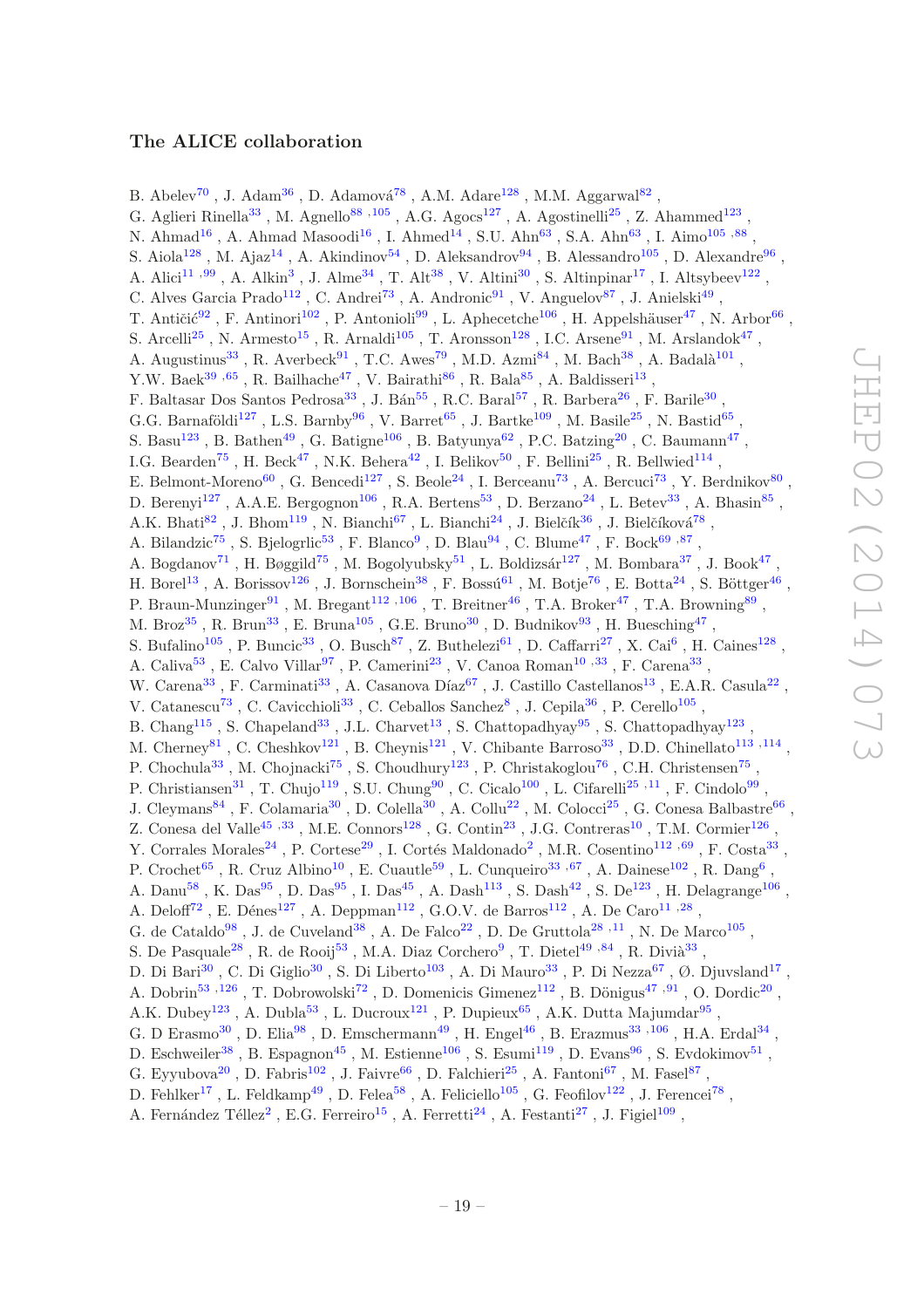### The ALICE collaboration

B. Abelev<sup>[70](#page-24-0)</sup>, J. Adam<sup>[36](#page-23-0)</sup>, D. Adamová<sup>[78](#page-24-1)</sup>, A.M. Adare<sup>[128](#page-25-0)</sup>, M.M. Aggarwal<sup>[82](#page-24-2)</sup>, G. Aglieri Rinella<sup>[33](#page-23-1)</sup>, M. Agnello<sup>[88](#page-24-3)[,105](#page-24-4)</sup>, A.G. Agocs<sup>[127](#page-25-1)</sup>, A. Agostinelli<sup>[25](#page-23-2)</sup>, Z. Ahammed<sup>[123](#page-25-2)</sup>, N. Ahmad $^{16}$  $^{16}$  $^{16}$  , A. Ahmad Masoodi $^{16}$  , I. Ahmed $^{14}$  $^{14}$  $^{14}$  , S.U. Ahn $^{63}$  $^{63}$  $^{63}$  , S.A. Ahn $^{63}$  , I. Aimo $^{105}$  $^{105}$  $^{105}$  , $^{88}$  , S. Aiola<sup>[128](#page-25-0)</sup>, M. Ajaz<sup>[14](#page-22-0)</sup>, A. Akindinov<sup>[54](#page-23-5)</sup>, D. Aleksandrov<sup>[94](#page-24-5)</sup>, B. Alessandro<sup>[105](#page-24-4)</sup>, D. Alexandre<sup>[96](#page-24-6)</sup>, A. Alici<sup>[11](#page-22-1)[,99](#page-24-7)</sup>, A. Alkin<sup>[3](#page-22-2)</sup>, J. Alme<sup>[34](#page-23-6)</sup>, T. Alt<sup>[38](#page-23-7)</sup>, V. Altini<sup>[30](#page-23-8)</sup>, S. Altinpinar<sup>[17](#page-23-9)</sup>, I. Altsybeev<sup>[122](#page-25-3)</sup>, C. Alves Garcia Prado<sup>[112](#page-24-8)</sup>, C. Andrei<sup>[73](#page-24-9)</sup>, A. Andronic<sup>[91](#page-24-10)</sup>, V. Anguelov<sup>[87](#page-24-11)</sup>, J. Anielski<sup>[49](#page-23-10)</sup>, T. Antičić<sup>[92](#page-24-12)</sup>, F. Antinori<sup>[102](#page-24-13)</sup>, P. Antonioli<sup>[99](#page-24-7)</sup>, L. Aphecetche<sup>[106](#page-24-14)</sup>, H. Appelshäuser<sup>[47](#page-23-11)</sup>, N. Arbor<sup>[66](#page-24-15)</sup>, S. Arcelli<sup>[25](#page-23-2)</sup>, N. Armesto<sup>[15](#page-22-3)</sup>, R. Arnaldi<sup>[105](#page-24-4)</sup>, T. Aronsson<sup>[128](#page-25-0)</sup>, I.C. Arsene<sup>[91](#page-24-10)</sup>, M. Arslandok<sup>[47](#page-23-11)</sup>, A. Augustinus<sup>[33](#page-23-1)</sup>, R. Averbeck<sup>[91](#page-24-10)</sup>, T.C. Awes<sup>[79](#page-24-16)</sup>, M.D. Azmi<sup>[84](#page-24-17)</sup>, M. Bach<sup>[38](#page-23-7)</sup>, A. Badalà<sup>[101](#page-24-18)</sup>, Y.W. Baek<sup>[39](#page-23-12)[,65](#page-24-19)</sup>, R. Bailhache<sup>[47](#page-23-11)</sup>, V. Bairathi<sup>[86](#page-24-20)</sup>, R. Bala<sup>[85](#page-24-21)</sup>, A. Baldisseri<sup>[13](#page-22-4)</sup>, F. Baltasar Dos Santos Pedrosa<sup>[33](#page-23-1)</sup> , J. Bán<sup>[55](#page-23-13)</sup> , R.C. Baral<sup>[57](#page-23-14)</sup> , R. Barbera<sup>[26](#page-23-15)</sup> , F. Barile<sup>[30](#page-23-8)</sup> , G.G. Barnaföldi<sup>[127](#page-25-1)</sup> , L.S. Barnby<sup>[96](#page-24-6)</sup> , V. Barret<sup>[65](#page-24-19)</sup> , J. Bartke<sup>[109](#page-24-22)</sup> , M. Basile<sup>[25](#page-23-2)</sup> , N. Bastid<sup>65</sup> , S. Basu<sup>[123](#page-25-2)</sup>, B. Bathen<sup>[49](#page-23-10)</sup>, G. Batigne<sup>[106](#page-24-14)</sup>, B. Batyunya<sup>[62](#page-23-16)</sup>, P.C. Batzing<sup>[20](#page-23-17)</sup>, C. Baumann<sup>[47](#page-23-11)</sup>, I.G. Bearden<sup>[75](#page-24-23)</sup>, H. Beck<sup>[47](#page-23-11)</sup>, N.K. Behera<sup>[42](#page-23-18)</sup>, I. Belikov<sup>[50](#page-23-19)</sup>, F. Bellini<sup>[25](#page-23-2)</sup>, R. Bellwied<sup>[114](#page-25-4)</sup>, E. Belmont-Moreno<sup>[60](#page-23-20)</sup>, G. Bencedi<sup>[127](#page-25-1)</sup>, S. Beole<sup>[24](#page-23-21)</sup>, I. Berceanu<sup>[73](#page-24-9)</sup>, A. Bercuci<sup>73</sup>, Y. Berdnikov<sup>[80](#page-24-24)</sup>, D. Berenyi<sup>[127](#page-25-1)</sup>, A.A.E. Bergognon<sup>[106](#page-24-14)</sup>, R.A. Bertens<sup>[53](#page-23-22)</sup>, D. Berzano<sup>[24](#page-23-21)</sup>, L. Betev<sup>[33](#page-23-1)</sup>, A. Bhasin<sup>[85](#page-24-21)</sup>, A.K. Bhati $^{82}$  $^{82}$  $^{82}$  , J. Bhom<sup>[119](#page-25-5)</sup> , N. Bianchi<sup>[67](#page-24-25)</sup> , L. Bianchi<sup>[24](#page-23-21)</sup> , J. Bielčík $^{36}$  $^{36}$  $^{36}$  , J. Bielčíková<sup>[78](#page-24-1)</sup> , A. Bilandzic<sup>[75](#page-24-23)</sup>, S. Bjelogrlic<sup>[53](#page-23-22)</sup>, F. Blanco<sup>[9](#page-22-5)</sup>, D. Blau<sup>[94](#page-24-5)</sup>, C. Blume<sup>[47](#page-23-11)</sup>, F. Bock<sup>[69](#page-24-26)[,87](#page-24-11)</sup>, A. Bogdanov<sup>[71](#page-24-27)</sup>, H. Bøggild<sup>[75](#page-24-23)</sup>, M. Bogolyubsky<sup>[51](#page-23-23)</sup>, L. Boldizsár<sup>[127](#page-25-1)</sup>, M. Bombara<sup>[37](#page-23-24)</sup>, J. Book<sup>[47](#page-23-11)</sup>, H. Borel<sup>[13](#page-22-4)</sup>, A. Borissov<sup>[126](#page-25-6)</sup>, J. Bornschein<sup>[38](#page-23-7)</sup>, F. Bossú<sup>[61](#page-23-25)</sup>, M. Botje<sup>[76](#page-24-28)</sup>, E. Botta<sup>[24](#page-23-21)</sup>, S. Böttger<sup>[46](#page-23-26)</sup>, P. Braun-Munzinger<sup>[91](#page-24-10)</sup>, M. Bregant<sup>[112](#page-24-8)[,106](#page-24-14)</sup>, T. Breitner<sup>[46](#page-23-26)</sup>, T.A. Broker<sup>[47](#page-23-11)</sup>, T.A. Browning<sup>[89](#page-24-29)</sup>, M. Broz<sup>[35](#page-23-27)</sup>, R. Brun<sup>[33](#page-23-1)</sup>, E. Bruna<sup>[105](#page-24-4)</sup>, G.E. Bruno<sup>[30](#page-23-8)</sup>, D. Budnikov<sup>[93](#page-24-30)</sup>, H. Buesching<sup>[47](#page-23-11)</sup>, S. Bufalino<sup>[105](#page-24-4)</sup>, P. Buncic<sup>[33](#page-23-1)</sup>, O. Busch<sup>[87](#page-24-11)</sup>, Z. Buthelezi<sup>[61](#page-23-25)</sup>, D. Caffarri<sup>[27](#page-23-28)</sup>, X. Cai<sup>[6](#page-22-6)</sup>, H. Caines<sup>[128](#page-25-0)</sup>, A. Caliva<sup>[53](#page-23-22)</sup>, E. Calvo Villar<sup>[97](#page-24-31)</sup>, P. Camerini<sup>[23](#page-23-29)</sup>, V. Canoa Roman<sup>[10](#page-22-7)[,33](#page-23-1)</sup>, F. Carena<sup>[33](#page-23-1)</sup>, W. Carena<sup>[33](#page-23-1)</sup>, F. Carminati<sup>33</sup>, A. Casanova Díaz<sup>[67](#page-24-25)</sup>, J. Castillo Castellanos<sup>[13](#page-22-4)</sup>, E.A.R. Casula<sup>[22](#page-23-30)</sup>, V. Catanescu<sup>[73](#page-24-9)</sup>, C. Cavicchioli<sup>[33](#page-23-1)</sup>, C. Ceballos Sanchez<sup>[8](#page-22-8)</sup>, J. Cepila<sup>[36](#page-23-0)</sup>, P. Cerello<sup>[105](#page-24-4)</sup>, B. Chang<sup>[115](#page-25-7)</sup>, S. Chapeland<sup>[33](#page-23-1)</sup>, J.L. Charvet<sup>[13](#page-22-4)</sup>, S. Chattopadhyay<sup>[95](#page-24-32)</sup>, S. Chattopadhyay<sup>[123](#page-25-2)</sup>, M. Cherney<sup>[81](#page-24-33)</sup>, C. Cheshkov<sup>[121](#page-25-8)</sup>, B. Cheynis<sup>121</sup>, V. Chibante Barroso<sup>[33](#page-23-1)</sup>, D.D. Chinellato<sup>[113](#page-25-9)</sup>,<sup>114</sup>, P. Chochula<sup>[33](#page-23-1)</sup>, M. Chojnacki<sup>[75](#page-24-23)</sup>, S. Choudhury<sup>[123](#page-25-2)</sup>, P. Christakoglou<sup>[76](#page-24-28)</sup>, C.H. Christensen<sup>75</sup> , P. Christiansen<sup>[31](#page-23-31)</sup>, T. Chujo<sup>[119](#page-25-5)</sup>, S.U. Chung<sup>[90](#page-24-34)</sup>, C. Cicalo<sup>[100](#page-24-35)</sup>, L. Cifarelli<sup>[25](#page-23-2), 11</sup>, F. Cindolo<sup>[99](#page-24-7)</sup>, J. Cleymans<sup>[84](#page-24-17)</sup>, F. Colamaria<sup>[30](#page-23-8)</sup>, D. Colella<sup>30</sup>, A. Collu<sup>[22](#page-23-30)</sup>, M. Colocci<sup>[25](#page-23-2)</sup>, G. Conesa Balbastre<sup>[66](#page-24-15)</sup>, Z. Conesa del Valle<sup>[45](#page-23-32)[,33](#page-23-1)</sup>, M.E. Connors<sup>[128](#page-25-0)</sup>, G. Contin<sup>[23](#page-23-29)</sup>, J.G. Contreras<sup>[10](#page-22-7)</sup>, T.M. Cormier<sup>[126](#page-25-6)</sup>, Y. Corrales Morales<sup>[24](#page-23-21)</sup>, P. Cortese<sup>[29](#page-23-33)</sup>, I. Cortés Maldonado<sup>[2](#page-22-9)</sup>, M.R. Cosentino<sup>[112](#page-24-8)[,69](#page-24-26)</sup>, F. Costa<sup>[33](#page-23-1)</sup>, P. Crochet<sup>[65](#page-24-19)</sup>, R. Cruz Albino<sup>[10](#page-22-7)</sup>, E. Cuautle<sup>[59](#page-23-34)</sup>, L. Cunqueiro<sup>[33](#page-23-1)[,67](#page-24-25)</sup>, A. Dainese<sup>[102](#page-24-13)</sup>, R. Dang<sup>[6](#page-22-6)</sup>, A. Danu<sup>[58](#page-23-35)</sup>, K. Das<sup>[95](#page-24-32)</sup>, D. Das<sup>95</sup>, I. Das<sup>[45](#page-23-32)</sup>, A. Dash<sup>[113](#page-25-9)</sup>, S. Dash<sup>[42](#page-23-18)</sup>, S. De<sup>[123](#page-25-2)</sup>, H. Delagrange<sup>[106](#page-24-14)</sup>, A. Deloff<sup>[72](#page-24-36)</sup>, E. Dénes<sup>[127](#page-25-1)</sup>, A. Deppman<sup>[112](#page-24-8)</sup>, G.O.V. de Barros<sup>[11](#page-22-1)2</sup>, A. De Caro<sup>11[,28](#page-23-36)</sup>, G. de Cataldo<sup>[98](#page-24-37)</sup>, J. de Cuveland<sup>[38](#page-23-7)</sup>, A. De Falco<sup>[22](#page-23-30)</sup>, D. De Gruttola<sup>[28](#page-23-36)[,11](#page-22-1)</sup>, N. De Marco<sup>[105](#page-24-4)</sup>, S. De Pasquale<sup>[28](#page-23-36)</sup>, R. de Rooij<sup>[53](#page-23-22)</sup>, M.A. Diaz Corchero<sup>[9](#page-22-5)</sup>, T. Dietel<sup>[49](#page-23-10)[,84](#page-24-17)</sup>, R. Divià<sup>[33](#page-23-1)</sup>, D. Di Bari $^{30}$  $^{30}$  $^{30}$  , C. Di Giglio $^{30}$  , S. Di Liberto $^{103}$  $^{103}$  $^{103}$  , A. Di Mauro $^{33}$  $^{33}$  $^{33}$  , P. Di Nezza $^{67}$  $^{67}$  $^{67}$  , Ø. Djuvsland $^{17}$  $^{17}$  $^{17}$  , A. Dobrin<sup>[53](#page-23-22)[,126](#page-25-6)</sup>, T. Dobrowolski<sup>[72](#page-24-36)</sup>, D. Domenicis Gimenez<sup>[112](#page-24-8)</sup>, B. Dönigus<sup>[47](#page-23-11)[,91](#page-24-10)</sup>, O. Dordic<sup>[20](#page-23-17)</sup>, A.K. Dubey<sup>[123](#page-25-2)</sup> , A. Dubla<sup>[53](#page-23-22)</sup> , L. Ducroux<sup>[121](#page-25-8)</sup> , P. Dupieux<sup>[65](#page-24-19)</sup> , A.K. Dutta Majumdar<sup>[95](#page-24-32)</sup> , G. D Erasmo<sup>[30](#page-23-8)</sup>, D. Elia<sup>[98](#page-24-37)</sup>, D. Emschermann<sup>[49](#page-23-10)</sup>, H. Engel<sup>[46](#page-23-26)</sup>, B. Erazmus<sup>[33](#page-23-1)[,106](#page-24-14)</sup>, H.A. Erdal<sup>[34](#page-23-6)</sup>, D. Eschweiler<sup>[38](#page-23-7)</sup>, B. Espagnon<sup>[45](#page-23-32)</sup>, M. Estienne<sup>[106](#page-24-14)</sup>, S. Esumi<sup>[119](#page-25-5)</sup>, D. Evans<sup>[96](#page-24-6)</sup>, S. Evdokimov<sup>[51](#page-23-23)</sup>, G. Eyyubova<sup>[20](#page-23-17)</sup> , D. Fabris<sup>[102](#page-24-13)</sup> , J. Faivre<sup>[66](#page-24-15)</sup> , D. Falchieri<sup>[25](#page-23-2)</sup> , A. Fantoni<sup>[67](#page-24-25)</sup> , M. Fasel<sup>[87](#page-24-11)</sup> , D. Fehlker<sup>[17](#page-23-9)</sup>, L. Feldkamp<sup>[49](#page-23-10)</sup>, D. Felea<sup>[58](#page-23-35)</sup>, A. Feliciello<sup>[105](#page-24-4)</sup>, G. Feofilov<sup>[122](#page-25-3)</sup>, J. Ferencei<sup>[78](#page-24-1)</sup>,

A. Fernández Téllez<sup>[2](#page-22-9)</sup>, E.G. Ferreiro<sup>[15](#page-22-3)</sup>, A. Ferretti<sup>[24](#page-23-21)</sup>, A. Festanti<sup>[27](#page-23-28)</sup>, J. Figiel<sup>[109](#page-24-22)</sup>,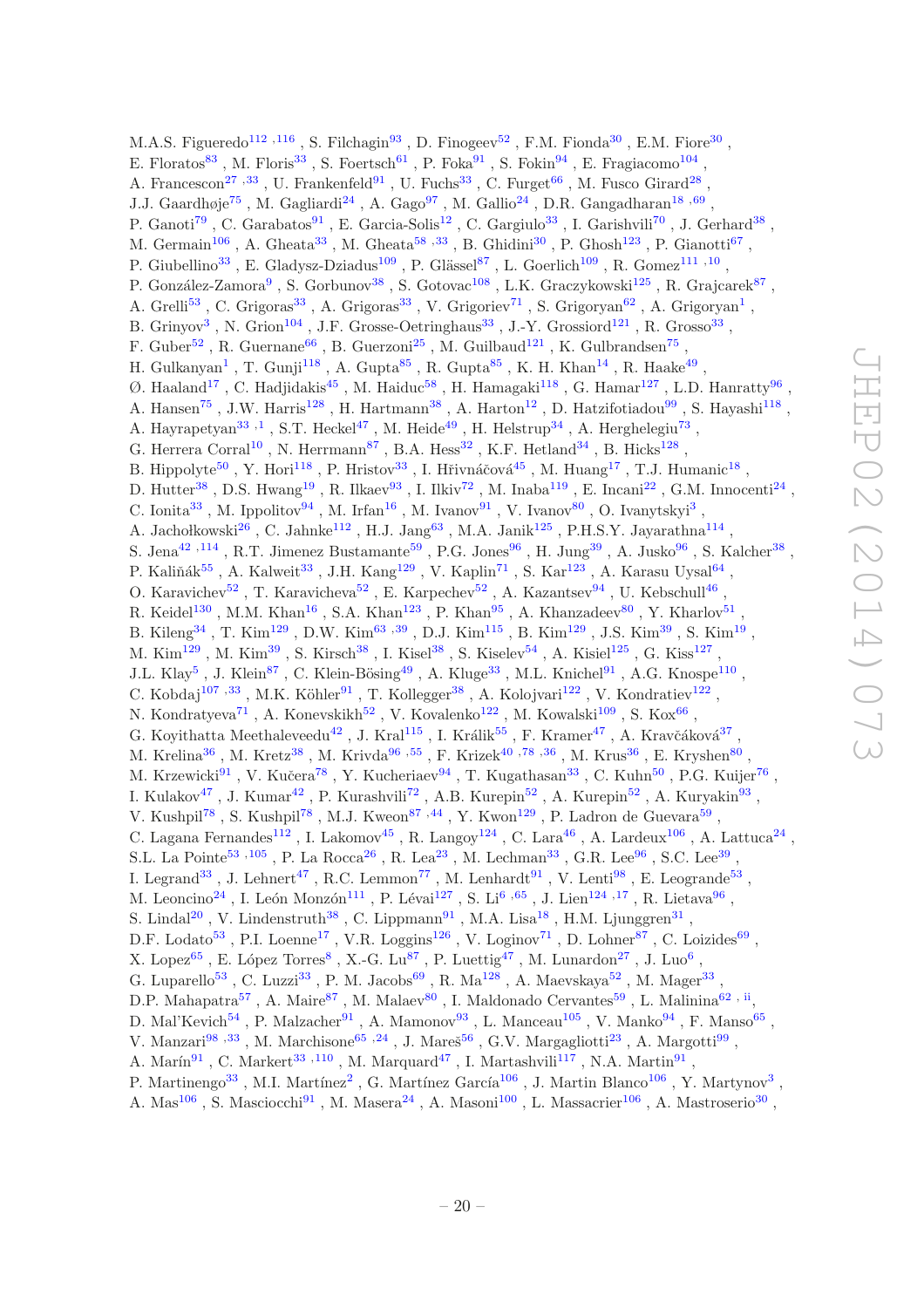M.A.S. Figueredo<sup>[112](#page-24-8)[,116](#page-25-10)</sup>, S. Filchagin<sup>[93](#page-24-30)</sup>, D. Finogeev<sup>[52](#page-23-37)</sup>, F.M. Fionda<sup>[30](#page-23-8)</sup>, E.M. Fiore<sup>30</sup>, E. Floratos $^{83}$  $^{83}$  $^{83}$  , M. Floris $^{33}$  $^{33}$  $^{33}$  , S. Foertsch $^{61}$  $^{61}$  $^{61}$  , P. Foka $^{91}$  $^{91}$  $^{91}$  , S. Fokin $^{94}$  $^{94}$  $^{94}$  , E. Fragiacomo $^{104}$  $^{104}$  $^{104}$  , A. Francescon<sup>[27](#page-23-28)</sup>,<sup>33</sup>, U. Frankenfeld<sup>[91](#page-24-10)</sup>, U. Fuchs<sup>[33](#page-23-1)</sup>, C. Furget<sup>[66](#page-24-15)</sup>, M. Fusco Girard<sup>[28](#page-23-36)</sup>, J.J. Gaardhøje<sup>[75](#page-24-23)</sup> , M. Gagliardi<sup>[24](#page-23-21)</sup> , A. Gago<sup>[97](#page-24-31)</sup> , M. Gallio<sup>24</sup> , D.R. Gangadharan<sup>[18](#page-23-38)[,69](#page-24-26)</sup>, P. Ganoti<sup>[79](#page-24-16)</sup>, C. Garabatos<sup>[91](#page-24-10)</sup>, E. Garcia-Solis<sup>[12](#page-22-10)</sup>, C. Gargiulo<sup>[33](#page-23-1)</sup>, I. Garishvili<sup>[70](#page-24-0)</sup>, J. Gerhard<sup>[38](#page-23-7)</sup>, M. Germain<sup>[106](#page-24-14)</sup>, A. Gheata<sup>[33](#page-23-1)</sup>, M. Gheata<sup>[58](#page-23-35)[,33](#page-23-1)</sup>, B. Ghidini<sup>[30](#page-23-8)</sup>, P. Ghosh<sup>[123](#page-25-2)</sup>, P. Gianotti<sup>[67](#page-24-25)</sup>, P. Giubellino<sup>[33](#page-23-1)</sup>, E. Gladysz-Dziadus<sup>[109](#page-24-22)</sup>, P. Glässel<sup>[87](#page-24-11)</sup>, L. Goerlich<sup>109</sup>, R. Gomez<sup>[111](#page-24-41), 10</sup>, P. González-Zamora<sup>[9](#page-22-5)</sup>, S. Gorbunov<sup>[38](#page-23-7)</sup>, S. Gotovac<sup>[108](#page-24-42)</sup>, L.K. Graczykowski<sup>[125](#page-25-11)</sup>, R. Grajcarek<sup>[87](#page-24-11)</sup>, A. Grelli<sup>[53](#page-23-22)</sup>, C. Grigoras<sup>[33](#page-23-1)</sup>, A. Grigoras<sup>33</sup>, V. Grigoriev<sup>[71](#page-24-27)</sup>, S. Grigoryan<sup>[62](#page-23-16)</sup>, A. Grigoryan<sup>[1](#page-22-11)</sup>, B. Grinyov<sup>[3](#page-22-2)</sup>, N. Grion<sup>[104](#page-24-40)</sup>, J.F. Grosse-Oetringhaus<sup>[33](#page-23-1)</sup>, J.-Y. Grossiord<sup>[121](#page-25-8)</sup>, R. Grosso<sup>33</sup>, F. Guber<sup>[52](#page-23-37)</sup>, R. Guernane<sup>[66](#page-24-15)</sup>, B. Guerzoni<sup>[25](#page-23-2)</sup>, M. Guilbaud<sup>[121](#page-25-8)</sup>, K. Gulbrandsen<sup>[75](#page-24-23)</sup>, H. Gulkanyan<sup>[1](#page-22-11)</sup> , T. Gunji<sup>[118](#page-25-12)</sup> , A. Gupta<sup>[85](#page-24-21)</sup> , R. Gupta<sup>85</sup> , K. H. Khan<sup>[14](#page-22-0)</sup> , R. Haake<sup>[49](#page-23-10)</sup> , Ø. Haaland $^{17}$  $^{17}$  $^{17}$  , C. Hadjidakis $^{45}$  $^{45}$  $^{45}$  , M. Haiduc $^{58}$  $^{58}$  $^{58}$  , H. Hamagaki $^{118}$  $^{118}$  $^{118}$  , G. Hamar $^{127}$  $^{127}$  $^{127}$  , L.D. Hanratty $^{96}$  $^{96}$  $^{96}$  , A. Hansen<sup>[75](#page-24-23)</sup>, J.W. Harris<sup>[128](#page-25-0)</sup>, H. Hartmann<sup>[38](#page-23-7)</sup>, A. Harton<sup>[12](#page-22-10)</sup>, D. Hatzifotiadou<sup>[99](#page-24-7)</sup>, S. Hayashi<sup>[118](#page-25-12)</sup>, A. Hayrapetyan<sup>[33](#page-23-1)[,1](#page-22-11)</sup>, S.T. Heckel<sup>[47](#page-23-11)</sup>, M. Heide<sup>[49](#page-23-10)</sup>, H. Helstrup<sup>[34](#page-23-6)</sup>, A. Herghelegiu<sup>[73](#page-24-9)</sup>, G. Herrera Corral<sup>[10](#page-22-7)</sup>, N. Herrmann<sup>[87](#page-24-11)</sup>, B.A. Hess<sup>[32](#page-23-39)</sup>, K.F. Hetland<sup>[34](#page-23-6)</sup>, B. Hicks<sup>[128](#page-25-0)</sup>, B. Hippolyte<sup>[50](#page-23-19)</sup> , Y. Hori<sup>[118](#page-25-12)</sup> , P. Hristov<sup>[33](#page-23-1)</sup> , I. Hřivnáčová<sup>[45](#page-23-32)</sup> , M. Huang<sup>[17](#page-23-9)</sup> , T.J. Humanic<sup>[18](#page-23-38)</sup> , D. Hutter<sup>[38](#page-23-7)</sup>, D.S. Hwang<sup>[19](#page-23-40)</sup>, R. Ilkaev<sup>[93](#page-24-30)</sup>, I. Ilkiv<sup>[72](#page-24-36)</sup>, M. Inaba<sup>[119](#page-25-5)</sup>, E. Incani<sup>[22](#page-23-30)</sup>, G.M. Innocenti<sup>[24](#page-23-21)</sup>, C. Ionita<sup>[33](#page-23-1)</sup>, M. Ippolitov<sup>[94](#page-24-5)</sup>, M. Irfan<sup>[16](#page-23-3)</sup>, M. Ivanov<sup>[91](#page-24-10)</sup>, V. Ivanov<sup>[80](#page-24-24)</sup>, O. Ivanytskyi<sup>[3](#page-22-2)</sup>, A. Jachołkowski<sup>[26](#page-23-15)</sup>, C. Jahnke<sup>[112](#page-24-8)</sup>, H.J. Jang<sup>[63](#page-23-4)</sup>, M.A. Janik<sup>[125](#page-25-11)</sup>, P.H.S.Y. Jayarathna<sup>[114](#page-25-4)</sup>, S. Jena<sup>[42](#page-23-18), 114</sup>, R.T. Jimenez Bustamante<sup>[59](#page-23-34)</sup>, P.G. Jones<sup>[96](#page-24-6)</sup>, H. Jung<sup>[39](#page-23-12)</sup>, A. Jusko<sup>96</sup>, S. Kalcher<sup>[38](#page-23-7)</sup>, P. Kaliňák $^{55}$  $^{55}$  $^{55}$  , A. Kalweit $^{33}$  $^{33}$  $^{33}$  , J.H. Kang $^{129}$  $^{129}$  $^{129}$  , V. Kaplin $^{71}$  $^{71}$  $^{71}$  , S. Kar $^{123}$  $^{123}$  $^{123}$  , A. Karasu Uysal $^{64}$  $^{64}$  $^{64}$  , O. Karavichev<sup>[52](#page-23-37)</sup>, T. Karavicheva<sup>52</sup>, E. Karpechev<sup>52</sup>, A. Kazantsev<sup>[94](#page-24-5)</sup>, U. Kebschull<sup>[46](#page-23-26)</sup>, R. Keidel<sup>[130](#page-25-14)</sup>, M.M. Khan<sup>[16](#page-23-3)</sup>, S.A. Khan<sup>[123](#page-25-2)</sup>, P. Khan<sup>[95](#page-24-32)</sup>, A. Khanzadeev<sup>[80](#page-24-24)</sup>, Y. Kharlov<sup>[51](#page-23-23)</sup> , B. Kileng $^{34}$  $^{34}$  $^{34}$  , T. Kim $^{129}$  $^{129}$  $^{129}$  , D.W. Kim $^{63}$  $^{63}$  $^{63}$  <sup>, [39](#page-23-12)</sup> , D.J. Kim $^{115}$  $^{115}$  $^{115}$  , B. Kim $^{129}$  , J.S. Kim $^{39}$  , S. Kim $^{19}$  $^{19}$  $^{19}$  , M. Kim $^{129}$  $^{129}$  $^{129}$  , M. Kim $^{39}$  $^{39}$  $^{39}$  , S. Kirsch $^{38}$  $^{38}$  $^{38}$  , I. Kisel $^{38}$  , S. Kiselev $^{54}$  $^{54}$  $^{54}$  , A. Kisiel $^{125}$  $^{125}$  $^{125}$  , G. Kiss $^{127}$  $^{127}$  $^{127}$  , J.L. Klay<sup>[5](#page-22-12)</sup>, J. Klein<sup>[87](#page-24-11)</sup>, C. Klein-Bösing<sup>[49](#page-23-10)</sup>, A. Kluge<sup>[33](#page-23-1)</sup>, M.L. Knichel<sup>[91](#page-24-10)</sup>, A.G. Knospe<sup>[110](#page-24-43)</sup>, C. Kobdaj<sup>[107](#page-24-44)[,33](#page-23-1)</sup>, M.K. Köhler<sup>[91](#page-24-10)</sup>, T. Kollegger<sup>[38](#page-23-7)</sup>, A. Kolojvari<sup>[122](#page-25-3)</sup>, V. Kondratiev<sup>122</sup>, N. Kondratyeva<sup>[71](#page-24-27)</sup>, A. Konevskikh<sup>[52](#page-23-37)</sup>, V. Kovalenko<sup>[122](#page-25-3)</sup>, M. Kowalski<sup>[109](#page-24-22)</sup>, S. Kox<sup>[66](#page-24-15)</sup>, G. Koyithatta Meethaleveedu $^{42}$  $^{42}$  $^{42}$ , J. Kral $^{115}$  $^{115}$  $^{115}$ , I. Králik $^{55}$  $^{55}$  $^{55}$ , F. Kramer $^{47}$  $^{47}$  $^{47}$ , A. Kravčáková $^{37}$  $^{37}$  $^{37}$ , M. Krelina $^{36}$  $^{36}$  $^{36}$  , M. Kretz $^{38}$  $^{38}$  $^{38}$  , M. Krivda $^{96}$  $^{96}$  $^{96}$  <sup>[,55](#page-23-13)</sup> , F. Krizek $^{40}$  $^{40}$  $^{40}$  <sup>[,78](#page-24-1)</sup> <sup>[,36](#page-23-0)</sup> , M. Krus $^{36}$  , E. Kryshen $^{80}$  $^{80}$  $^{80}$  , M. Krzewicki $^{91}$  $^{91}$  $^{91}$  , V. Kučera $^{78}$  $^{78}$  $^{78}$  , Y. Kucheriaev $^{94}$  $^{94}$  $^{94}$  , T. Kugathasan $^{33}$  $^{33}$  $^{33}$  , C. Kuhn $^{50}$  $^{50}$  $^{50}$  , P.G. Kuijer $^{76}$  $^{76}$  $^{76}$  , I. Kulakov<sup>[47](#page-23-11)</sup>, J. Kumar<sup>[42](#page-23-18)</sup>, P. Kurashvili<sup>[72](#page-24-36)</sup>, A.B. Kurepin<sup>[52](#page-23-37)</sup>, A. Kurepin<sup>52</sup>, A. Kuryakin<sup>[93](#page-24-30)</sup>, V. Kushpil<sup>[78](#page-24-1)</sup>, S. Kushpil<sup>78</sup>, M.J. Kweon<sup>[87](#page-24-11), 44</sup>, Y. Kwon<sup>[129](#page-25-13)</sup>, P. Ladron de Guevara<sup>[59](#page-23-34)</sup>, C. Lagana Fernandes<sup>[112](#page-24-8)</sup>, I. Lakomov<sup>[45](#page-23-32)</sup>, R. Langoy<sup>[124](#page-25-15)</sup>, C. Lara<sup>[46](#page-23-26)</sup>, A. Lardeux<sup>[106](#page-24-14)</sup>, A. Lattuca<sup>[24](#page-23-21)</sup>, S.L. La Pointe<sup>[53](#page-23-22)</sup><sup>, 105</sup>, P. La Rocca<sup>[26](#page-23-15)</sup>, R. Lea<sup>[23](#page-23-29)</sup>, M. Lechman<sup>[33](#page-23-1)</sup>, G.R. Lee<sup>[96](#page-24-6)</sup>, S.C. Lee<sup>[39](#page-23-12)</sup>, I. Legrand<sup>[33](#page-23-1)</sup>, J. Lehnert<sup>[47](#page-23-11)</sup>, R.C. Lemmon<sup>[77](#page-24-45)</sup>, M. Lenhardt<sup>[91](#page-24-10)</sup>, V. Lenti<sup>[98](#page-24-37)</sup>, E. Leogrande<sup>[53](#page-23-22)</sup>, M. Leoncino<sup>[24](#page-23-21)</sup> , I. León Monzón<sup>[111](#page-24-41)</sup> , P. Lévai<sup>[127](#page-25-1)</sup> , S. Li<sup>[6](#page-22-6) [,65](#page-24-19)</sup> , J. Lien<sup>[124](#page-25-15) , 17</sup> , R. Lietava<sup>[96](#page-24-6)</sup> , S. Lindal<sup>[20](#page-23-17)</sup>, V. Lindenstruth<sup>[38](#page-23-7)</sup>, C. Lippmann<sup>[91](#page-24-10)</sup>, M.A. Lisa<sup>[18](#page-23-38)</sup>, H.M. Ljunggren<sup>[31](#page-23-31)</sup>, D.F. Lodato<sup>[53](#page-23-22)</sup>, P.I. Loenne<sup>[17](#page-23-9)</sup>, V.R. Loggins<sup>[126](#page-25-6)</sup>, V. Loginov<sup>[71](#page-24-27)</sup>, D. Lohner<sup>[87](#page-24-11)</sup>, C. Loizides<sup>[69](#page-24-26)</sup>, X. Lopez<sup>[65](#page-24-19)</sup>, E. López Torres<sup>[8](#page-22-8)</sup>, X.-G. Lu<sup>[87](#page-24-11)</sup>, P. Luettig<sup>[47](#page-23-11)</sup>, M. Lunardon<sup>[27](#page-23-28)</sup>, J. Luo<sup>[6](#page-22-6)</sup>, G. Luparello<sup>[53](#page-23-22)</sup>, C. Luzzi<sup>[33](#page-23-1)</sup>, P. M. Jacobs<sup>[69](#page-24-26)</sup>, R. Ma<sup>[128](#page-25-0)</sup>, A. Maevskaya<sup>[52](#page-23-37)</sup>, M. Mager<sup>33</sup>, D.P. Mahapatra $^{57}$  $^{57}$  $^{57}$  , A. Maire $^{87}$  $^{87}$  $^{87}$  , M. Malaev $^{80}$  $^{80}$  $^{80}$  , I. Maldonado Cervantes $^{59}$  $^{59}$  $^{59}$  , L. Malinina $^{62}$  $^{62}$  $^{62}$  , [ii](#page-22-13), D. Mal'Kevich<sup>[54](#page-23-5)</sup> , P. Malzacher<sup>[91](#page-24-10)</sup> , A. Mamonov<sup>[93](#page-24-30)</sup> , L. Manceau<sup>[105](#page-24-4)</sup> , V. Manko<sup>[94](#page-24-5)</sup> , F. Manso<sup>[65](#page-24-19)</sup> , V. Manzari<sup>[98](#page-24-37), 33</sup>, M. Marchisone<sup>[65](#page-24-19), 24</sup>, J. Mareš<sup>[56](#page-23-44)</sup>, G.V. Margagliotti<sup>[23](#page-23-29)</sup>, A. Margotti<sup>[99](#page-24-7)</sup>, A. Marín $91$ , C. Markert $^{33}$  $^{33}$  $^{33}$ ,  $^{110}$ , M. Marquard $^{47}$  $^{47}$  $^{47}$ , I. Martashvili $^{117}$  $^{117}$  $^{117}$ , N.A. Martin $^{91}$ , P. Martinengo<sup>[33](#page-23-1)</sup>, M.I. Martínez<sup>[2](#page-22-9)</sup>, G. Martínez García<sup>[106](#page-24-14)</sup>, J. Martin Blanco<sup>106</sup>, Y. Martynov<sup>[3](#page-22-2)</sup>,

A. Mas $^{106}$  $^{106}$  $^{106}$  , S. Masciocchi<sup>[91](#page-24-10)</sup>, M. Masera<sup>[24](#page-23-21)</sup>, A. Masoni<sup>[100](#page-24-35)</sup>, L. Massacrier<sup>106</sup>, A. Mastroserio<sup>[30](#page-23-8)</sup>,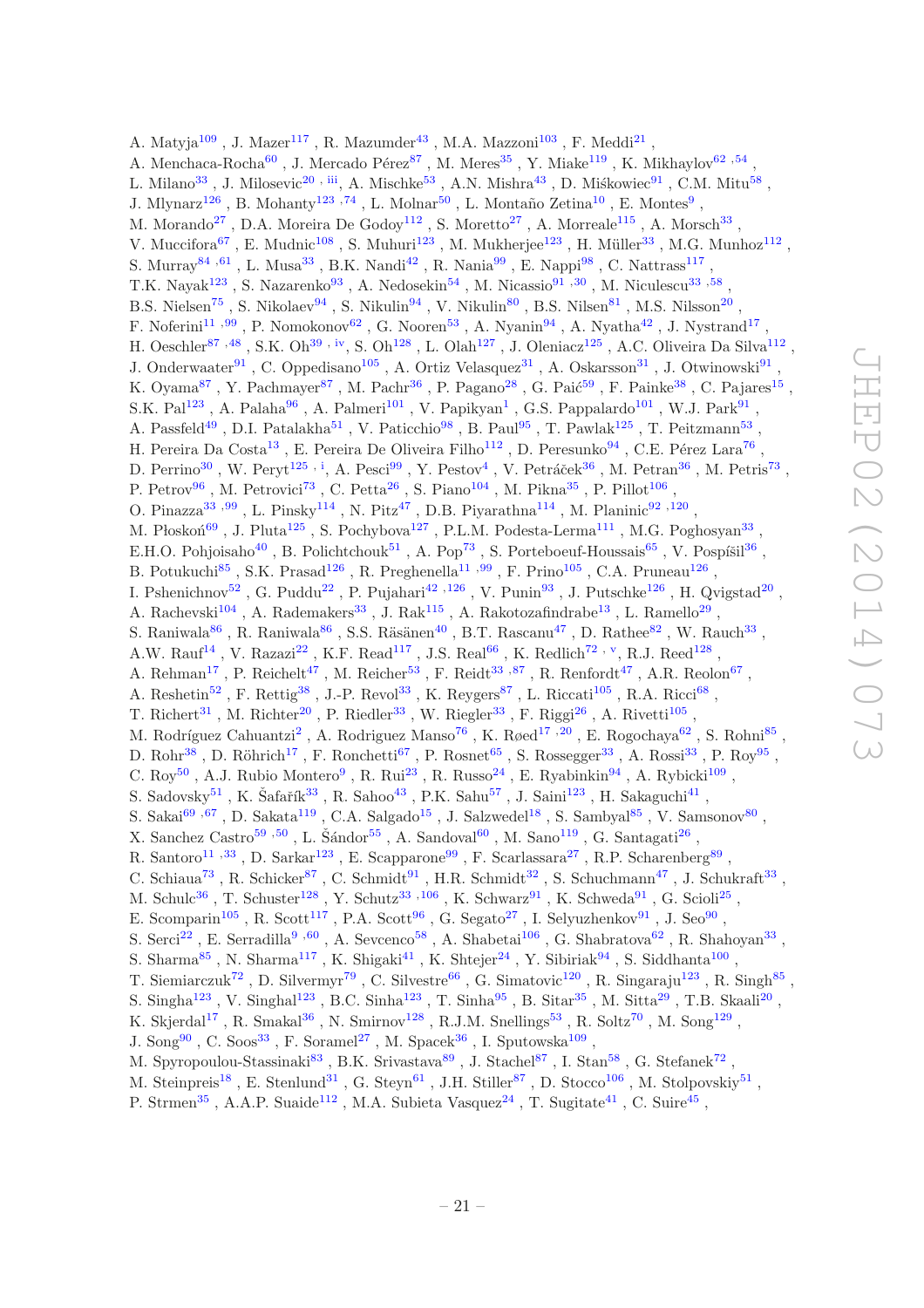A. Matyja $^{109}$  $^{109}$  $^{109}$  , J. Mazer<sup>[117](#page-25-16)</sup> , R. Mazumder<sup>[43](#page-23-45)</sup> , M.A. Mazzoni<sup>[103](#page-24-38)</sup> , F. Meddi<sup>[21](#page-23-46)</sup> , A. Menchaca-Rocha<sup>[60](#page-23-20)</sup>, J. Mercado Pérez<sup>[87](#page-24-11)</sup>, M. Meres<sup>[35](#page-23-27)</sup>, Y. Miake<sup>[119](#page-25-5)</sup>, K. Mikhaylov<sup>[62](#page-23-16)[,54](#page-23-5)</sup>, L. Milano<sup>[33](#page-23-1)</sup>, J. Milosevic<sup>[20](#page-23-17), [iii](#page-22-14)</sup>, A. Mischke<sup>[53](#page-23-22)</sup>, A.N. Mishra<sup>[43](#page-23-45)</sup>, D. Miśkowiec<sup>[91](#page-24-10)</sup>, C.M. Mitu<sup>[58](#page-23-35)</sup>, J. Mlynarz $^{126}$  $^{126}$  $^{126}$ , B. Mohanty $^{123}$  $^{123}$  $^{123}$ , $^{74}$ , L. Mohar $^{50}$  $^{50}$  $^{50}$ , L. Montaño Zetina $^{10}$  $^{10}$  $^{10}$ , E. Montes $^{9}$  $^{9}$  $^{9}$ , M. Morando<sup>[27](#page-23-28)</sup>, D.A. Moreira De Godoy<sup>[112](#page-24-8)</sup>, S. Moretto<sup>27</sup>, A. Morreale<sup>[115](#page-25-7)</sup>, A. Morsch<sup>[33](#page-23-1)</sup>, V. Muccifora $^{67}$  $^{67}$  $^{67}$ , E. Mudnic $^{108}$  $^{108}$  $^{108}$ , S. Muhuri $^{123}$  $^{123}$  $^{123}$ , M. Mukherjee $^{123}$ , H. Müller $^{33}$  $^{33}$  $^{33}$ , M.G. Munhoz $^{112}$  $^{112}$  $^{112}$ , S. Murray<sup>[84](#page-24-17)[,61](#page-23-25)</sup>, L. Musa<sup>[33](#page-23-1)</sup>, B.K. Nandi<sup>[42](#page-23-18)</sup>, R. Nania<sup>[99](#page-24-7)</sup>, E. Nappi<sup>[98](#page-24-37)</sup>, C. Nattrass<sup>[117](#page-25-16)</sup>, T.K. Nayak $^{123}$  $^{123}$  $^{123}$  , S. Nazarenko $^{93}$  $^{93}$  $^{93}$  , A. Nedosekin $^{54}$  $^{54}$  $^{54}$  , M. Nicassio $^{91}$  $^{91}$  $^{91}$  ,  $^{30}$  , M. Niculescu $^{33}$  $^{33}$  $^{33}$  ,  $^{58}$  , B.S. Nielsen<sup>[75](#page-24-23)</sup> , S. Nikolaev $^{94}$  $^{94}$  $^{94}$  , S. Nikulin $^{94}$  , V. Nikulin $^{80}$  $^{80}$  $^{80}$  , B.S. Nilsen $^{81}$  $^{81}$  $^{81}$  , M.S. Nilsson $^{20}$  $^{20}$  $^{20}$  , F. Noferini<sup>[11](#page-22-1)[,99](#page-24-7)</sup>, P. Nomokonov<sup>[62](#page-23-16)</sup>, G. Nooren<sup>[53](#page-23-22)</sup>, A. Nyanin<sup>[94](#page-24-5)</sup>, A. Nyatha<sup>[42](#page-23-18)</sup>, J. Nystrand<sup>[17](#page-23-9)</sup>, H. Oeschler<sup>[87](#page-24-11)[,48](#page-23-47)</sup>, S.K. Oh<sup>[39](#page-23-12), [iv](#page-22-15)</sup>, S. Oh<sup>[128](#page-25-0)</sup>, L. Olah<sup>[127](#page-25-1)</sup>, J. Oleniacz<sup>[125](#page-25-11)</sup>, A.C. Oliveira Da Silva<sup>[112](#page-24-8)</sup>, J. Onderwaater $^{91}$  $^{91}$  $^{91}$ , C. Oppedisano $^{105}$  $^{105}$  $^{105}$ , A. Ortiz Velasquez $^{31}$  $^{31}$  $^{31}$ , A. Oskarsson $^{31}$ , J. Otwinowski $^{91}$ , K. Oyama $^{87}$  $^{87}$  $^{87}$  , Y. Pachmayer $^{87}$  , M. Pachr $^{36}$  $^{36}$  $^{36}$  , P. Pagano $^{28}$  $^{28}$  $^{28}$  , G. Paić $^{59}$  $^{59}$  $^{59}$  , F. Painke $^{38}$  $^{38}$  $^{38}$  , C. Pajares $^{15}$  $^{15}$  $^{15}$  , S.K. Pal $^{123}$  $^{123}$  $^{123}$  , A. Palaha $^{96}$  $^{96}$  $^{96}$  , A. Palmeri $^{101}$  $^{101}$  $^{101}$  , V. Papikyan<sup>[1](#page-22-11)</sup> , G.S. Pappalardo<sup>101</sup> , W.J. Park $^{91}$  $^{91}$  $^{91}$  , A. Passfeld<sup>[49](#page-23-10)</sup>, D.I. Patalakha<sup>[51](#page-23-23)</sup>, V. Paticchio<sup>[98](#page-24-37)</sup>, B. Paul<sup>[95](#page-24-32)</sup>, T. Pawlak<sup>[125](#page-25-11)</sup>, T. Peitzmann<sup>[53](#page-23-22)</sup>, H. Pereira Da Costa<sup>[13](#page-22-4)</sup>, E. Pereira De Oliveira Filho<sup>[112](#page-24-8)</sup>, D. Peresunko<sup>[94](#page-24-5)</sup>, C.E. Pérez Lara<sup>[76](#page-24-28)</sup>, D. Perrino<sup>[30](#page-23-8)</sup> , W. Peryt<sup>[125](#page-25-11)</sup> <sup>, [i](#page-22-16)</sup>, A. Pesci<sup>[99](#page-24-7)</sup> , Y. Pestov<sup>[4](#page-22-17)</sup> , V. Petráček<sup>[36](#page-23-0)</sup> , M. Petran<sup>36</sup> , M. Petris<sup>[73](#page-24-9)</sup> , P. Petrov $^{96}$  $^{96}$  $^{96}$  , M. Petrovici<sup>[73](#page-24-9)</sup> , C. Petta $^{26}$  $^{26}$  $^{26}$  , S. Piano $^{104}$  $^{104}$  $^{104}$  , M. Pikna $^{35}$  $^{35}$  $^{35}$  , P. Pillot $^{106}$  $^{106}$  $^{106}$  , O. Pinazza<sup>[33](#page-23-1)[,99](#page-24-7)</sup>, L. Pinsky<sup>[114](#page-25-4)</sup>, N. Pitz<sup>[47](#page-23-11)</sup>, D.B. Piyarathna<sup>114</sup>, M. Planinic<sup>[92](#page-24-12)[,120](#page-25-17)</sup>, M. Płoskoń $^{69}$  $^{69}$  $^{69}$  , J. Pluta $^{125}$  $^{125}$  $^{125}$  , S. Pochybova $^{127}$  $^{127}$  $^{127}$  , P.L.M. Podesta-Lerma $^{111}$  $^{111}$  $^{111}$  , M.G. Poghosyan $^{33}$  $^{33}$  $^{33}$  , E.H.O. Pohjoisaho<sup>[40](#page-23-42)</sup>, B. Polichtchouk<sup>[51](#page-23-23)</sup>, A. Pop<sup>[73](#page-24-9)</sup>, S. Porteboeuf-Houssais<sup>[65](#page-24-19)</sup>, V. Pospíšil<sup>[36](#page-23-0)</sup>, B. Potukuchi<sup>[85](#page-24-21)</sup>, S.K. Prasad<sup>[126](#page-25-6)</sup>, R. Preghenella<sup>[11](#page-22-1)[,99](#page-24-7)</sup>, F. Prino<sup>[105](#page-24-4)</sup>, C.A. Pruneau<sup>126</sup>, I. Pshenichnov<sup>[52](#page-23-37)</sup> , G. Puddu<sup>[22](#page-23-30)</sup> , P. Pujahari<sup>[42](#page-23-18)[,126](#page-25-6)</sup> , V. Punin<sup>[93](#page-24-30)</sup>, J. Putschke<sup>[126](#page-25-6)</sup> , H. Qvigstad<sup>[20](#page-23-17)</sup>, A. Rachevski<sup>[104](#page-24-40)</sup>, A. Rademakers<sup>[33](#page-23-1)</sup>, J. Rak<sup>[115](#page-25-7)</sup>, A. Rakotozafindrabe<sup>[13](#page-22-4)</sup>, L. Ramello<sup>[29](#page-23-33)</sup>, S. Raniwala<sup>[86](#page-24-20)</sup>, R. Raniwala<sup>86</sup>, S.S. Räsänen<sup>[40](#page-23-42)</sup>, B.T. Rascanu<sup>[47](#page-23-11)</sup>, D. Rathee<sup>[82](#page-24-2)</sup>, W. Rauch<sup>[33](#page-23-1)</sup>, A.W. Rauf $^{14}$  $^{14}$  $^{14}$  , V. Razazi $^{22}$  $^{22}$  $^{22}$  , K.F. Read $^{117}$  $^{117}$  $^{117}$  , J.S. Real<sup>[66](#page-24-15)</sup> , K. Redlich<sup>[72](#page-24-36)</sup> <sup>, [v](#page-22-18)</sup>, R.J. Reed<sup>[128](#page-25-0)</sup> , A. Rehman<sup>[17](#page-23-9)</sup>, P. Reichelt<sup>[47](#page-23-11)</sup>, M. Reicher<sup>[53](#page-23-22)</sup>, F. Reidt<sup>[33](#page-23-1)[,87](#page-24-11)</sup>, R. Renfordt<sup>47</sup>, A.R. Reolon<sup>[67](#page-24-25)</sup>, A. Reshetin<sup>[52](#page-23-37)</sup>, F. Rettig<sup>[38](#page-23-7)</sup>, J.-P. Revol<sup>[33](#page-23-1)</sup>, K. Reygers<sup>[87](#page-24-11)</sup>, L. Riccati<sup>[105](#page-24-4)</sup>, R.A. Ricci<sup>[68](#page-24-47)</sup>, T. Richert $^{31}$  $^{31}$  $^{31}$  , M. Richter $^{20}$  $^{20}$  $^{20}$  , P. Riedler $^{33}$  $^{33}$  $^{33}$  , W. Riegler $^{33}$  , F. Riggi $^{26}$  $^{26}$  $^{26}$  , A. Rivetti $^{105}$  $^{105}$  $^{105}$  , M. Rodríguez Cahuantzi<sup>[2](#page-22-9)</sup> , A. Rodriguez Manso<sup>[76](#page-24-28)</sup> , K. Røed<sup>[17](#page-23-9)[,20](#page-23-17)</sup> , E. Rogochaya<sup>[62](#page-23-16)</sup> , S. Rohni<sup>[85](#page-24-21)</sup>, D. Rohr<sup>[38](#page-23-7)</sup>, D. Röhrich<sup>[17](#page-23-9)</sup>, F. Ronchetti<sup>[67](#page-24-25)</sup>, P. Rosnet<sup>[65](#page-24-19)</sup>, S. Rossegger<sup>[33](#page-23-1)</sup>, A. Rossi<sup>33</sup>, P. Roy<sup>[95](#page-24-32)</sup>, C. Roy<sup>[50](#page-23-19)</sup>, A.J. Rubio Montero<sup>[9](#page-22-5)</sup>, R. Rui<sup>[23](#page-23-29)</sup>, R. Russo<sup>[24](#page-23-21)</sup>, E. Ryabinkin<sup>[94](#page-24-5)</sup>, A. Rybicki<sup>[109](#page-24-22)</sup>, S. Sadovsky $^{51}$  $^{51}$  $^{51}$  , K. Šafařík $^{33}$  $^{33}$  $^{33}$  , R. Sahoo $^{43}$  $^{43}$  $^{43}$  , P.K. Sahu $^{57}$  $^{57}$  $^{57}$  , J. Saini $^{123}$  $^{123}$  $^{123}$  , H. Sakaguchi $^{41}$  $^{41}$  $^{41}$  , S. Sakai $^{69}$  $^{69}$  $^{69}$ ,  $^{67}$ , D. Sakata $^{119}$  $^{119}$  $^{119}$ , C.A. Salgado $^{15}$  $^{15}$  $^{15}$ , J. Salzwedel<sup>[18](#page-23-38)</sup>, S. Sambyal<sup>[85](#page-24-21)</sup>, V. Samsonov $^{80}$  $^{80}$  $^{80}$ , X. Sanchez Castro<sup>[59](#page-23-34)</sup>, <sup>50</sup>, L. Šándor<sup>[55](#page-23-13)</sup>, A. Sandoval<sup>[60](#page-23-20)</sup>, M. Sano<sup>[119](#page-25-5)</sup>, G. Santagati<sup>[26](#page-23-15)</sup>, R. Santoro<sup>[11](#page-22-1)[,33](#page-23-1)</sup>, D. Sarkar<sup>[123](#page-25-2)</sup>, E. Scapparone<sup>[99](#page-24-7)</sup>, F. Scarlassara<sup>[27](#page-23-28)</sup>, R.P. Scharenberg<sup>[89](#page-24-29)</sup>, C. Schiaua<sup>[73](#page-24-9)</sup>, R. Schicker<sup>[87](#page-24-11)</sup>, C. Schmidt<sup>[91](#page-24-10)</sup>, H.R. Schmidt<sup>[32](#page-23-39)</sup>, S. Schuchmann<sup>[47](#page-23-11)</sup>, J. Schukraft<sup>[33](#page-23-1)</sup>, M. Schulc<sup>[36](#page-23-0)</sup>, T. Schuster<sup>[128](#page-25-0)</sup>, Y. Schutz<sup>[33](#page-23-1)[,106](#page-24-14)</sup>, K. Schwarz<sup>[91](#page-24-10)</sup>, K. Schweda<sup>91</sup>, G. Scioli<sup>[25](#page-23-2)</sup>, E. Scomparin<sup>[105](#page-24-4)</sup>, R. Scott<sup>[117](#page-25-16)</sup>, P.A. Scott<sup>[96](#page-24-6)</sup>, G. Segato<sup>[27](#page-23-28)</sup>, I. Selyuzhenkov<sup>[91](#page-24-10)</sup>, J. Seo<sup>[90](#page-24-34)</sup>, S. Serci<sup>[22](#page-23-30)</sup>, E. Serradilla<sup>[9](#page-22-5)[,60](#page-23-20)</sup>, A. Sevcenco<sup>[58](#page-23-35)</sup>, A. Shabetai<sup>[106](#page-24-14)</sup>, G. Shabratova<sup>[62](#page-23-16)</sup>, R. Shahoyan<sup>[33](#page-23-1)</sup>, S. Sharma<sup>[85](#page-24-21)</sup>, N. Sharma<sup>[117](#page-25-16)</sup>, K. Shigaki<sup>[41](#page-23-48)</sup>, K. Shtejer<sup>[24](#page-23-21)</sup>, Y. Sibiriak<sup>[94](#page-24-5)</sup>, S. Siddhanta<sup>[100](#page-24-35)</sup>, T. Siemiarczuk<sup>[72](#page-24-36)</sup>, D. Silvermyr<sup>[79](#page-24-16)</sup>, C. Silvestre<sup>[66](#page-24-15)</sup>, G. Simatovic<sup>[120](#page-25-17)</sup>, R. Singaraju<sup>[123](#page-25-2)</sup>, R. Singh<sup>[85](#page-24-21)</sup>, S. Singha<sup>[123](#page-25-2)</sup> , V. Singhal<sup>123</sup> , B.C. Sinha<sup>123</sup> , T. Sinha<sup>[95](#page-24-32)</sup> , B. Sitar<sup>[35](#page-23-27)</sup> , M. Sitta<sup>[29](#page-23-33)</sup> , T.B. Skaali<sup>[20](#page-23-17)</sup> , K. Skjerdal<sup>[17](#page-23-9)</sup>, R. Smakal<sup>[36](#page-23-0)</sup>, N. Smirnov<sup>[128](#page-25-0)</sup>, R.J.M. Snellings<sup>[53](#page-23-22)</sup>, R. Soltz<sup>[70](#page-24-0)</sup>, M. Song<sup>[129](#page-25-13)</sup>, J. Song $^{90}$  $^{90}$  $^{90}$ , C. Soos $^{33}$  $^{33}$  $^{33}$ , F. Soramel<sup>[27](#page-23-28)</sup>, M. Spacek $^{36}$  $^{36}$  $^{36}$ , I. Sputowska $^{109}$  $^{109}$  $^{109}$ , M. Spyropoulou-Stassinaki<sup>[83](#page-24-39)</sup>, B.K. Srivastava<sup>[89](#page-24-29)</sup>, J. Stachel<sup>[87](#page-24-11)</sup>, I. Stan<sup>[58](#page-23-35)</sup>, G. Stefanek<sup>[72](#page-24-36)</sup>, M. Steinpreis<sup>[18](#page-23-38)</sup>, E. Stenlund<sup>[31](#page-23-31)</sup>, G. Steyn<sup>[61](#page-23-25)</sup>, J.H. Stiller<sup>[87](#page-24-11)</sup>, D. Stocco<sup>[106](#page-24-14)</sup>, M. Stolpovskiy<sup>[51](#page-23-23)</sup>,

P. Strmen<sup>[35](#page-23-27)</sup>, A.A.P. Suaide<sup>[112](#page-24-8)</sup>, M.A. Subieta Vasquez<sup>[24](#page-23-21)</sup>, T. Sugitate<sup>[41](#page-23-48)</sup>, C. Suire<sup>[45](#page-23-32)</sup>,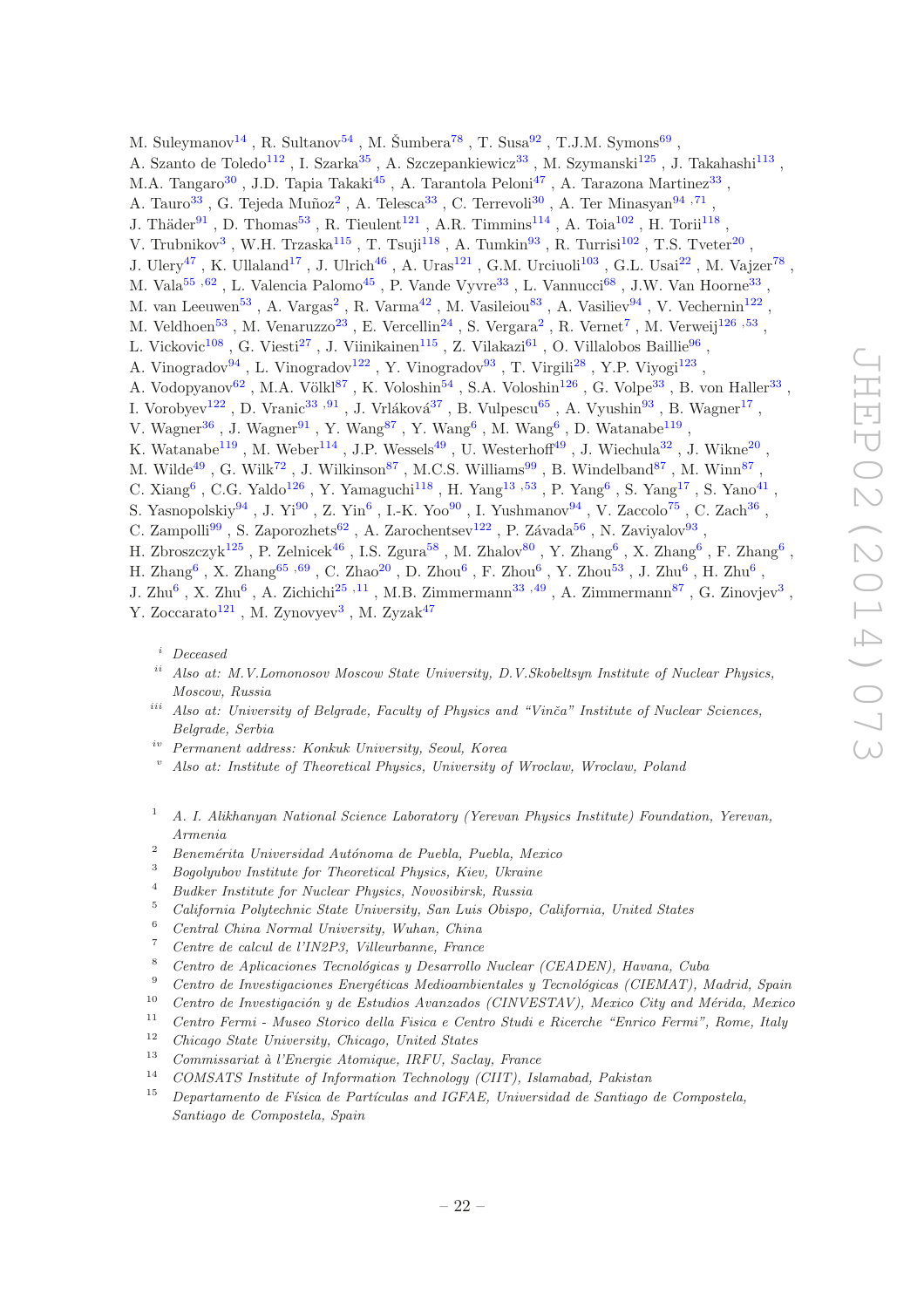M. Suleymanov $^{14}$  $^{14}$  $^{14}$ , R. Sultanov $^{54}$  $^{54}$  $^{54}$ , M. Šumbera $^{78}$  $^{78}$  $^{78}$ , T. Susa $^{92}$  $^{92}$  $^{92}$ , T.J.M. Symons $^{69}$  $^{69}$  $^{69}$ , A. Szanto de Toledo<sup>[112](#page-24-8)</sup>, I. Szarka<sup>[35](#page-23-27)</sup>, A. Szczepankiewicz<sup>[33](#page-23-1)</sup>, M. Szymanski<sup>[125](#page-25-11)</sup>, J. Takahashi<sup>[113](#page-25-9)</sup>, M.A. Tangaro<sup>[30](#page-23-8)</sup> , J.D. Tapia Takaki<sup>[45](#page-23-32)</sup> , A. Tarantola Peloni<sup>[47](#page-23-11)</sup> , A. Tarazona Martinez<sup>[33](#page-23-1)</sup> , A. Tauro<sup>[33](#page-23-1)</sup>, G. Tejeda Muñoz<sup>[2](#page-22-9)</sup>, A. Telesca<sup>33</sup>, C. Terrevoli<sup>[30](#page-23-8)</sup>, A. Ter Minasyan<sup>[94](#page-24-5)[,71](#page-24-27)</sup>, J. Thäder $^{91}$  $^{91}$  $^{91}$  , D. Thomas<sup>[53](#page-23-22)</sup> , R. Tieulent<sup>[121](#page-25-8)</sup> , A.R. Timmins<sup>[114](#page-25-4)</sup> , A. Toia<sup>[102](#page-24-13)</sup> , H. Torii<sup>[118](#page-25-12)</sup> , V. Trubnikov<sup>[3](#page-22-2)</sup> , W.H. Trzaska<sup>[115](#page-25-7)</sup> , T. Tsuji<sup>[118](#page-25-12)</sup> , A. Tumkin<sup>[93](#page-24-30)</sup> , R. Turrisi<sup>[102](#page-24-13)</sup> , T.S. Tveter<sup>[20](#page-23-17)</sup> , J. Ulery<sup>[47](#page-23-11)</sup>, K. Ullaland<sup>[17](#page-23-9)</sup>, J. Ulrich<sup>[46](#page-23-26)</sup>, A. Uras<sup>[121](#page-25-8)</sup>, G.M. Urciuoli<sup>[103](#page-24-38)</sup>, G.L. Usai<sup>[22](#page-23-30)</sup>, M. Vajzer<sup>[78](#page-24-1)</sup>, M. Vala $^{55}$  $^{55}$  $^{55}$  ,  $^{62}$  , L. Valencia Palomo<sup>[45](#page-23-32)</sup> , P. Vande Vyvre<sup>[33](#page-23-1)</sup> , L. Vannucci<sup>[68](#page-24-47)</sup> , J.W. Van Hoorne<sup>33</sup> , M. van Leeuwen<sup>[53](#page-23-22)</sup>, A. Vargas<sup>[2](#page-22-9)</sup>, R. Varma<sup>[42](#page-23-18)</sup>, M. Vasileiou<sup>[83](#page-24-39)</sup>, A. Vasiliev<sup>[94](#page-24-5)</sup>, V. Vechernin<sup>[122](#page-25-3)</sup>, M. Veldhoen<sup>[53](#page-23-22)</sup> , M. Venaruzzo<sup>[23](#page-23-29)</sup> , E. Vercellin<sup>[24](#page-23-21)</sup> , S. Vergara<sup>[2](#page-22-9)</sup> , R. Vernet<sup>[7](#page-22-19)</sup> , M. Verweij<sup>[126](#page-25-6)[,53](#page-23-22)</sup>, L. Vickovic $^{108}$  $^{108}$  $^{108}$  , G. Viesti $^{27}$  $^{27}$  $^{27}$  , J. Viinikainen $^{115}$  $^{115}$  $^{115}$  , Z. Vilakazi $^{61}$  $^{61}$  $^{61}$  , O. Villalobos Baillie $^{96}$  $^{96}$  $^{96}$  , A. Vinogradov<sup>[94](#page-24-5)</sup>, L. Vinogradov<sup>[122](#page-25-3)</sup>, Y. Vinogradov<sup>[93](#page-24-30)</sup>, T. Virgili<sup>[28](#page-23-36)</sup>, Y.P. Viyogi<sup>[123](#page-25-2)</sup>, A. Vodopyanov $^{62}$  $^{62}$  $^{62}$  , M.A. Völkl $^{87}$  $^{87}$  $^{87}$  , K. Voloshin $^{54}$  $^{54}$  $^{54}$  , S.A. Voloshin $^{126}$  $^{126}$  $^{126}$  , G. Volpe $^{33}$  $^{33}$  $^{33}$  , B. von Haller $^{33}$  , I. Vorobyev<sup>[122](#page-25-3)</sup>, D. Vranic<sup>[33](#page-23-1), 91</sup>, J. Vrláková<sup>[37](#page-23-24)</sup>, B. Vulpescu<sup>[65](#page-24-19)</sup>, A. Vyushin<sup>[93](#page-24-30)</sup>, B. Wagner<sup>[17](#page-23-9)</sup>, V. Wagner<sup>[36](#page-23-0)</sup>, J. Wagner<sup>[91](#page-24-10)</sup>, Y. Wang<sup>[87](#page-24-11)</sup>, Y. Wang<sup>[6](#page-22-6)</sup>, M. Wang<sup>6</sup>, D. Watanabe<sup>[119](#page-25-5)</sup>, K. Watanabe<sup>[119](#page-25-5)</sup>, M. Weber<sup>[114](#page-25-4)</sup>, J.P. Wessels<sup>[49](#page-23-10)</sup>, U. Westerhoff<sup>49</sup>, J. Wiechula<sup>[32](#page-23-39)</sup>, J. Wikne<sup>[20](#page-23-17)</sup>, M. Wilde<sup>[49](#page-23-10)</sup> , G. Wilk<sup>[72](#page-24-36)</sup> , J. Wilkinson<sup>[87](#page-24-11)</sup> , M.C.S. Williams<sup>[99](#page-24-7)</sup> , B. Windelband<sup>87</sup> , M. Winn<sup>87</sup> , C. Xiang<sup>[6](#page-22-6)</sup>, C.G. Yaldo<sup>[126](#page-25-6)</sup>, Y. Yamaguchi<sup>[118](#page-25-12)</sup>, H. Yang<sup>[13](#page-22-4)[,53](#page-23-22)</sup>, P. Yang<sup>6</sup>, S. Yang<sup>[17](#page-23-9)</sup>, S. Yano<sup>[41](#page-23-48)</sup> , S. Yasnopolskiy $^{94}$  $^{94}$  $^{94}$  , J. Yi $^{90}$  $^{90}$  $^{90}$  , Z. Yin<sup>[6](#page-22-6)</sup> , I.-K. Yoo<sup>90</sup> , I. Yushmanov $^{94}$  , V. Zaccolo<sup>[75](#page-24-23)</sup> , C. Zach<sup>[36](#page-23-0)</sup> , C. Zampolli<sup>[99](#page-24-7)</sup>, S. Zaporozhets<sup>[62](#page-23-16)</sup>, A. Zarochentsev<sup>[122](#page-25-3)</sup>, P. Závada<sup>[56](#page-23-44)</sup>, N. Zaviyalov<sup>[93](#page-24-30)</sup>, H. Zbroszczyk $^{125}$  $^{125}$  $^{125}$  , P. Zelnicek $^{46}$  $^{46}$  $^{46}$  , I.S. Zgura $^{58}$  $^{58}$  $^{58}$  , M. Zhalov $^{80}$  $^{80}$  $^{80}$  , Y. Zhang $^6$  $^6$  , X. Zhang $^6$  , F. Zhang $^6$  , H. Zhang $^6$  $^6$  , X. Zhang $^{65}$  $^{65}$  $^{65}$  <sup>[,69](#page-24-26)</sup> , C. Zhao $^{20}$  $^{20}$  $^{20}$  , D. Zhou $^6$  , F. Zhou $^6$  , Y. Zhou $^{53}$  $^{53}$  $^{53}$  , J. Zhu $^6$  , H. Zhu $^6$  ,

J. Zhu<sup>[6](#page-22-6)</sup>, X. Zhu<sup>6</sup>, A. Zichichi<sup>[25](#page-23-2), 11</sup>, M.B. Zimmermann<sup>[33](#page-23-1), 49</sup>, A. Zimmermann<sup>[87](#page-24-11)</sup>, G. Zinovjev<sup>[3](#page-22-2)</sup>,

<span id="page-22-13"></span><sup>i</sup> *Deceased*

- ii *Also at: M.V.Lomonosov Moscow State University, D.V.Skobeltsyn Institute of Nuclear Physics, Moscow, Russia*
- <span id="page-22-15"></span><span id="page-22-14"></span><sup>iii</sup> Also at: University of Belgrade, Faculty of Physics and "Vinča" Institute of Nuclear Sciences, *Belgrade, Serbia*
- <span id="page-22-18"></span>iv *Permanent address: Konkuk University, Seoul, Korea*
- <sup>v</sup> *Also at: Institute of Theoretical Physics, University of Wroclaw, Wroclaw, Poland*
- <span id="page-22-11"></span><span id="page-22-9"></span><sup>1</sup> *A. I. Alikhanyan National Science Laboratory (Yerevan Physics Institute) Foundation, Yerevan, Armenia*
- <span id="page-22-2"></span><sup>2</sup> *Benem´erita Universidad Aut´onoma de Puebla, Puebla, Mexico*
- <span id="page-22-17"></span><sup>3</sup> *Bogolyubov Institute for Theoretical Physics, Kiev, Ukraine*
- <span id="page-22-12"></span><sup>4</sup> *Budker Institute for Nuclear Physics, Novosibirsk, Russia*
- <span id="page-22-6"></span><sup>5</sup> *California Polytechnic State University, San Luis Obispo, California, United States*
- <span id="page-22-19"></span><sup>6</sup> *Central China Normal University, Wuhan, China*
- <span id="page-22-8"></span><sup>7</sup> *Centre de calcul de l'IN2P3, Villeurbanne, France*
- <span id="page-22-5"></span><sup>8</sup> *Centro de Aplicaciones Tecnol´ogicas y Desarrollo Nuclear (CEADEN), Havana, Cuba*
- <span id="page-22-7"></span><sup>9</sup> *Centro de Investigaciones Energ´eticas Medioambientales y Tecnol´ogicas (CIEMAT), Madrid, Spain*
- <span id="page-22-1"></span><sup>10</sup> *Centro de Investigaci´on y de Estudios Avanzados (CINVESTAV), Mexico City and M´erida, Mexico*
- <span id="page-22-10"></span><sup>11</sup> *Centro Fermi - Museo Storico della Fisica e Centro Studi e Ricerche "Enrico Fermi", Rome, Italy*
- <span id="page-22-4"></span><sup>12</sup> *Chicago State University, Chicago, United States*
- <span id="page-22-0"></span><sup>13</sup> *Commissariat `a l'Energie Atomique, IRFU, Saclay, France*
- <span id="page-22-3"></span><sup>14</sup> *COMSATS Institute of Information Technology (CIIT), Islamabad, Pakistan*
- <sup>15</sup> *Departamento de Física de Partículas and IGFAE, Universidad de Santiago de Compostela, Santiago de Compostela, Spain*

<span id="page-22-16"></span>Y. Zoccarato $^{121}$  $^{121}$  $^{121}$  , M. Zynovyev<sup>[3](#page-22-2)</sup> , M. Zyzak $^{47}$  $^{47}$  $^{47}$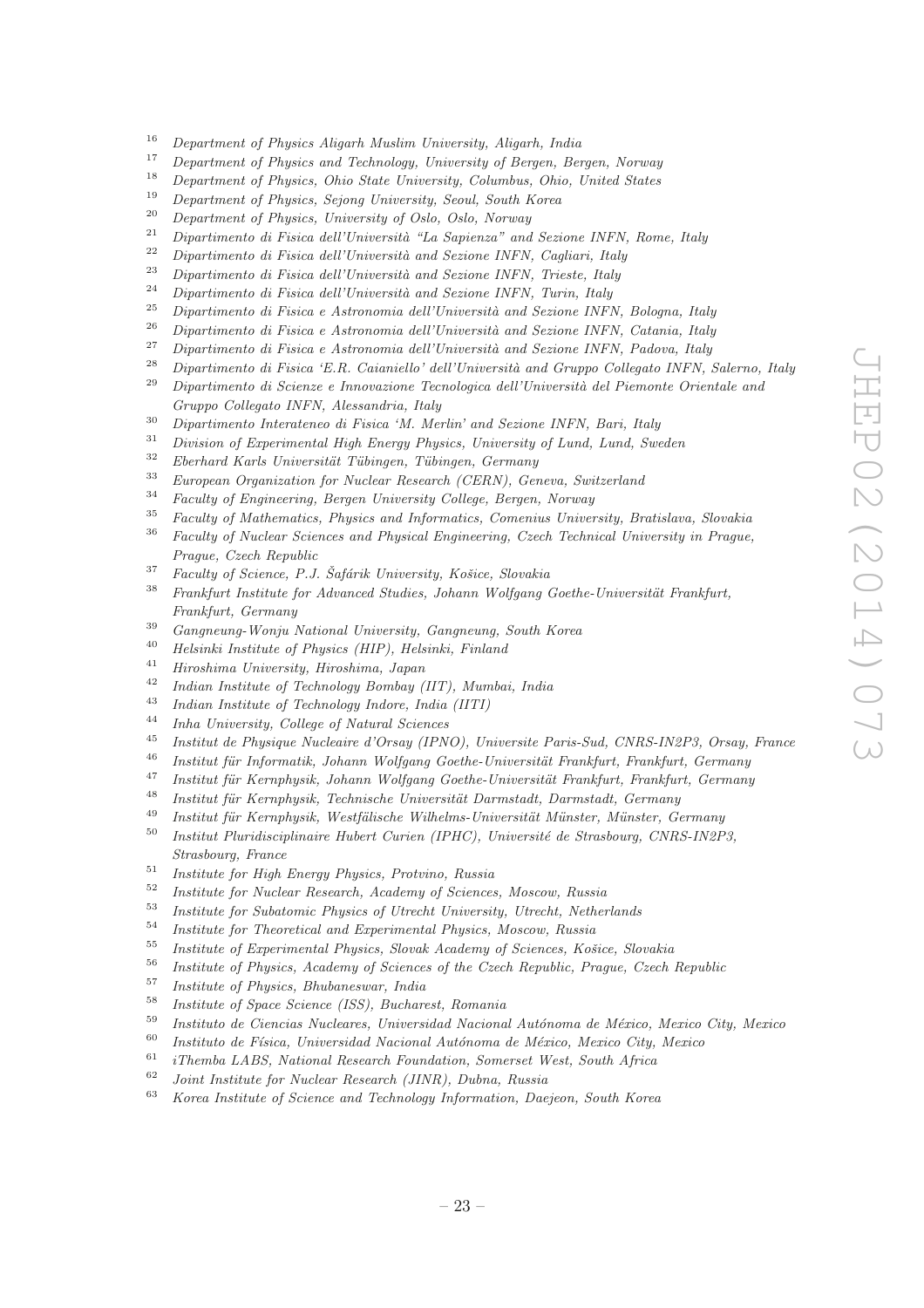- <span id="page-23-3"></span><sup>16</sup> *Department of Physics Aligarh Muslim University, Aligarh, India*
- <span id="page-23-9"></span><sup>17</sup> *Department of Physics and Technology, University of Bergen, Bergen, Norway*
- <span id="page-23-38"></span><sup>18</sup> *Department of Physics, Ohio State University, Columbus, Ohio, United States*
- <span id="page-23-40"></span><sup>19</sup> *Department of Physics, Sejong University, Seoul, South Korea*
- <span id="page-23-17"></span><sup>20</sup> *Department of Physics, University of Oslo, Oslo, Norway*
- <span id="page-23-46"></span><sup>21</sup> *Dipartimento di Fisica dell'Università "La Sapienza" and Sezione INFN, Rome, Italy*<sup>22</sup>
- <span id="page-23-30"></span><sup>22</sup> *Dipartimento di Fisica dell'Universit`a and Sezione INFN, Cagliari, Italy*
- <span id="page-23-29"></span><sup>23</sup> *Dipartimento di Fisica dell'Universit`a and Sezione INFN, Trieste, Italy*
- <span id="page-23-21"></span><sup>24</sup> *Dipartimento di Fisica dell'Università and Sezione INFN, Turin, Italy*
- <span id="page-23-2"></span><sup>25</sup> *Dipartimento di Fisica e Astronomia dell'Università and Sezione INFN, Bologna, Italy*
- <span id="page-23-15"></span><sup>26</sup> *Dipartimento di Fisica e Astronomia dell'Università and Sezione INFN, Catania, Italy*<br><sup>27</sup> Pinartimente di Fisice e Astronomia dell'Università and Sexione INFN, Pedaug, Italy
- <span id="page-23-28"></span><sup>27</sup> *Dipartimento di Fisica e Astronomia dell'Universit`a and Sezione INFN, Padova, Italy*
- <span id="page-23-36"></span><sup>28</sup> *Dipartimento di Fisica 'E.R. Caianiello' dell'Università and Gruppo Collegato INFN, Salerno, Italy*
- <span id="page-23-33"></span><sup>29</sup> *Dipartimento di Scienze e Innovazione Tecnologica dell'Università del Piemonte Orientale and Gruppo Collegato INFN, Alessandria, Italy*
- <span id="page-23-8"></span><sup>30</sup> *Dipartimento Interateneo di Fisica 'M. Merlin' and Sezione INFN, Bari, Italy*
- <span id="page-23-31"></span><sup>31</sup> *Division of Experimental High Energy Physics, University of Lund, Lund, Sweden*
- <span id="page-23-39"></span><sup>32</sup> *Eberhard Karls Universität Tübingen, Tübingen, Germany*<br><sup>33</sup> *E*
- <span id="page-23-1"></span><sup>33</sup> *European Organization for Nuclear Research (CERN), Geneva, Switzerland*
- <span id="page-23-6"></span><sup>34</sup> *Faculty of Engineering, Bergen University College, Bergen, Norway*
- <span id="page-23-27"></span><sup>35</sup> *Faculty of Mathematics, Physics and Informatics, Comenius University, Bratislava, Slovakia*
- <span id="page-23-0"></span><sup>36</sup> *Faculty of Nuclear Sciences and Physical Engineering, Czech Technical University in Prague, Prague, Czech Republic*
- <span id="page-23-24"></span><sup>37</sup> *Faculty of Science, P.J. Šafárik University, Košice, Slovakia* <sup>38</sup> *Faculty Institute for Advanced Studies, Johann Welfare*
- <span id="page-23-7"></span> $Frankfurt$  *Institute for Advanced Studies, Johann Wolfgang Goethe-Universität Frankfurt*, *Frankfurt, Germany*
- <span id="page-23-12"></span><sup>39</sup> *Gangneung-Wonju National University, Gangneung, South Korea*
- <span id="page-23-42"></span><sup>40</sup> *Helsinki Institute of Physics (HIP), Helsinki, Finland*
- <span id="page-23-48"></span><sup>41</sup> *Hiroshima University, Hiroshima, Japan*
- <span id="page-23-18"></span><sup>42</sup> *Indian Institute of Technology Bombay (IIT), Mumbai, India*
- <span id="page-23-45"></span><sup>43</sup> *Indian Institute of Technology Indore, India (IITI)*
- <span id="page-23-43"></span><sup>44</sup> *Inha University, College of Natural Sciences*
- <span id="page-23-32"></span><sup>45</sup> *Institut de Physique Nucleaire d'Orsay (IPNO), Universite Paris-Sud, CNRS-IN2P3, Orsay, France*
- <span id="page-23-26"></span><sup>46</sup> Institut für Informatik, Johann Wolfgang Goethe-Universität Frankfurt, Frankfurt, Germany<br><sup>47</sup> Institut für Kernnbuck, Johann Wolfgang Goethe Universität Frankfurt, Frankfurt, Germany
- <span id="page-23-11"></span><sup>47</sup> *Institut f¨ur Kernphysik, Johann Wolfgang Goethe-Universit¨at Frankfurt, Frankfurt, Germany*
- <span id="page-23-47"></span><sup>48</sup> Institut für Kernphysik, Technische Universität Darmstadt, Darmstadt, Germany
- <span id="page-23-10"></span><sup>49</sup> Institut für Kernphysik, Westfälische Wilhelms-Universität Münster, Münster, Germany
- <span id="page-23-19"></span><sup>50</sup> Institut Pluridisciplinaire Hubert Curien (IPHC), Université de Strasbourg, CNRS-IN2P3, *Strasbourg, France*
- <span id="page-23-23"></span><sup>51</sup> *Institute for High Energy Physics, Protvino, Russia*
- <span id="page-23-37"></span><sup>52</sup> *Institute for Nuclear Research, Academy of Sciences, Moscow, Russia*
- <span id="page-23-22"></span><sup>53</sup> *Institute for Subatomic Physics of Utrecht University, Utrecht, Netherlands*
- <span id="page-23-5"></span><sup>54</sup> *Institute for Theoretical and Experimental Physics, Moscow, Russia*
- <span id="page-23-13"></span><sup>55</sup> *Institute of Experimental Physics, Slovak Academy of Sciences, Košice, Slovakia*<br><sup>56</sup> *Institute of Physics, Academy of Sciences of the Creek Penulis, Pressue Creek*
- <span id="page-23-44"></span><sup>56</sup> *Institute of Physics, Academy of Sciences of the Czech Republic, Prague, Czech Republic*
- <span id="page-23-14"></span><sup>57</sup> *Institute of Physics, Bhubaneswar, India*
- <span id="page-23-35"></span><sup>58</sup> *Institute of Space Science (ISS), Bucharest, Romania*
- <span id="page-23-34"></span><sup>59</sup> Instituto de Ciencias Nucleares, Universidad Nacional Autónoma de México, Mexico City, Mexico
- <span id="page-23-20"></span><sup>60</sup> *Instituto de F´ısica, Universidad Nacional Aut´onoma de M´exico, Mexico City, Mexico*
- <span id="page-23-25"></span><sup>61</sup> *iThemba LABS, National Research Foundation, Somerset West, South Africa*
- <span id="page-23-16"></span><sup>62</sup> *Joint Institute for Nuclear Research (JINR), Dubna, Russia*
- <span id="page-23-41"></span><span id="page-23-4"></span><sup>63</sup> *Korea Institute of Science and Technology Information, Daejeon, South Korea*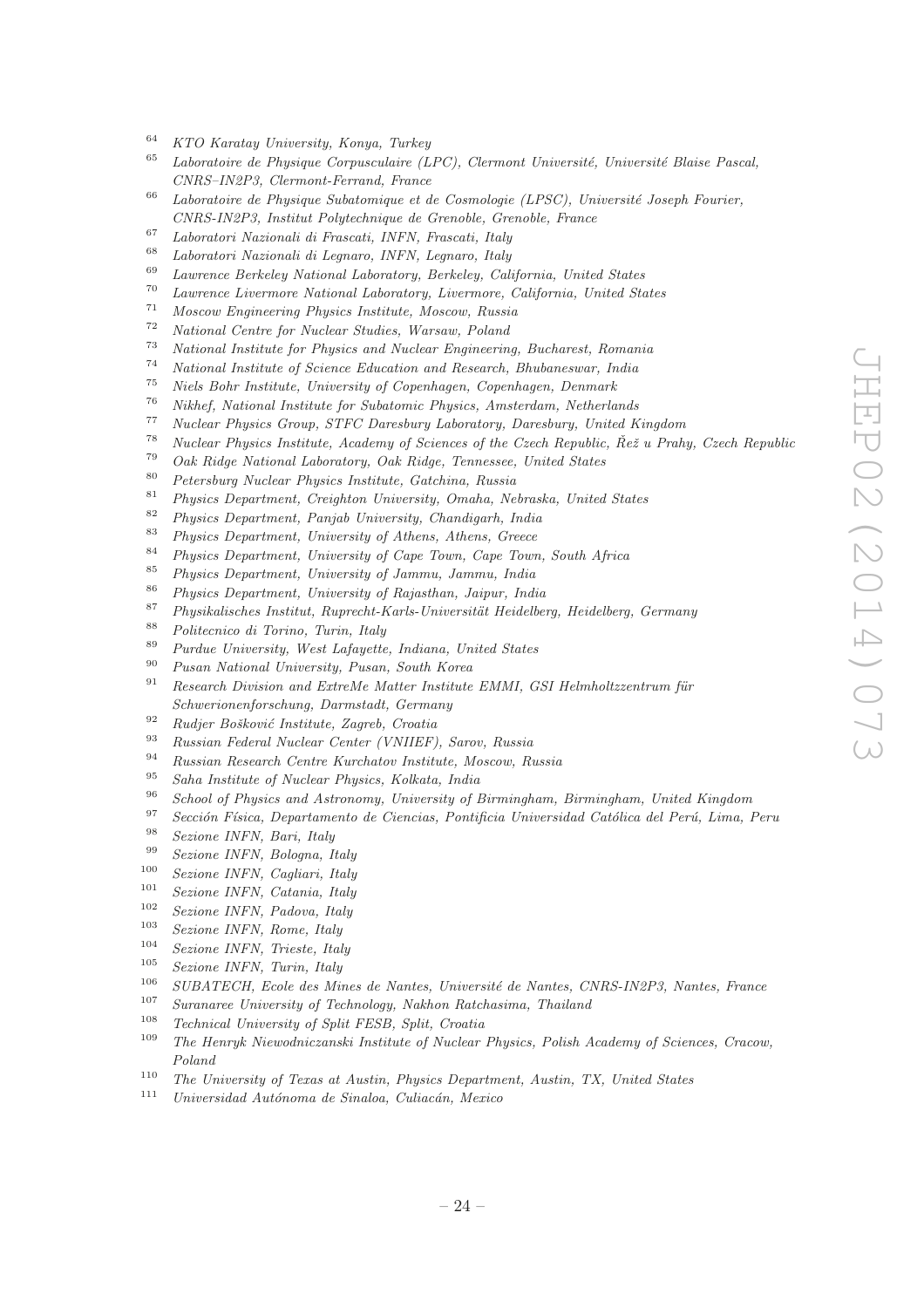- *KTO Karatay University, Konya, Turkey*
- <span id="page-24-19"></span>Laboratoire de Physique Corpusculaire (LPC), Clermont Université, Université Blaise Pascal, *CNRS–IN2P3, Clermont-Ferrand, France*
- <span id="page-24-15"></span><sup>66</sup> *Laboratoire de Physique Subatomique et de Cosmologie (LPSC), Université Joseph Fourier, CNRS-IN2P3, Institut Polytechnique de Grenoble, Grenoble, France*
- <span id="page-24-25"></span>*Laboratori Nazionali di Frascati, INFN, Frascati, Italy*
- <span id="page-24-47"></span>*Laboratori Nazionali di Legnaro, INFN, Legnaro, Italy*
- <span id="page-24-26"></span>*Lawrence Berkeley National Laboratory, Berkeley, California, United States*
- <span id="page-24-0"></span>*Lawrence Livermore National Laboratory, Livermore, California, United States*
- <span id="page-24-27"></span>*Moscow Engineering Physics Institute, Moscow, Russia*
- <span id="page-24-36"></span>*National Centre for Nuclear Studies, Warsaw, Poland*
- <span id="page-24-9"></span>*National Institute for Physics and Nuclear Engineering, Bucharest, Romania*
- <span id="page-24-46"></span>*National Institute of Science Education and Research, Bhubaneswar, India*
- <span id="page-24-23"></span>*Niels Bohr Institute, University of Copenhagen, Copenhagen, Denmark*
- <span id="page-24-28"></span>*Nikhef, National Institute for Subatomic Physics, Amsterdam, Netherlands*
- <span id="page-24-45"></span>*Nuclear Physics Group, STFC Daresbury Laboratory, Daresbury, United Kingdom*
- <span id="page-24-1"></span><sup>78</sup> *Nuclear Physics Institute, Academy of Sciences of the Czech Republic,*  $\tilde{R}e\tilde{z}$  *u Prahy, Czech Republic*  $\tilde{z}^2$  *Q<sub>1</sub>b Rights Mitianal Librarium Q1b Ridge Transports Haited Chater*
- <span id="page-24-16"></span>*Oak Ridge National Laboratory, Oak Ridge, Tennessee, United States*
- <span id="page-24-24"></span>*Petersburg Nuclear Physics Institute, Gatchina, Russia*
- <span id="page-24-33"></span>*Physics Department, Creighton University, Omaha, Nebraska, United States*
- <span id="page-24-2"></span>*Physics Department, Panjab University, Chandigarh, India*
- <span id="page-24-39"></span>*Physics Department, University of Athens, Athens, Greece*
- <span id="page-24-17"></span>*Physics Department, University of Cape Town, Cape Town, South Africa*
- <span id="page-24-21"></span>*Physics Department, University of Jammu, Jammu, India*
- <span id="page-24-20"></span>*Physics Department, University of Rajasthan, Jaipur, India*
- <span id="page-24-11"></span> $Physikalisches Institut, Ruprecht-Karls-Universität Heidelberg, Heidelberg, Germany$
- <span id="page-24-3"></span>*Politecnico di Torino, Turin, Italy*
- <span id="page-24-29"></span>*Purdue University, West Lafayette, Indiana, United States*
- <span id="page-24-34"></span>*Pusan National University, Pusan, South Korea*
- <span id="page-24-10"></span><sup>91</sup> Research Division and ExtreMe Matter Institute EMMI, GSI Helmholtzzentrum für *Schwerionenforschung, Darmstadt, Germany*
- <span id="page-24-12"></span><sup>92</sup> Rudjer Bošković Institute, Zagreb, Croatia
- <span id="page-24-30"></span>*Russian Federal Nuclear Center (VNIIEF), Sarov, Russia*
- <span id="page-24-5"></span>*Russian Research Centre Kurchatov Institute, Moscow, Russia*
- <span id="page-24-32"></span>*Saha Institute of Nuclear Physics, Kolkata, India*
- <span id="page-24-6"></span>*School of Physics and Astronomy, University of Birmingham, Birmingham, United Kingdom*
- <span id="page-24-31"></span><sup>97</sup> *Sección Física, Departamento de Ciencias, Pontificia Universidad Católica del Perú, Lima, Peru*
- <span id="page-24-37"></span>*Sezione INFN, Bari, Italy*
- <span id="page-24-7"></span>*Sezione INFN, Bologna, Italy*
- <span id="page-24-35"></span>*Sezione INFN, Cagliari, Italy*
- <span id="page-24-18"></span>*Sezione INFN, Catania, Italy*
- <span id="page-24-13"></span>*Sezione INFN, Padova, Italy*
- <span id="page-24-38"></span>*Sezione INFN, Rome, Italy*
- <span id="page-24-40"></span>*Sezione INFN, Trieste, Italy*
- <span id="page-24-4"></span>*Sezione INFN, Turin, Italy*
- <span id="page-24-14"></span>*SUBATECH, Ecole des Mines de Nantes, Universit´e de Nantes, CNRS-IN2P3, Nantes, France*
- <span id="page-24-44"></span>*Suranaree University of Technology, Nakhon Ratchasima, Thailand*
- <span id="page-24-42"></span>*Technical University of Split FESB, Split, Croatia*
- <span id="page-24-22"></span> *The Henryk Niewodniczanski Institute of Nuclear Physics, Polish Academy of Sciences, Cracow, Poland*
- <span id="page-24-43"></span>*The University of Texas at Austin, Physics Department, Austin, TX, United States*
- <span id="page-24-41"></span><span id="page-24-8"></span>*Universidad Aut´onoma de Sinaloa, Culiac´an, Mexico*